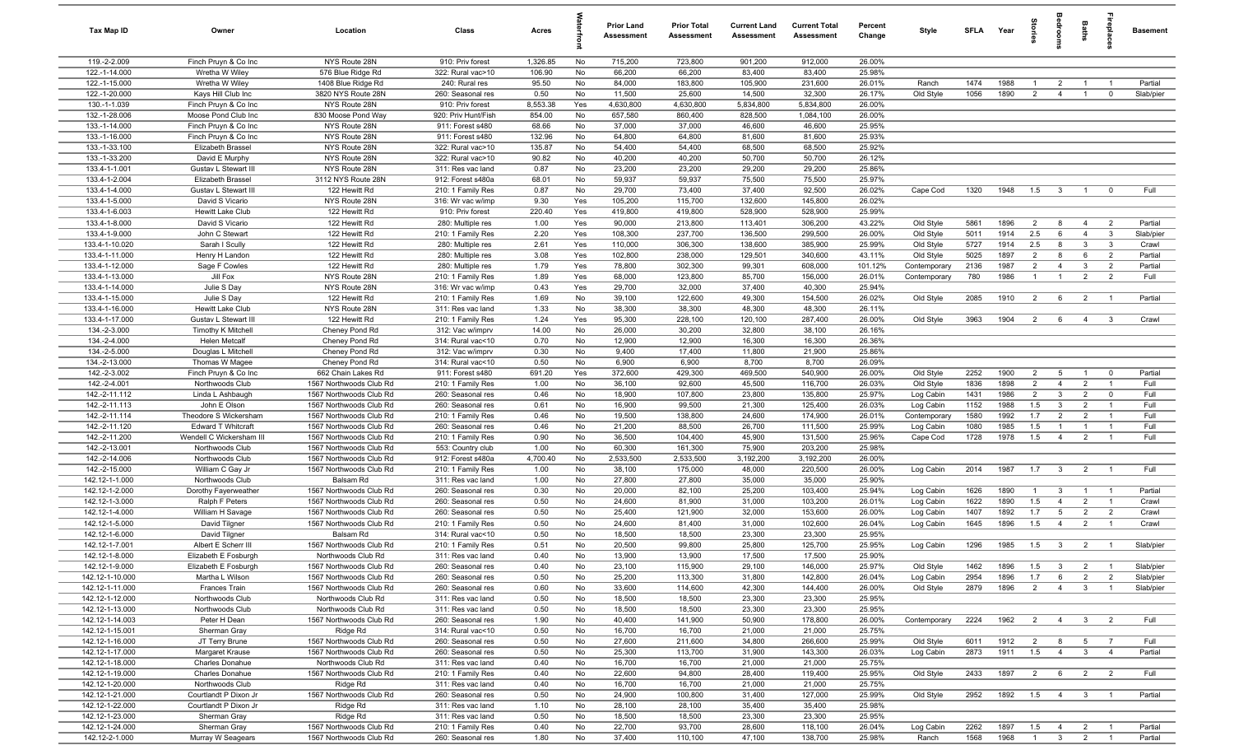| Tax Map ID                         | Owner                                        | Location                                           | Class                                  | Acres           |           | <b>Prior Land</b><br>Assessment | <b>Prior Total</b><br>Assessment | <b>Current Land</b><br>Assessment | <b>Current Total</b><br>Assessment | Percent<br>Change | Style                  | SFLA         | Year         | ŝ                     | groo                    | Baths                            | ireplace                         | Basement               |
|------------------------------------|----------------------------------------------|----------------------------------------------------|----------------------------------------|-----------------|-----------|---------------------------------|----------------------------------|-----------------------------------|------------------------------------|-------------------|------------------------|--------------|--------------|-----------------------|-------------------------|----------------------------------|----------------------------------|------------------------|
| 119.-2-2.009                       | Finch Pruyn & Co Inc                         | NYS Route 28N                                      | 910: Priv forest                       | 1,326.85        | No        | 715,200                         | 723,800                          | 901,200                           | 912,000                            | 26.00%            |                        |              |              |                       |                         |                                  |                                  |                        |
| 122.-1-14.000                      | Wretha W Wiley                               | 576 Blue Ridge Rd                                  | 322: Rural vac>10                      | 106.90          | No        | 66,200                          | 66,200                           | 83,400                            | 83,400                             | 25.98%            |                        |              |              |                       |                         |                                  |                                  |                        |
| 122.-1-15.000                      | Wretha W Wiley                               | 1408 Blue Ridge Rd                                 | 240: Rural res                         | 95.50           | No        | 84,000                          | 183,800                          | 105,900                           | 231,600                            | 26.01%            | Ranch                  | 1474         | 1988         | -1                    | $\overline{2}$          | $\overline{1}$                   | - 1                              | Partial                |
| 122.-1-20.000                      | Kays Hill Club Inc                           | 3820 NYS Route 28N                                 | 260: Seasonal res                      | 0.50            | No        | 11,500                          | 25,600                           | 14,500                            | 32,300                             | 26.17%            | Old Style              | 1056         | 1890         | $\overline{2}$        | $\overline{4}$          | $\overline{1}$                   | $\mathbf 0$                      | Slab/pier              |
| 130.-1-1.039                       | Finch Pruyn & Co Inc                         | NYS Route 28N                                      | 910: Priv forest                       | 8,553.38        | Yes       | 4,630,800                       | 4,630,800                        | 5,834,800                         | 5,834,800                          | 26.00%            |                        |              |              |                       |                         |                                  |                                  |                        |
| 132.-1-28.006                      | Moose Pond Club Inc                          | 830 Moose Pond Way                                 | 920: Priv Hunt/Fish                    | 854.00          | No        | 657,580                         | 860,400                          | 828,500                           | 1,084,100                          | 26.00%            |                        |              |              |                       |                         |                                  |                                  |                        |
| 133.-1-14.000<br>133.-1-16.000     | Finch Pruyn & Co Inc<br>Finch Pruyn & Co Inc | NYS Route 28N<br>NYS Route 28N                     | 911: Forest s480<br>911: Forest s480   | 68.66<br>132.96 | No<br>No  | 37,000<br>64,800                | 37,000<br>64,800                 | 46,600<br>81,600                  | 46,600<br>81,600                   | 25.95%<br>25.93%  |                        |              |              |                       |                         |                                  |                                  |                        |
| 133.-1-33.100                      | Elizabeth Brassel                            | NYS Route 28N                                      | 322: Rural vac>10                      | 135.87          | No        | 54,400                          | 54,400                           | 68,500                            | 68,500                             | 25.92%            |                        |              |              |                       |                         |                                  |                                  |                        |
| 133.-1-33.200                      | David E Murphy                               | NYS Route 28N                                      | 322: Rural vac>10                      | 90.82           | No        | 40,200                          | 40,200                           | 50,700                            | 50,700                             | 26.12%            |                        |              |              |                       |                         |                                  |                                  |                        |
| 133.4-1-1.001                      | Gustav L Stewart III                         | NYS Route 28N                                      | 311: Res vac land                      | 0.87            | No        | 23,200                          | 23,200                           | 29,200                            | 29,200                             | 25.86%            |                        |              |              |                       |                         |                                  |                                  |                        |
| 133.4-1-2.004                      | Elizabeth Brassel                            | 3112 NYS Route 28N                                 | 912: Forest s480a                      | 68.01           | No        | 59,937                          | 59,937                           | 75,500                            | 75,500                             | 25.97%            |                        |              |              |                       |                         |                                  |                                  |                        |
| 133.4-1-4.000                      | Gustav L Stewart III                         | 122 Hewitt Rd                                      | 210: 1 Family Res                      | 0.87            | No        | 29,700                          | 73,400                           | 37,400                            | 92,500                             | 26.02%            | Cape Cod               | 1320         | 1948         | 1.5                   | $\mathbf{3}$            | $\overline{1}$                   | $^{\circ}$                       | Full                   |
| 133.4-1-5.000                      | David S Vicario                              | NYS Route 28N                                      | 316: Wr vac w/imp                      | 9.30            | Yes       | 105,200                         | 115,700                          | 132,600                           | 145,800                            | 26.02%            |                        |              |              |                       |                         |                                  |                                  |                        |
| 133.4-1-6.003                      | <b>Hewitt Lake Club</b>                      | 122 Hewitt Rd                                      | 910: Priv forest                       | 220.40          | Yes       | 419,800                         | 419,800                          | 528,900                           | 528,900                            | 25.99%            |                        |              |              |                       |                         |                                  |                                  |                        |
| 133.4-1-8.000                      | David S Vicario                              | 122 Hewitt Rd                                      | 280: Multiple res                      | 1.00            | Yes       | 90,000                          | 213,800                          | 113,401                           | 306,200                            | 43.22%            | Old Style              | 5861         | 1896         | $\overline{2}$        | 8                       | $\overline{4}$                   | $\overline{2}$                   | Partial                |
| 133.4-1-9.000                      | John C Stewart                               | 122 Hewitt Rd                                      | 210: 1 Family Res                      | 2.20            | Yes       | 108,300                         | 237,700                          | 136,500                           | 299,500                            | 26.00%            | Old Style              | 5011         | 1914         | 2.5                   | 6                       | $\overline{4}$                   | $\mathbf{3}$                     | Slab/pier              |
| 133.4-1-10.020                     | Sarah I Scully                               | 122 Hewitt Rd                                      | 280: Multiple res                      | 2.61            | Yes       | 110,000                         | 306,300                          | 138,600                           | 385,900                            | 25.99%            | Old Style              | 5727         | 1914         | 2.5                   | 8                       | $\mathbf{3}$                     | $\mathbf{3}$                     | Crawl                  |
| 133.4-1-11.000                     | Henry H Landon                               | 122 Hewitt Rd                                      | 280: Multiple res                      | 3.08            | Yes       | 102,800                         | 238,000                          | 129,501                           | 340,600                            | 43.11%            | Old Style              | 5025         | 1897         | $\overline{2}$        | 8                       | 6                                | $\overline{2}$                   | Partial                |
| 133.4-1-12.000                     | Sage F Cowles                                | 122 Hewitt Rd                                      | 280: Multiple res                      | 1.79            | Yes       | 78,800                          | 302,300                          | 99,301                            | 608,000                            | 101.12%           | Contemporary           | 2136         | 1987         | $\overline{2}$        | $\overline{4}$          | $\mathbf{3}$                     | $\overline{2}$                   | Partial                |
| 133.4-1-13.000                     | Jill Fox                                     | NYS Route 28N                                      | 210: 1 Family Res                      | 1.89            | Yes       | 68,000                          | 123,800                          | 85,700                            | 156,000                            | 26.01%            | Contemporary           | 780          | 1986         | $\overline{1}$        | $\overline{1}$          | $\overline{2}$                   | $\overline{2}$                   | Full                   |
| 133.4-1-14.000<br>133.4-1-15.000   | Julie S Day<br>Julie S Day                   | NYS Route 28N<br>122 Hewitt Rd                     | 316: Wr vac w/imp                      | 0.43<br>1.69    | Yes<br>No | 29,700<br>39,100                | 32,000<br>122,600                | 37,400<br>49,300                  | 40,300<br>154,500                  | 25.94%<br>26.02%  | Old Style              | 2085         | 1910         | $\overline{2}$        | 6                       | $\overline{2}$                   | $\overline{1}$                   | Partial                |
| 133.4-1-16.000                     | <b>Hewitt Lake Club</b>                      | NYS Route 28N                                      | 210: 1 Family Res<br>311: Res vac land | 1.33            | No        | 38,300                          | 38,300                           | 48,300                            | 48,300                             | 26.11%            |                        |              |              |                       |                         |                                  |                                  |                        |
| 133.4-1-17.000                     | Gustav L Stewart III                         | 122 Hewitt Rd                                      | 210: 1 Family Res                      | 1.24            | Yes       | 95,300                          | 228,100                          | 120,100                           | 287,400                            | 26.00%            | Old Style              | 3963         | 1904         | $\overline{2}$        | 6                       | $\overline{4}$                   | $\mathbf{3}$                     | Crawl                  |
| 134.-2-3.000                       | Timothy K Mitchell                           | Cheney Pond Rd                                     | 312: Vac w/imprv                       | 14.00           | No        | 26,000                          | 30,200                           | 32,800                            | 38,100                             | 26.16%            |                        |              |              |                       |                         |                                  |                                  |                        |
| 134.-2-4.000                       | <b>Helen Metcalf</b>                         | Cheney Pond Rd                                     | 314: Rural vac<10                      | 0.70            | No        | 12,900                          | 12,900                           | 16,300                            | 16,300                             | 26.36%            |                        |              |              |                       |                         |                                  |                                  |                        |
| 134.-2-5.000                       | Douglas L Mitchell                           | Cheney Pond Rd                                     | 312: Vac w/imprv                       | 0.30            | No        | 9,400                           | 17,400                           | 11,800                            | 21,900                             | 25.86%            |                        |              |              |                       |                         |                                  |                                  |                        |
| 134.-2-13.000                      | Thomas W Magee                               | Cheney Pond Rd                                     | 314: Rural vac<10                      | 0.50            | No        | 6,900                           | 6,900                            | 8,700                             | 8,700                              | 26.09%            |                        |              |              |                       |                         |                                  |                                  |                        |
| 142.-2-3.002                       | Finch Pruyn & Co Inc                         | 662 Chain Lakes Rd                                 | 911: Forest s480                       | 691.20          | Yes       | 372,600                         | 429,300                          | 469,500                           | 540,900                            | 26.00%            | Old Style              | 2252         | 1900         | $\overline{2}$        | 5                       | $\overline{1}$                   | $^{\circ}$                       | Partial                |
| 142.-2-4.001                       | Northwoods Club                              | 1567 Northwoods Club Rd                            | 210: 1 Family Res                      | 1.00            | No        | 36,100                          | 92,600                           | 45,500                            | 116,700                            | 26.03%            | Old Style              | 1836         | 1898         | $\overline{2}$        | $\overline{4}$          | $\overline{2}$                   |                                  | Full                   |
| 142.-2-11.112                      | Linda L Ashbaugh                             | 1567 Northwoods Club Rd                            | 260: Seasonal res                      | 0.46            | No        | 18,900                          | 107,800                          | 23,800                            | 135,800                            | 25.97%            | Log Cabin              | 1431         | 1986         | $\overline{2}$        | $\mathbf{3}$            | $\overline{2}$                   | $^{\circ}$                       | Full                   |
| 142.-2-11.113                      | John E Olson                                 | 1567 Northwoods Club Rd                            | 260: Seasonal res                      | 0.61            | No        | 16,900                          | 99,500                           | 21,300                            | 125,400                            | 26.03%            | Log Cabin              | 1152         | 1988         | 1.5                   | $\mathbf{3}$            | $\overline{2}$                   | $\overline{1}$                   | Full                   |
| 142.-2-11.114                      | Theodore S Wickersham                        | 1567 Northwoods Club Rd                            | 210: 1 Family Res                      | 0.46            | No        | 19,500                          | 138,800                          | 24,600                            | 174,900                            | 26.01%            | Contemporary           | 1580         | 1992         | 1.7                   | $\overline{2}$          | $\overline{2}$                   | $\overline{1}$                   | Full                   |
| 142.-2-11.120                      | <b>Edward T Whitcraft</b>                    | 1567 Northwoods Club Rd                            | 260: Seasonal res                      | 0.46            | No        | 21,200                          | 88,500                           | 26,700                            | 111,500                            | 25.99%            | Log Cabin              | 1080         | 1985<br>1978 | 1.5                   | $\overline{1}$          | $\overline{1}$<br>$\overline{2}$ | $\overline{1}$<br>$\overline{1}$ | Full<br>Full           |
| 142.-2-11.200<br>142.-2-13.001     | Wendell C Wickersham III<br>Northwoods Club  | 1567 Northwoods Club Rd<br>1567 Northwoods Club Rd | 210: 1 Family Res<br>553: Country club | 0.90<br>1.00    | No<br>No  | 36,500<br>60,300                | 104,400<br>161,300               | 45,900<br>75,900                  | 131,500<br>203,200                 | 25.96%<br>25.98%  | Cape Cod               | 1728         |              | 1.5                   | $\overline{4}$          |                                  |                                  |                        |
| 142.-2-14.006                      | Northwoods Club                              | 1567 Northwoods Club Rd                            | 912: Forest s480a                      | 4,700.40        | No        | 2,533,500                       | 2,533,500                        | 3,192,200                         | 3,192,200                          | 26.00%            |                        |              |              |                       |                         |                                  |                                  |                        |
| 142.-2-15.000                      | William C Gay Jr                             | 1567 Northwoods Club Rd                            | 210: 1 Family Res                      | 1.00            | No        | 38,100                          | 175,000                          | 48,000                            | 220,500                            | 26.00%            | Log Cabin              | 2014         | 1987         | 1.7                   | $\mathbf{3}$            | $\overline{2}$                   | $\overline{1}$                   | Full                   |
| 142.12-1-1.000                     | Northwoods Club                              | Balsam Rd                                          | 311: Res vac land                      | 1.00            | No        | 27,800                          | 27,800                           | 35,000                            | 35,000                             | 25.90%            |                        |              |              |                       |                         |                                  |                                  |                        |
| 142.12-1-2.000                     | Dorothy Fayerweather                         | 1567 Northwoods Club Rd                            | 260: Seasonal res                      | 0.30            | No        | 20,000                          | 82,100                           | 25,200                            | 103,400                            | 25.94%            | Log Cabin              | 1626         | 1890         | $\overline{1}$        | $\mathbf{3}$            | $\overline{1}$                   | $\overline{\phantom{0}}$         | Partial                |
| 142.12-1-3.000                     | Ralph F Peters                               | 1567 Northwoods Club Rd                            | 260: Seasonal res                      | 0.50            | No        | 24,600                          | 81,900                           | 31,000                            | 103,200                            | 26.01%            | Log Cabin              | 1622         | 1890         | 1.5                   | $\overline{4}$          | $\overline{2}$                   | - 1                              | Crawl                  |
| 142.12-1-4.000                     | William H Savage                             | 1567 Northwoods Club Rd                            | 260: Seasonal res                      | 0.50            | No        | 25,400                          | 121,900                          | 32,000                            | 153,600                            | 26.00%            | Log Cabin              | 1407         | 1892         | 1.7                   | $5\overline{5}$         | $\overline{2}$                   | $\overline{2}$                   | Crawl                  |
| 142.12-1-5.000                     | David Tilgner                                | 1567 Northwoods Club Rd                            | 210: 1 Family Res                      | 0.50            | No        | 24,600                          | 81,400                           | 31,000                            | 102,600                            | 26.04%            | Log Cabin              | 1645         | 1896         | 1.5                   | $\overline{4}$          | $\overline{2}$                   | $\overline{1}$                   | Crawl                  |
| 142.12-1-6.000                     | David Tilgner                                | Balsam Rd                                          | 314: Rural vac<10                      | 0.50            | No        | 18,500                          | 18,500                           | 23,300                            | 23,300                             | 25.95%            |                        |              |              |                       |                         |                                  |                                  |                        |
| 142.12-1-7.001                     | Albert E Scherr III                          | 1567 Northwoods Club Rd                            | 210: 1 Family Res                      | 0.51            | No        | 20,500                          | 99,800                           | 25,800                            | 125,700                            | 25.95%            | Log Cabin              | 1296         | 1985         | 1.5                   | $\overline{\mathbf{3}}$ | $\overline{2}$                   | $\overline{1}$                   | Slab/pier              |
| 142.12-1-8.000                     | Elizabeth E Fosburgh                         | Northwoods Club Rd                                 | 311: Res vac land                      | 0.40            | No        | 13,900                          | 13,900                           | 17,500                            | 17,500                             | 25.90%            |                        |              |              |                       |                         |                                  |                                  |                        |
| 142.12-1-9.000                     | Elizabeth E Fosburgh<br>Martha L Wilson      | 1567 Northwoods Club Rd                            | 260: Seasonal res                      | 0.40            | No        | 23,100                          | 115,900                          | 29,100                            | 146,000                            | 25.97%            | Old Style              | 1462         | 1896         | 1.5                   | $\mathbf{3}$            | $\overline{2}$                   | $\overline{1}$                   | Slab/pier              |
| 142.12-1-10.000<br>142.12-1-11.000 | Frances Train                                | 1567 Northwoods Club Rd<br>1567 Northwoods Club Rd | 260: Seasonal res<br>260: Seasonal res | 0.50<br>0.60    | No<br>No  | 25,200<br>33,600                | 113,300<br>114,600               | 31,800<br>42,300                  | 142,800<br>144,400                 | 26.04%<br>26.00%  | Log Cabin<br>Old Style | 2954<br>2879 | 1896<br>1896 | 1.7<br>$\overline{2}$ | 6<br>$\overline{4}$     | 2<br>$\mathbf{3}$                | $\overline{2}$<br>$\overline{1}$ | Slab/pier<br>Slab/pier |
| 142.12-1-12.000                    | Northwoods Club                              | Northwoods Club Rd                                 | 311: Res vac land                      | 0.50            | No        | 18,500                          | 18,500                           | 23,300                            | 23,300                             | 25.95%            |                        |              |              |                       |                         |                                  |                                  |                        |
| 142.12-1-13.000                    | Northwoods Club                              | Northwoods Club Rd                                 | 311: Res vac land                      | 0.50            | No        | 18,500                          | 18,500                           | 23,300                            | 23,300                             | 25.95%            |                        |              |              |                       |                         |                                  |                                  |                        |
| 142.12-1-14.003                    | Peter H Dean                                 | 1567 Northwoods Club Rd                            | 260: Seasonal res                      | 1.90            | No        | 40,400                          | 141,900                          | 50,900                            | 178,800                            | 26.00%            | Contemporary           | 2224         | 1962         | $\overline{2}$        | $\overline{4}$          | 3 <sup>3</sup>                   | $\overline{2}$                   | Full                   |
| 142.12-1-15.001                    | Sherman Gray                                 | Ridge Rd                                           | 314: Rural vac<10                      | 0.50            | No        | 16,700                          | 16,700                           | 21,000                            | 21,000                             | 25.75%            |                        |              |              |                       |                         |                                  |                                  |                        |
| 142.12-1-16.000                    | JT Terry Brune                               | 1567 Northwoods Club Rd                            | 260: Seasonal res                      | 0.50            | No        | 27,600                          | 211,600                          | 34,800                            | 266,600                            | 25.99%            | Old Style              | 6011         | 1912         | $\overline{2}$        | 8                       | 5 <sup>5</sup>                   | $\overline{7}$                   | Full                   |
| 142.12-1-17.000                    | Margaret Krause                              | 1567 Northwoods Club Rd                            | 260: Seasonal res                      | 0.50            | No        | 25,300                          | 113,700                          | 31,900                            | 143,300                            | 26.03%            | Log Cabin              | 2873         | 1911         | 1.5                   | $\overline{4}$          | $\mathbf{3}$                     | $\overline{4}$                   | Partial                |
| 142.12-1-18.000                    | <b>Charles Donahue</b>                       | Northwoods Club Rd                                 | 311: Res vac land                      | 0.40            | No        | 16,700                          | 16,700                           | 21,000                            | 21,000                             | 25.75%            |                        |              |              |                       |                         |                                  |                                  |                        |
| 142.12-1-19.000                    | Charles Donahue                              | 1567 Northwoods Club Rd                            | 210: 1 Family Res                      | 0.40            | No        | 22,600                          | 94,800                           | 28,400                            | 119,400                            | 25.95%            | Old Style              | 2433         | 1897         | $\overline{2}$        | 6                       | $\overline{2}$                   | $\overline{2}$                   | Full                   |
| 142.12-1-20.000                    | Northwoods Club                              | Ridge Rd                                           | 311: Res vac land                      | 0.40            | No        | 16,700                          | 16,700                           | 21,000                            | 21,000                             | 25.75%            |                        |              |              |                       |                         |                                  |                                  |                        |
| 142.12-1-21.000                    | Courtlandt P Dixon Jr                        | 1567 Northwoods Club Rd                            | 260: Seasonal res                      | 0.50            | No        | 24,900                          | 100,800                          | 31,400                            | 127,000                            | 25.99%            | Old Style              | 2952         | 1892         | 1.5                   | $\overline{4}$          | $3^{\circ}$                      | $\overline{1}$                   | Partial                |
| 142.12-1-22.000                    | Courtlandt P Dixon Jr                        | Ridge Rd                                           | 311: Res vac land                      | 1.10            | No        | 28,100                          | 28,100                           | 35,400                            | 35,400                             | 25.98%            |                        |              |              |                       |                         |                                  |                                  |                        |
| 142.12-1-23.000                    | Sherman Gray                                 | Ridge Rd                                           | 311: Res vac land                      | 0.50            | No        | 18,500                          | 18,500                           | 23,300                            | 23,300                             | 25.95%            |                        |              |              |                       |                         |                                  |                                  |                        |
| 142.12-1-24.000                    | Sherman Gray                                 | 1567 Northwoods Club Rd                            | 210: 1 Family Res                      | 0.40            | No        | 22,700                          | 93,700                           | 28,600                            | 118,100                            | 26.04%            | Log Cabin              | 2262         | 1897         | 1.5                   | $\overline{4}$          | $\overline{2}$                   |                                  | Partial                |
| 142.12-2-1.000                     | Murray W Seagears                            | 1567 Northwoods Club Rd                            | 260: Seasonal res                      | 1.80            | No        | 37,400                          | 110,100                          | 47,100                            | 138,700                            | 25.98%            | Ranch                  | 1568         | 1968         | $\overline{1}$        | $\overline{\mathbf{3}}$ | $\overline{2}$                   | $\overline{1}$                   | Partial                |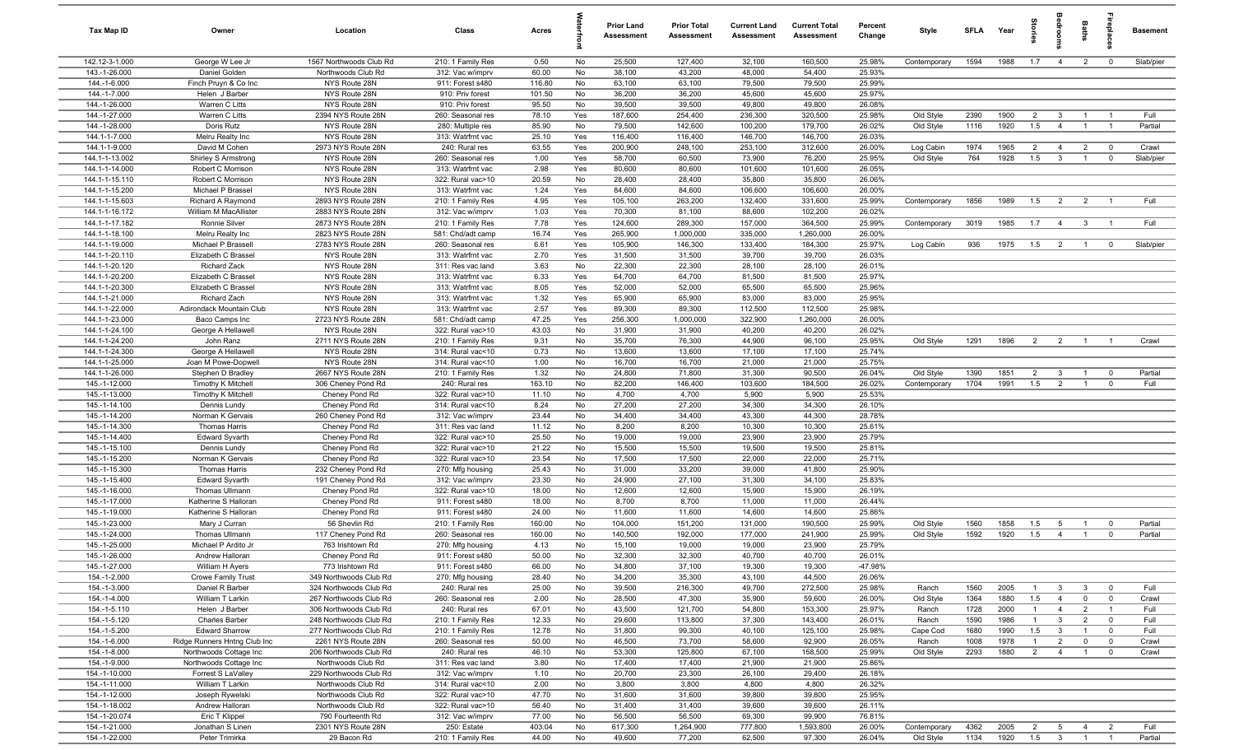| Tax Map ID                       | Owner                                         | Location                                         | Class                                  | Acres          |            | <b>Prior Land</b><br>Assessment | <b>Prior Total</b><br>Assessment | <b>Current Land</b><br>Assessment | <b>Current Total</b><br>Assessment | Percent<br>Change | Style              | SFLA         | Year         | ŝ                     | <b>OHOO</b>                      | Baths                            | ireplace                         | <b>Basement</b> |
|----------------------------------|-----------------------------------------------|--------------------------------------------------|----------------------------------------|----------------|------------|---------------------------------|----------------------------------|-----------------------------------|------------------------------------|-------------------|--------------------|--------------|--------------|-----------------------|----------------------------------|----------------------------------|----------------------------------|-----------------|
| 142.12-3-1.000                   | George W Lee Jr                               | 1567 Northwoods Club Rd                          | 210: 1 Family Res                      | 0.50           | No         | 25,500                          | 127,400                          | 32,100                            | 160,500                            | 25.98%            | Contemporary       | 1594         | 1988         | 1.7                   | $\overline{4}$                   | $\overline{2}$                   | $\overline{0}$                   | Slab/pier       |
| 143.-1-26.000                    | Daniel Golden                                 | Northwoods Club Rd                               | 312: Vac w/imprv                       | 60.00          | No         | 38,100                          | 43,200                           | 48,000                            | 54,400                             | 25.93%            |                    |              |              |                       |                                  |                                  |                                  |                 |
| 144.-1-6.000                     | Finch Pruyn & Co Inc                          | NYS Route 28N                                    | 911: Forest s480                       | 116.80         | No         | 63,100                          | 63,100                           | 79,500                            | 79,500                             | 25.99%            |                    |              |              |                       |                                  |                                  |                                  |                 |
| 144.-1-7.000                     | Helen J Barber                                | NYS Route 28N                                    | 910: Priv forest                       | 101.50         | No         | 36,200                          | 36,200                           | 45,600                            | 45,600                             | 25.97%            |                    |              |              |                       |                                  |                                  |                                  |                 |
| 144.-1-26.000                    | Warren C Litts                                | NYS Route 28N                                    | 910: Priv forest                       | 95.50          | No         | 39,500                          | 39,500                           | 49,800                            | 49,800                             | 26.08%            |                    |              |              |                       |                                  |                                  |                                  |                 |
| 144.-1-27.000                    | Warren C Litts                                | 2394 NYS Route 28N                               | 260: Seasonal res                      | 78.10          | Yes        | 187,600                         | 254,400                          | 236,300                           | 320,500                            | 25.98%            | Old Style          | 2390         | 1900         | $\overline{2}$        | $\mathbf{3}$                     | $\overline{1}$<br>$\overline{1}$ |                                  | Full<br>Partial |
| 144.-1-28.000<br>144.1-1-7.000   | Doris Rutz<br>Melru Realty Inc                | NYS Route 28N<br>NYS Route 28N                   | 280: Multiple res<br>313: Watrfrnt vac | 85.90<br>25.10 | No<br>Yes  | 79,500<br>116,400               | 142,600<br>116,400               | 100,200<br>146,700                | 179,700<br>146,700                 | 26.02%<br>26.03%  | Old Style          | 1116         | 1920         | 1.5                   | $\overline{4}$                   |                                  | $\overline{1}$                   |                 |
| 144.1-1-9.000                    | David M Cohen                                 | 2973 NYS Route 28N                               | 240: Rural res                         | 63.55          | Yes        | 200,900                         | 248,100                          | 253,100                           | 312,600                            | 26.00%            | Log Cabin          | 1974         | 1965         | $\overline{2}$        | $\overline{4}$                   | $\overline{2}$                   | $\overline{\mathbf{0}}$          | Crawl           |
| 144.1-1-13.002                   | Shirley S Armstrong                           | NYS Route 28N                                    | 260: Seasonal res                      | 1.00           | Yes        | 58,700                          | 60,500                           | 73,900                            | 76,200                             | 25.95%            | Old Style          | 764          | 1928         | 1.5                   | $\mathbf{3}$                     | $\overline{1}$                   | $\mathbf 0$                      | Slab/pier       |
| 144.1-1-14.000                   | Robert C Morrison                             | NYS Route 28N                                    | 313: Watrfrnt vac                      | 2.98           | Yes        | 80,600                          | 80,600                           | 101,600                           | 101,600                            | 26.05%            |                    |              |              |                       |                                  |                                  |                                  |                 |
| 144.1-1-15.110                   | Robert C Morrison                             | NYS Route 28N                                    | 322: Rural vac>10                      | 20.59          | No         | 28,400                          | 28,400                           | 35,800                            | 35,800                             | 26.06%            |                    |              |              |                       |                                  |                                  |                                  |                 |
| 144.1-1-15.200                   | Michael P Brassel                             | NYS Route 28N                                    | 313: Watrfrnt vac                      | 1.24           | Yes        | 84,600                          | 84,600                           | 106,600                           | 106,600                            | 26.00%            |                    |              |              |                       |                                  |                                  |                                  |                 |
| 144.1-1-15.603                   | Richard A Raymond                             | 2893 NYS Route 28N                               | 210: 1 Family Res                      | 4.95           | Yes        | 105,100                         | 263,200                          | 132,400                           | 331,600                            | 25.99%            | Contemporary       | 1856         | 1989         | 1.5                   | $\overline{2}$                   | $\overline{2}$                   | $\overline{1}$                   | Full            |
| 144.1-1-16.172                   | William M MacAllister                         | 2883 NYS Route 28N                               | 312: Vac w/imprv                       | 1.03           | Yes        | 70,300                          | 81,100                           | 88,600                            | 102,200                            | 26.02%            |                    |              |              |                       |                                  |                                  |                                  |                 |
| 144.1-1-17.182                   | Ronnie Silver                                 | 2873 NYS Route 28N                               | 210: 1 Family Res                      | 7.78           | Yes        | 124,600                         | 289,300                          | 157,000                           | 364,500                            | 25.99%            | Contemporary       | 3019         | 1985         | 1.7                   | $\overline{4}$                   | 3 <sup>3</sup>                   | $\overline{1}$                   | Full            |
| 144.1-1-18.100                   | Melru Realty Inc                              | 2823 NYS Route 28N                               | 581: Chd/adt camp                      | 16.74          | Yes        | 265,900                         | 1,000,000                        | 335,000                           | 1,260,000                          | 26.00%            |                    |              |              |                       |                                  |                                  |                                  |                 |
| 144.1-1-19.000                   | Michael P Brassell                            | 2783 NYS Route 28N                               | 260: Seasonal res                      | 6.61           | Yes        | 105,900                         | 146,300                          | 133,400                           | 184,300                            | 25.97%            | Log Cabin          | 936          | 1975         | 1.5                   | $\overline{2}$                   | $\overline{1}$                   | $\overline{0}$                   | Slab/pier       |
| 144.1-1-20.110                   | Elizabeth C Brassel                           | NYS Route 28N                                    | 313: Watrfrnt vac                      | 2.70           | Yes        | 31,500                          | 31,500                           | 39,700                            | 39,700                             | 26.03%            |                    |              |              |                       |                                  |                                  |                                  |                 |
| 144.1-1-20.120                   | <b>Richard Zack</b>                           | NYS Route 28N                                    | 311: Res vac land                      | 3.63           | No         | 22,300                          | 22,300                           | 28,100                            | 28,100                             | 26.01%            |                    |              |              |                       |                                  |                                  |                                  |                 |
| 144.1-1-20.200<br>144.1-1-20.300 | Elizabeth C Brassel<br>Elizabeth C Brassel    | NYS Route 28N<br>NYS Route 28N                   | 313: Watrfrnt vac<br>313: Watrfrnt vac | 6.33<br>8.05   | Yes<br>Yes | 64,700<br>52,000                | 64,700<br>52,000                 | 81,500<br>65,500                  | 81,500<br>65,500                   | 25.97%<br>25.96%  |                    |              |              |                       |                                  |                                  |                                  |                 |
| 144.1-1-21.000                   | Richard Zach                                  | NYS Route 28N                                    | 313: Watrfrnt vac                      | 1.32           | Yes        | 65,900                          | 65,900                           | 83,000                            | 83,000                             | 25.95%            |                    |              |              |                       |                                  |                                  |                                  |                 |
| 144.1-1-22.000                   | Adirondack Mountain Club                      | NYS Route 28N                                    | 313: Watrfrnt vac                      | 2.57           | Yes        | 89,300                          | 89,300                           | 112,500                           | 112,500                            | 25.98%            |                    |              |              |                       |                                  |                                  |                                  |                 |
| 144.1-1-23.000                   | Baco Camps Inc                                | 2723 NYS Route 28N                               | 581: Chd/adt camp                      | 47.25          | Yes        | 256,300                         | 1,000,000                        | 322,900                           | 1,260,000                          | 26.00%            |                    |              |              |                       |                                  |                                  |                                  |                 |
| 144.1-1-24.100                   | George A Hellawell                            | NYS Route 28N                                    | 322: Rural vac>10                      | 43.03          | No         | 31,900                          | 31,900                           | 40,200                            | 40,200                             | 26.02%            |                    |              |              |                       |                                  |                                  |                                  |                 |
| 144.1-1-24.200                   | John Ranz                                     | 2711 NYS Route 28N                               | 210: 1 Family Res                      | 9.31           | No         | 35,700                          | 76,300                           | 44,900                            | 96,100                             | 25.95%            | Old Style          | 1291         | 1896         | 2                     | $\overline{2}$                   | $\overline{1}$                   | $\overline{1}$                   | Crawl           |
| 144.1-1-24.300                   | George A Hellawell                            | NYS Route 28N                                    | 314: Rural vac<10                      | 0.73           | No         | 13,600                          | 13,600                           | 17,100                            | 17,100                             | 25.74%            |                    |              |              |                       |                                  |                                  |                                  |                 |
| 144.1-1-25.000                   | Joan M Powe-Dopwell                           | NYS Route 28N                                    | 314: Rural vac<10                      | 1.00           | No         | 16,700                          | 16,700                           | 21,000                            | 21,000                             | 25.75%            |                    |              |              |                       |                                  |                                  |                                  |                 |
| 144.1-1-26.000                   | Stephen D Bradley                             | 2667 NYS Route 28N                               | 210: 1 Family Res                      | 1.32           | No         | 24,800                          | 71,800                           | 31,300                            | 90,500                             | 26.04%            | Old Style          | 1390         | 1851         | $\overline{2}$        | $\mathbf{3}$                     |                                  | $\mathbf 0$                      | Partial         |
| 145.-1-12.000                    | Timothy K Mitchell                            | 306 Cheney Pond Rd                               | 240: Rural res                         | 163.10         | No         | 82,200                          | 146,400                          | 103,600                           | 184,500                            | 26.02%            | Contemporary       | 1704         | 1991         | 1.5                   | $\overline{2}$                   |                                  | $^{\circ}$                       | Full            |
| 145.-1-13.000                    | Timothy K Mitchell                            | Cheney Pond Rd                                   | 322: Rural vac>10                      | 11.10          | No         | 4,700                           | 4,700                            | 5,900                             | 5,900                              | 25.53%            |                    |              |              |                       |                                  |                                  |                                  |                 |
| 145.-1-14.100                    | Dennis Lundy                                  | Cheney Pond Rd                                   | 314: Rural vac<10                      | 8.24           | No         | 27,200                          | 27,200                           | 34,300                            | 34,300                             | 26.10%            |                    |              |              |                       |                                  |                                  |                                  |                 |
| 145.-1-14.200                    | Norman K Gervais                              | 260 Cheney Pond Rd                               | 312: Vac w/imprv                       | 23.44          | No         | 34,400                          | 34,400                           | 43,300                            | 44,300                             | 28.78%            |                    |              |              |                       |                                  |                                  |                                  |                 |
| 145.-1-14.300<br>145.-1-14.400   | <b>Thomas Harris</b><br><b>Edward Syvarth</b> | Cheney Pond Rd<br>Cheney Pond Rd                 | 311: Res vac land<br>322: Rural vac>10 | 11.12<br>25.50 | No<br>No   | 8,200<br>19,000                 | 8,200<br>19,000                  | 10,300<br>23,900                  | 10,300<br>23,900                   | 25.61%<br>25.79%  |                    |              |              |                       |                                  |                                  |                                  |                 |
| 145.-1-15.100                    | Dennis Lundy                                  | Cheney Pond Rd                                   | 322: Rural vac>10                      | 21.22          | No         | 15,500                          | 15,500                           | 19,500                            | 19,500                             | 25.81%            |                    |              |              |                       |                                  |                                  |                                  |                 |
| 145.-1-15.200                    | Norman K Gervais                              | Cheney Pond Rd                                   | 322: Rural vac>10                      | 23.54          | No         | 17,500                          | 17,500                           | 22,000                            | 22,000                             | 25.71%            |                    |              |              |                       |                                  |                                  |                                  |                 |
| 145.-1-15.300                    | Thomas Harris                                 | 232 Cheney Pond Rd                               | 270: Mfg housing                       | 25.43          | No         | 31,000                          | 33,200                           | 39,000                            | 41,800                             | 25.90%            |                    |              |              |                       |                                  |                                  |                                  |                 |
| 145.-1-15.400                    | <b>Edward Syvarth</b>                         | 191 Cheney Pond Rd                               | 312: Vac w/imprv                       | 23.30          | No         | 24,900                          | 27,100                           | 31,300                            | 34,100                             | 25.83%            |                    |              |              |                       |                                  |                                  |                                  |                 |
| 145.-1-16.000                    | Thomas Ullmann                                | Cheney Pond Rd                                   | 322: Rural vac>10                      | 18.00          | No         | 12,600                          | 12,600                           | 15,900                            | 15,900                             | 26.19%            |                    |              |              |                       |                                  |                                  |                                  |                 |
| 145.-1-17.000                    | Katherine S Halloran                          | Cheney Pond Rd                                   | 911: Forest s480                       | 18.00          | No         | 8,700                           | 8,700                            | 11,000                            | 11,000                             | 26.44%            |                    |              |              |                       |                                  |                                  |                                  |                 |
| 145.-1-19.000                    | Katherine S Halloran                          | Cheney Pond Rd                                   | 911: Forest s480                       | 24.00          | No         | 11,600                          | 11,600                           | 14,600                            | 14,600                             | 25.86%            |                    |              |              |                       |                                  |                                  |                                  |                 |
| 145.-1-23.000                    | Mary J Curran                                 | 56 Shevlin Rd                                    | 210: 1 Family Res                      | 160.00         | No         | 104,000                         | 151,200                          | 131,000                           | 190,500                            | 25.99%            | Old Style          | 1560         | 1858         | 1.5                   | 5                                | $\overline{1}$                   | $\overline{0}$                   | Partial         |
| 145.-1-24.000                    | Thomas Ullmann                                | 117 Cheney Pond Rd                               | 260: Seasonal res                      | 160.00         | No         | 140,500                         | 192,000                          | 177,000                           | 241,900                            | 25.99%            | Old Style          | 1592         | 1920         | 1.5                   | $\overline{4}$                   | $\overline{1}$                   | $\mathbf 0$                      | Partial         |
| 145.-1-25.000                    | Michael P Ardito Jr                           | 763 Irishtown Rd                                 | 270: Mfg housing                       | 4.13           | No         | 15,100                          | 19,000                           | 19,000                            | 23,900                             | 25.79%            |                    |              |              |                       |                                  |                                  |                                  |                 |
| 145.-1-26.000                    | Andrew Halloran                               | Cheney Pond Rd                                   | 911: Forest s480                       | 50.00          | No         | 32,300                          | 32,300                           | 40,700                            | 40,700                             | 26.01%            |                    |              |              |                       |                                  |                                  |                                  |                 |
| 145.-1-27.000                    | William H Ayers                               | 773 Irishtown Rd                                 | 911: Forest s480                       | 66.00          | No         | 34,800                          | 37,100                           | 19,300                            | 19,300                             | -47.98%           |                    |              |              |                       |                                  |                                  |                                  |                 |
| 154.-1-2.000                     | <b>Crowe Family Trust</b>                     | 349 Northwoods Club Rd                           | 270: Mfg housing                       | 28.40          | No         | 34,200                          | 35,300                           | 43,100                            | 44,500                             | 26.06%            |                    |              |              |                       |                                  |                                  |                                  |                 |
| 154.-1-3.000<br>154.-1-4.000     | Daniel R Barber<br>William T Larkin           | 324 Northwoods Club Rd<br>267 Northwoods Club Rd | 240: Rural res<br>260: Seasonal res    | 25.00          | No         | 39,500                          | 216,300<br>47,300                | 49,700<br>35,900                  | 272,500<br>59,600                  | 25.98%<br>26.00%  | Ranch              | 1560         | 2005<br>1880 | $\overline{1}$<br>1.5 | $\overline{3}$                   | $\mathbf{3}$<br>$\mathbf{0}$     | $\overline{0}$<br>$\overline{0}$ | Full            |
| 154.-1-5.110                     | Helen J Barber                                | 306 Northwoods Club Rd                           | 240: Rural res                         | 2.00<br>67.01  | No<br>No   | 28,500<br>43,500                | 121,700                          | 54,800                            | 153,300                            | 25.97%            | Old Style<br>Ranch | 1364<br>1728 | 2000         | $\overline{1}$        | $\overline{4}$<br>$\overline{4}$ | $\overline{2}$                   | $\overline{1}$                   | Crawl<br>Full   |
| 154.-1-5.120                     | Charles Barber                                | 248 Northwoods Club Rd                           | 210: 1 Family Res                      | 12.33          | No         | 29,600                          | 113,800                          | 37,300                            | 143,400                            | 26.01%            | Ranch              | 1590         | 1986         | $\overline{1}$        | $\mathbf{3}$                     | $\overline{2}$                   | $\mathbf 0$                      | Full            |
| 154.-1-5.200                     | <b>Edward Sharrow</b>                         | 277 Northwoods Club Rd                           | 210: 1 Family Res                      | 12.78          | No         | 31,800                          | 99,300                           | 40,100                            | 125,100                            | 25.98%            | Cape Cod           | 1680         | 1990         | 1.5                   | $\mathbf{3}$                     | $\overline{1}$                   | $\mathbf 0$                      | Full            |
| 154.-1-6.000                     | Ridge Runners Hntng Club Inc                  | 2261 NYS Route 28N                               | 260: Seasonal res                      | 50.00          | No         | 46,500                          | 73,700                           | 58,600                            | 92,900                             | 26.05%            | Ranch              | 1008         | 1978         | $\overline{1}$        | $\overline{2}$                   | $\overline{0}$                   | $\mathbf 0$                      | Crawl           |
| 154.-1-8.000                     | Northwoods Cottage Inc                        | 206 Northwoods Club Rd                           | 240: Rural res                         | 46.10          | No         | 53,300                          | 125,800                          | 67,100                            | 158,500                            | 25.99%            | Old Style          | 2293         | 1880         | $\overline{2}$        | $\overline{4}$                   | $\overline{1}$                   | $\mathbf 0$                      | Crawl           |
| 154.-1-9.000                     | Northwoods Cottage Inc                        | Northwoods Club Rd                               | 311: Res vac land                      | 3.80           | No         | 17,400                          | 17,400                           | 21,900                            | 21,900                             | 25.86%            |                    |              |              |                       |                                  |                                  |                                  |                 |
| 154.-1-10.000                    | Forrest S LaValley                            | 229 Northwoods Club Rd                           | 312: Vac w/imprv                       | 1.10           | No         | 20,700                          | 23,300                           | 26,100                            | 29,400                             | 26.18%            |                    |              |              |                       |                                  |                                  |                                  |                 |
| 154.-1-11.000                    | William T Larkin                              | Northwoods Club Rd                               | 314: Rural vac<10                      | 2.00           | No         | 3,800                           | 3,800                            | 4,800                             | 4,800                              | 26.32%            |                    |              |              |                       |                                  |                                  |                                  |                 |
| 154.-1-12.000                    | Joseph Rywelski                               | Northwoods Club Rd                               | 322: Rural vac>10                      | 47.70          | No         | 31,600                          | 31,600                           | 39,800                            | 39,800                             | 25.95%            |                    |              |              |                       |                                  |                                  |                                  |                 |
| 154.-1-18.002                    | Andrew Halloran                               | Northwoods Club Rd                               | 322: Rural vac>10                      | 56.40          | No         | 31,400                          | 31,400                           | 39,600                            | 39,600                             | 26.11%            |                    |              |              |                       |                                  |                                  |                                  |                 |
| 154.-1-20.074                    | Eric T Klippel                                | 790 Fourteenth Rd                                | 312: Vac w/imprv                       | 77.00          | No         | 56,500                          | 56,500                           | 69,300                            | 99,900                             | 76.81%            |                    |              |              |                       |                                  |                                  |                                  |                 |
| 154.-1-21.000                    | Jonathan S Linen                              | 2301 NYS Route 28N                               | 250: Estate                            | 403.04         | No         | 617,300                         | 1,264,900                        | 777,800                           | 1,593,800                          | 26.00%            | Contemporary       | 4362         | 2005         | $\overline{2}$        | 5                                | $\overline{4}$                   | $\overline{2}$                   | Full            |
| 154.-1-22.000                    | Peter Trimirka                                | 29 Bacon Rd                                      | 210: 1 Family Res                      | 44.00          | No         | 49,600                          | 77,200                           | 62,500                            | 97,300                             | 26.04%            | Old Style          | 1134         | 1920         | 1.5                   | $\overline{\mathbf{3}}$          | $\overline{1}$                   | $\overline{1}$                   | Partial         |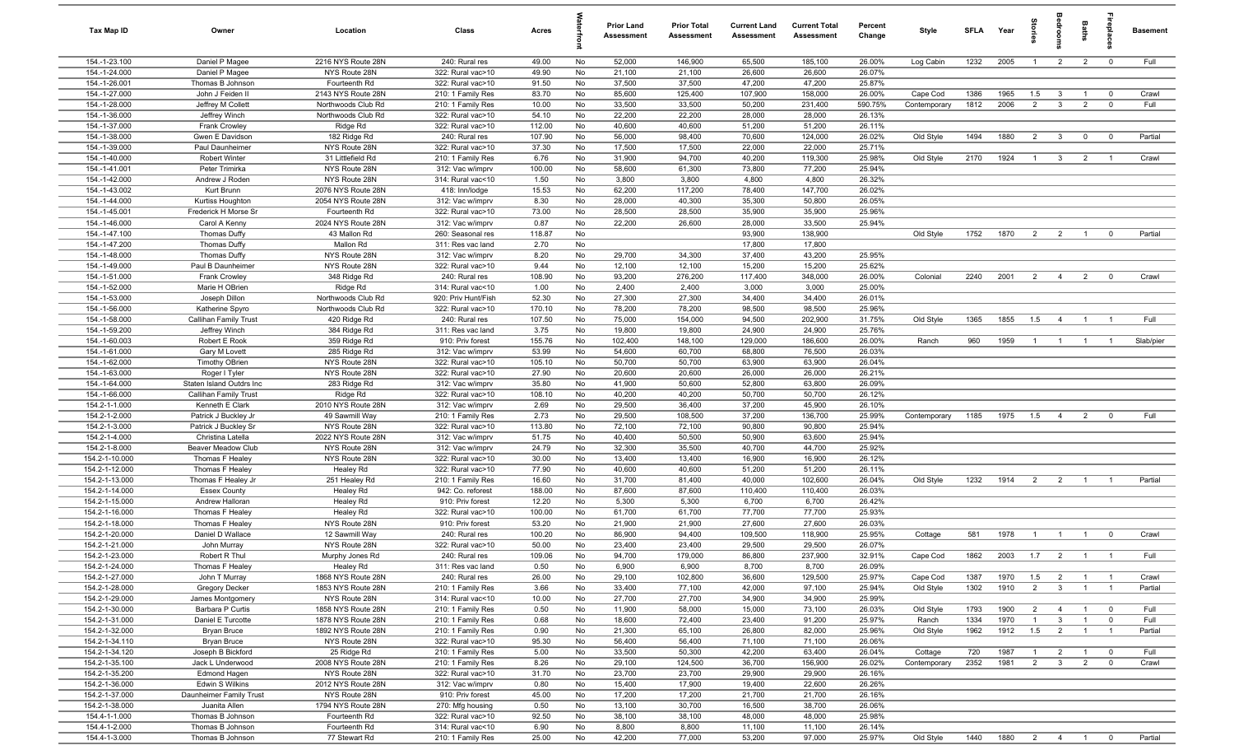| Tax Map ID                       | Owner                                   | Location                                 | Class                                  | Acres           |          | <b>Prior Land</b><br>Assessment | <b>Prior Total</b><br>Assessment | <b>Current Land</b><br><b>Assessment</b> | <b>Current Total</b><br>Assessment | Percent<br>Change | Style                    | <b>SFLA</b>  | Year          | prie                  | groo                                      | Baths                            | 융                                         | <b>Basement</b> |
|----------------------------------|-----------------------------------------|------------------------------------------|----------------------------------------|-----------------|----------|---------------------------------|----------------------------------|------------------------------------------|------------------------------------|-------------------|--------------------------|--------------|---------------|-----------------------|-------------------------------------------|----------------------------------|-------------------------------------------|-----------------|
| 154.-1-23.100                    | Daniel P Magee                          | 2216 NYS Route 28N                       | 240: Rural res                         | 49.00           | No       | 52,000                          | 146,900                          | 65,500                                   | 185,100                            | 26.00%            | Log Cabin                | 1232         | 2005          | $\overline{1}$        | $\overline{2}$                            | $\overline{2}$                   | $\overline{0}$                            | Full            |
| 154.-1-24.000                    | Daniel P Magee                          | NYS Route 28N                            | 322: Rural vac>10                      | 49.90           | No       | 21,100                          | 21,100                           | 26,600                                   | 26,600                             | 26.07%            |                          |              |               |                       |                                           |                                  |                                           |                 |
| 154.-1-26.001                    | Thomas B Johnson                        | Fourteenth Rd                            | 322: Rural vac>10                      | 91.50           | No       | 37,500                          | 37,500                           | 47,200                                   | 47,200                             | 25.87%            |                          |              |               |                       |                                           |                                  |                                           |                 |
| 154.-1-27.000<br>154.-1-28.000   | John J Feiden II<br>Jeffrey M Collett   | 2143 NYS Route 28N<br>Northwoods Club Rd | 210: 1 Family Res<br>210: 1 Family Res | 83.70<br>10.00  | No<br>No | 85,600<br>33,500                | 125,400<br>33,500                | 107,900<br>50,200                        | 158,000<br>231,400                 | 26.00%<br>590.75% | Cape Cod<br>Contemporary | 1386<br>1812 | 1965<br>2006  | 1.5<br>$\overline{2}$ | $\overline{\mathbf{3}}$<br>$\mathbf{3}$   | $\overline{1}$<br>$\overline{2}$ | $\overline{\mathbf{0}}$<br>$\mathbf{0}$   | Crawl<br>Full   |
| 154.-1-36.000                    | Jeffrey Winch                           | Northwoods Club Rd                       | 322: Rural vac>10                      | 54.10           | No       | 22,200                          | 22,200                           | 28,000                                   | 28,000                             | 26.13%            |                          |              |               |                       |                                           |                                  |                                           |                 |
| 154.-1-37.000                    | Frank Crowley                           | Ridge Rd                                 | 322: Rural vac>10                      | 112.00          | No       | 40,600                          | 40,600                           | 51,200                                   | 51,200                             | 26.11%            |                          |              |               |                       |                                           |                                  |                                           |                 |
| 154.-1-38.000                    | Gwen E Davidson                         | 182 Ridge Rd                             | 240: Rural res                         | 107.90          | No       | 56,000                          | 98,400                           | 70,600                                   | 124,000                            | 26.02%            | Old Style                | 1494         | 1880          | $\overline{2}$        | $\overline{\mathbf{3}}$                   | $\mathbf{0}$                     | $\overline{0}$                            | Partial         |
| 154.-1-39.000                    | Paul Daunheimer                         | NYS Route 28N                            | 322: Rural vac>10                      | 37.30           | No       | 17,500                          | 17,500                           | 22,000                                   | 22,000                             | 25.71%            |                          |              |               |                       |                                           |                                  |                                           |                 |
| 154.-1-40.000                    | <b>Robert Winter</b>                    | 31 Littlefield Rd                        | 210: 1 Family Res                      | 6.76            | No       | 31,900                          | 94,700                           | 40,200                                   | 119,300                            | 25.98%            | Old Style                | 2170         | 1924          | $\overline{1}$        | $\mathbf{3}$                              | $\overline{2}$                   | $\overline{1}$                            | Crawl           |
| 154.-1-41.001                    | Peter Trimirka                          | NYS Route 28N                            | 312: Vac w/imprv                       | 100.00          | No       | 58,600                          | 61,300                           | 73,800                                   | 77,200                             | 25.94%            |                          |              |               |                       |                                           |                                  |                                           |                 |
| 154.-1-42.000                    | Andrew J Roden                          | NYS Route 28N                            | 314: Rural vac<10                      | 1.50            | No       | 3,800                           | 3,800                            | 4,800                                    | 4,800                              | 26.32%            |                          |              |               |                       |                                           |                                  |                                           |                 |
| 154.-1-43.002                    | Kurt Brunn                              | 2076 NYS Route 28N                       | 418: Inn/lodge                         | 15.53           | No       | 62,200                          | 117,200                          | 78,400                                   | 147,700                            | 26.02%            |                          |              |               |                       |                                           |                                  |                                           |                 |
| 154.-1-44.000                    | Kurtiss Houghton                        | 2054 NYS Route 28N                       | 312: Vac w/imprv                       | 8.30            | No       | 28,000                          | 40,300                           | 35,300                                   | 50,800                             | 26.05%            |                          |              |               |                       |                                           |                                  |                                           |                 |
| 154.-1-45.001<br>154.-1-46.000   | Frederick H Morse Sr<br>Carol A Kenny   | Fourteenth Rd<br>2024 NYS Route 28N      | 322: Rural vac>10<br>312: Vac w/imprv  | 73.00<br>0.87   | No<br>No | 28,500<br>22,200                | 28,500<br>26,600                 | 35,900<br>28,000                         | 35,900<br>33,500                   | 25.96%<br>25.94%  |                          |              |               |                       |                                           |                                  |                                           |                 |
| 154.-1-47.100                    | Thomas Duffy                            | 43 Mallon Rd                             | 260: Seasonal res                      | 118.87          | No       |                                 |                                  | 93,900                                   | 138,900                            |                   | Old Style                | 1752         | 1870          | 2                     | $\overline{2}$                            | $\overline{1}$                   | $\overline{0}$                            | Partial         |
| 154.-1-47.200                    | <b>Thomas Duffy</b>                     | Mallon Rd                                | 311: Res vac land                      | 2.70            | No       |                                 |                                  | 17,800                                   | 17,800                             |                   |                          |              |               |                       |                                           |                                  |                                           |                 |
| 154.-1-48.000                    | Thomas Duffy                            | NYS Route 28N                            | 312: Vac w/imprv                       | 8.20            | No       | 29,700                          | 34,300                           | 37,400                                   | 43,200                             | 25.95%            |                          |              |               |                       |                                           |                                  |                                           |                 |
| 154.-1-49.000                    | Paul B Daunheimer                       | NYS Route 28N                            | 322: Rural vac>10                      | 9.44            | No       | 12,100                          | 12,100                           | 15,200                                   | 15,200                             | 25.62%            |                          |              |               |                       |                                           |                                  |                                           |                 |
| 154.-1-51.000                    | Frank Crowley                           | 348 Ridge Rd                             | 240: Rural res                         | 108.90          | No       | 93,200                          | 276,200                          | 117,400                                  | 348,000                            | 26.00%            | Colonial                 | 2240         | 2001          | $\overline{2}$        | $\overline{4}$                            | $\overline{2}$                   | $\overline{0}$                            | Crawl           |
| 154.-1-52.000                    | Marie H OBrien                          | Ridge Rd                                 | 314: Rural vac<10                      | 1.00            | No       | 2,400                           | 2,400                            | 3,000                                    | 3,000                              | 25.00%            |                          |              |               |                       |                                           |                                  |                                           |                 |
| 154.-1-53.000                    | Joseph Dillon                           | Northwoods Club Rd                       | 920: Priv Hunt/Fish                    | 52.30           | No       | 27,300                          | 27,300                           | 34,400                                   | 34,400                             | 26.01%            |                          |              |               |                       |                                           |                                  |                                           |                 |
| 154.-1-56.000                    | Katherine Spyro                         | Northwoods Club Rd                       | 322: Rural vac>10                      | 170.10          | No       | 78,200                          | 78,200                           | 98,500                                   | 98,500                             | 25.96%            |                          |              |               |                       |                                           |                                  |                                           |                 |
| 154.-1-58.000                    | Callihan Family Trust                   | 420 Ridge Rd                             | 240: Rural res                         | 107.50          | No       | 75,000                          | 154,000                          | 94,500                                   | 202,900                            | 31.75%            | Old Style                | 1365         | 1855          | 1.5                   | $\overline{4}$                            | $\overline{1}$                   | $\overline{1}$                            | Full            |
| 154.-1-59.200<br>154.-1-60.003   | Jeffrey Winch<br>Robert E Rook          | 384 Ridge Rd<br>359 Ridge Rd             | 311: Res vac land<br>910: Priv forest  | 3.75<br>155.76  | No<br>No | 19,800<br>102,400               | 19,800<br>148,100                | 24,900<br>129,000                        | 24,900<br>186,600                  | 25.76%<br>26.00%  | Ranch                    | 960          | 1959          | $\overline{1}$        | $\overline{1}$                            | $\overline{1}$                   | $\overline{1}$                            | Slab/pier       |
| 154.-1-61.000                    | Gary M Lovett                           | 285 Ridge Rd                             | 312: Vac w/imprv                       | 53.99           | No       | 54,600                          | 60,700                           | 68,800                                   | 76,500                             | 26.03%            |                          |              |               |                       |                                           |                                  |                                           |                 |
| 154.-1-62.000                    | <b>Timothy OBrien</b>                   | NYS Route 28N                            | 322: Rural vac>10                      | 105.10          | No       | 50,700                          | 50,700                           | 63,900                                   | 63,900                             | 26.04%            |                          |              |               |                       |                                           |                                  |                                           |                 |
| 154.-1-63.000                    | Roger I Tyler                           | NYS Route 28N                            | 322: Rural vac>10                      | 27.90           | No       | 20,600                          | 20,600                           | 26,000                                   | 26,000                             | 26.21%            |                          |              |               |                       |                                           |                                  |                                           |                 |
| 154.-1-64.000                    | Staten Island Outdrs Inc                | 283 Ridge Rd                             | 312: Vac w/imprv                       | 35.80           | No       | 41,900                          | 50,600                           | 52,800                                   | 63,800                             | 26.09%            |                          |              |               |                       |                                           |                                  |                                           |                 |
| 154.-1-66.000                    | Callihan Family Trust                   | Ridge Rd                                 | 322: Rural vac>10                      | 108.10          | No       | 40,200                          | 40,200                           | 50,700                                   | 50,700                             | 26.12%            |                          |              |               |                       |                                           |                                  |                                           |                 |
| 154.2-1-1.000                    | Kenneth E Clark                         | 2010 NYS Route 28N                       | 312: Vac w/imprv                       | 2.69            | No       | 29,500                          | 36,400                           | 37,200                                   | 45,900                             | 26.10%            |                          |              |               |                       |                                           |                                  |                                           |                 |
| 154.2-1-2.000                    | Patrick J Buckley Jr                    | 49 Sawmill Way                           | 210: 1 Family Res                      | 2.73            | No       | 29,500                          | 108,500                          | 37,200                                   | 136,700                            | 25.99%            | Contemporary             | 1185         | 1975          | 1.5                   | $\overline{4}$                            | $\overline{2}$                   | $\mathbf{0}$                              | Full            |
| 154.2-1-3.000                    | Patrick J Buckley Sr                    | NYS Route 28N                            | 322: Rural vac>10                      | 113.80          | No       | 72,100                          | 72,100                           | 90,800                                   | 90,800                             | 25.94%            |                          |              |               |                       |                                           |                                  |                                           |                 |
| 154.2-1-4.000<br>154.2-1-8.000   | Christina Latella<br>Beaver Meadow Club | 2022 NYS Route 28N<br>NYS Route 28N      | 312: Vac w/imprv<br>312: Vac w/imprv   | 51.75<br>24.79  | No<br>No | 40,400<br>32,300                | 50,500<br>35,500                 | 50,900<br>40,700                         | 63,600<br>44,700                   | 25.94%<br>25.92%  |                          |              |               |                       |                                           |                                  |                                           |                 |
| 154.2-1-10.000                   | Thomas F Healey                         | NYS Route 28N                            | 322: Rural vac>10                      | 30.00           | No       | 13,400                          | 13,400                           | 16,900                                   | 16,900                             | 26.12%            |                          |              |               |                       |                                           |                                  |                                           |                 |
| 154.2-1-12.000                   | Thomas F Healey                         | Healey Rd                                | 322: Rural vac>10                      | 77.90           | No       | 40,600                          | 40,600                           | 51,200                                   | 51,200                             | 26.11%            |                          |              |               |                       |                                           |                                  |                                           |                 |
| 154.2-1-13.000                   | Thomas F Healey Jr                      | 251 Healey Rd                            | 210: 1 Family Res                      | 16.60           | No       | 31,700                          | 81,400                           | 40,000                                   | 102,600                            | 26.04%            | Old Style                | 1232         | 1914          | $\overline{2}$        | $\overline{2}$                            | $\overline{1}$                   | $\overline{1}$                            | Partial         |
| 154.2-1-14.000                   | <b>Essex County</b>                     | Healey Rd                                | 942: Co. reforest                      | 188.00          | No       | 87,600                          | 87,600                           | 110,400                                  | 110,400                            | 26.03%            |                          |              |               |                       |                                           |                                  |                                           |                 |
| 154.2-1-15.000                   | Andrew Halloran                         | Healey Rd                                | 910: Priv forest                       | 12.20           | No       | 5,300                           | 5,300                            | 6,700                                    | 6,700                              | 26.42%            |                          |              |               |                       |                                           |                                  |                                           |                 |
| 154.2-1-16.000                   | Thomas F Healey                         | Healey Rd                                | 322: Rural vac>10                      | 100.00          | No       | 61,700                          | 61,700                           | 77,700                                   | 77,700                             | 25.93%            |                          |              |               |                       |                                           |                                  |                                           |                 |
| 154.2-1-18.000                   | Thomas F Healey                         | NYS Route 28N                            | 910: Priv forest                       | 53.20           | No       | 21,900                          | 21,900                           | 27,600                                   | 27,600                             | 26.03%            |                          |              |               |                       |                                           |                                  |                                           |                 |
| 154.2-1-20.000                   | Daniel D Wallace                        | 12 Sawmill Way                           | 240: Rural res                         | 100.20          | No       | 86,900                          | 94,400                           | 109,500                                  | 118,900                            | 25.95%            | Cottage                  | 581          | 1978          | $\overline{1}$        | $\overline{1}$                            | $\overline{1}$                   | $^{\circ}$                                | Crawl           |
| 154.2-1-21.000<br>154.2-1-23.000 | John Murray<br>Robert R Thul            | NYS Route 28N<br>Murphy Jones Rd         | 322: Rural vac>10<br>240: Rural res    | 50.00<br>109.06 | No<br>No | 23,400<br>94,700                | 23,400<br>179,000                | 29,500<br>86,800                         | 29,500<br>237,900                  | 26.07%<br>32.91%  | Cape Cod                 | 1862         | 2003          | $1.7 \t 2$            |                                           | $\overline{1}$                   |                                           | Full            |
| 154.2-1-24.000                   | Thomas F Healey                         | Healey Rd                                | 311: Res vac land                      | 0.50            | No       | 6,900                           | 6,900                            | 8,700                                    | 8,700                              | 26.09%            |                          |              |               |                       |                                           |                                  |                                           |                 |
| 154.2-1-27.000                   | John T Murray                           | 1868 NYS Route 28N                       | 240: Rural res                         | 26.00           | No       | 29,100                          | 102,800                          | 36,600                                   | 129,500                            | 25.97%            | Cape Cod                 | 1387         | 1970          | 1.5                   | $\overline{2}$                            | $\overline{1}$                   | $\overline{1}$                            | Crawl           |
| 154.2-1-28.000                   | Gregory Decker                          | 1853 NYS Route 28N                       | 210: 1 Family Res                      | 3.66            | No       | 33,400                          | 77,100                           | 42,000                                   | 97,100                             | 25.94%            | Old Style                | 1302         | 1910          | $\overline{2}$        | $\mathbf{3}$                              | $\overline{1}$                   | $\overline{1}$                            | Partial         |
| 154.2-1-29.000                   | James Montgomery                        | NYS Route 28N                            | 314: Rural vac<10                      | 10.00           | No       | 27,700                          | 27,700                           | 34,900                                   | 34,900                             | 25.99%            |                          |              |               |                       |                                           |                                  |                                           |                 |
| 154.2-1-30.000                   | Barbara P Curtis                        | 1858 NYS Route 28N                       | 210: 1 Family Res                      | 0.50            | No       | 11,900                          | 58,000                           | 15,000                                   | 73,100                             | 26.03%            | Old Style                | 1793         | 1900          | $\overline{2}$        | $\overline{4}$                            | $\overline{1}$                   | $\overline{\mathbf{0}}$                   | Full            |
| 154.2-1-31.000                   | Daniel E Turcotte                       | 1878 NYS Route 28N                       | 210: 1 Family Res                      | 0.68            | No       | 18,600                          | 72,400                           | 23,400                                   | 91,200                             | 25.97%            | Ranch                    | 1334         | 1970          | $\overline{1}$        | $\mathbf{3}$                              | $\overline{1}$                   | $\mathbf 0$                               | Full            |
| 154.2-1-32.000                   | <b>Bryan Bruce</b>                      | 1892 NYS Route 28N                       | 210: 1 Family Res                      | 0.90            | No       | 21,300                          | 65,100                           | 26,800                                   | 82,000                             | 25.96%            | Old Style                | 1962         | 1912          | 1.5                   | $\overline{2}$                            | $\overline{1}$                   | $\overline{1}$                            | Partial         |
| 154.2-1-34.110                   | Bryan Bruce                             | NYS Route 28N                            | 322: Rural vac>10<br>210: 1 Family Res | 95.30           | No       | 56,400                          | 56,400                           | 71,100                                   | 71,100                             | 26.06%            |                          |              |               |                       |                                           |                                  |                                           |                 |
| 154.2-1-34.120<br>154.2-1-35.100 | Joseph B Bickford<br>Jack L Underwood   | 25 Ridge Rd<br>2008 NYS Route 28N        | 210: 1 Family Res                      | 5.00<br>8.26    | No<br>No | 33,500<br>29,100                | 50,300<br>124,500                | 42,200<br>36,700                         | 63,400<br>156,900                  | 26.04%<br>26.02%  | Cottage<br>Contemporary  | 720<br>2352  | 1987<br>1981  | $\overline{2}$        | $\overline{2}$<br>$\overline{\mathbf{3}}$ | $\overline{1}$<br>$\overline{2}$ | $\overline{\mathbf{0}}$<br>$\overline{0}$ | Full<br>Crawl   |
| 154.2-1-35.200                   | Edmond Hagen                            | NYS Route 28N                            | 322: Rural vac>10                      | 31.70           | No       | 23,700                          | 23,700                           | 29,900                                   | 29,900                             | 26.16%            |                          |              |               |                       |                                           |                                  |                                           |                 |
| 154.2-1-36.000                   | Edwin S Wilkins                         | 2012 NYS Route 28N                       | 312: Vac w/imprv                       | 0.80            | No       | 15,400                          | 17,900                           | 19,400                                   | 22,600                             | 26.26%            |                          |              |               |                       |                                           |                                  |                                           |                 |
| 154.2-1-37.000                   | Daunheimer Family Trust                 | NYS Route 28N                            | 910: Priv forest                       | 45.00           | No       | 17,200                          | 17,200                           | 21,700                                   | 21,700                             | 26.16%            |                          |              |               |                       |                                           |                                  |                                           |                 |
| 154.2-1-38.000                   | Juanita Allen                           | 1794 NYS Route 28N                       | 270: Mfg housing                       | 0.50            | No       | 13,100                          | 30,700                           | 16,500                                   | 38,700                             | 26.06%            |                          |              |               |                       |                                           |                                  |                                           |                 |
| 154.4-1-1.000                    | Thomas B Johnson                        | Fourteenth Rd                            | 322: Rural vac>10                      | 92.50           | No       | 38,100                          | 38,100                           | 48,000                                   | 48,000                             | 25.98%            |                          |              |               |                       |                                           |                                  |                                           |                 |
| 154.4-1-2.000                    | Thomas B Johnson                        | Fourteenth Rd                            | 314: Rural vac<10                      | 6.90            | No       | 8,800                           | 8,800                            | 11,100                                   | 11,100                             | 26.14%            |                          |              |               |                       |                                           |                                  |                                           |                 |
| 154.4-1-3.000                    | Thomas B Johnson                        | 77 Stewart Rd                            | 210: 1 Family Res                      | 25.00           | No       | 42,200                          | 77,000                           | 53,200                                   | 97,000                             | 25.97%            | Old Style                | 1440         | 1880  2  4  1 |                       |                                           |                                  | $\overline{\mathbf{0}}$                   | Partial         |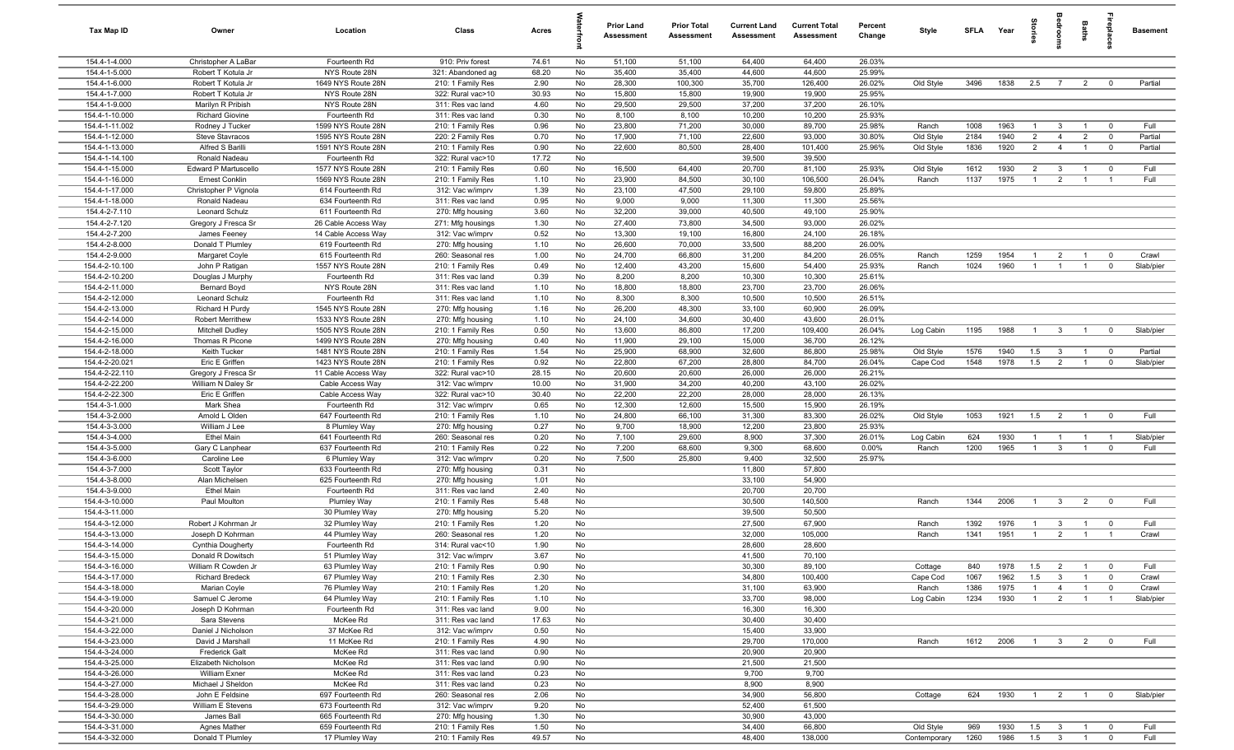| Tax Map ID                     | Owner                           | Location                           | Class                                 | Acres        |          | <b>Prior Land</b><br>Assessment | <b>Prior Total</b><br><b>Assessment</b> | <b>Current Land</b><br><b>Assessment</b> | <b>Current Total</b><br>Assessment | Percent<br>Change | Style        | SFLA        | Year         | tories                           | groo                    | Baths                            | <b>E</b>                         | <b>Basement</b>   |
|--------------------------------|---------------------------------|------------------------------------|---------------------------------------|--------------|----------|---------------------------------|-----------------------------------------|------------------------------------------|------------------------------------|-------------------|--------------|-------------|--------------|----------------------------------|-------------------------|----------------------------------|----------------------------------|-------------------|
| 154.4-1-4.000                  | Christopher A LaBar             | Fourteenth Rd                      | 910: Priv forest                      | 74.61        | No       | 51,100                          | 51,100                                  | 64,400                                   | 64,400                             | 26.03%            |              |             |              |                                  |                         |                                  |                                  |                   |
| 154.4-1-5.000                  | Robert T Kotula Jr              | NYS Route 28N                      | 321: Abandoned ag                     | 68.20        | No       | 35,400                          | 35,400                                  | 44,600                                   | 44,600                             | 25.99%            |              |             |              |                                  |                         |                                  |                                  |                   |
| 154.4-1-6.000                  | Robert T Kotula Jr              | 1649 NYS Route 28N                 | 210: 1 Family Res                     | 2.90         | No       | 28,300                          | 100,300                                 | 35,700                                   | 126,400                            | 26.02%            | Old Style    | 3496        | 1838         | 2.5                              | $\overline{7}$          | $\overline{2}$                   | $\overline{0}$                   | Partial           |
| 154.4-1-7.000                  | Robert T Kotula Jr              | NYS Route 28N                      | 322: Rural vac>10                     | 30.93        | No       | 15,800                          | 15,800                                  | 19,900                                   | 19,900                             | 25.95%            |              |             |              |                                  |                         |                                  |                                  |                   |
| 154.4-1-9.000                  | Marilyn R Pribish               | NYS Route 28N                      | 311: Res vac land                     | 4.60         | No       | 29,500                          | 29,500                                  | 37,200                                   | 37,200                             | 26.10%            |              |             |              |                                  |                         |                                  |                                  |                   |
| 154.4-1-10.000                 | <b>Richard Giovine</b>          | Fourteenth Rd                      | 311: Res vac land                     | 0.30         | No       | 8,100                           | 8,100                                   | 10,200                                   | 10,200                             | 25.93%            |              |             |              |                                  |                         |                                  |                                  |                   |
| 154.4-1-11.002                 | Rodney J Tucker                 | 1599 NYS Route 28N                 | 210: 1 Family Res                     | 0.96         | No       | 23,800                          | 71,200                                  | 30,000                                   | 89,700                             | 25.98%            | Ranch        | 1008        | 1963         | $\overline{1}$                   | $\overline{3}$          | $\overline{1}$                   | $\mathbf 0$                      | Full              |
| 154.4-1-12.000                 | <b>Steve Stavracos</b>          | 1595 NYS Route 28N                 | 220: 2 Family Res                     | 0.70         | No       | 17,900                          | 71,100                                  | 22,600                                   | 93,000                             | 30.80%            | Old Style    | 2184        | 1940         | $\overline{2}$                   | $\overline{4}$          | $\overline{2}$                   | $\Omega$                         | Partial           |
| 154.4-1-13.000                 | Alfred S Barilli                | 1591 NYS Route 28N                 | 210: 1 Family Res                     | 0.90         | No       | 22,600                          | 80,500                                  | 28,400                                   | 101,400                            | 25.96%            | Old Style    | 1836        | 1920         | $\overline{2}$                   | $\overline{4}$          | $\overline{1}$                   | $\overline{\mathbf{0}}$          | Partial           |
| 154.4-1-14.100                 | Ronald Nadeau                   | Fourteenth Rd                      | 322: Rural vac>10                     | 17.72        | No       |                                 |                                         | 39,500                                   | 39,500                             |                   |              |             |              |                                  |                         |                                  |                                  |                   |
| 154.4-1-15.000                 | Edward P Martuscello            | 1577 NYS Route 28N                 | 210: 1 Family Res                     | 0.60         | No       | 16,500                          | 64,400                                  | 20,700                                   | 81,100                             | 25.93%            | Old Style    | 1612        | 1930         | $\overline{2}$                   | $\mathbf{3}$            | $\overline{1}$                   | $\overline{\mathbf{0}}$          | Full              |
| 154.4-1-16.000                 | <b>Ernest Conklin</b>           | 1569 NYS Route 28N                 | 210: 1 Family Res                     | 1.10         | No       | 23,900                          | 84,500                                  | 30,100                                   | 106,500                            | 26.04%            | Ranch        | 1137        | 1975         | $\overline{1}$                   | $\overline{2}$          | $\overline{1}$                   | $\overline{1}$                   | Full              |
| 154.4-1-17.000                 | Christopher P Vignola           | 614 Fourteenth Rd                  | 312: Vac w/imprv                      | 1.39         | No       | 23,100                          | 47,500                                  | 29,100                                   | 59,800                             | 25.89%            |              |             |              |                                  |                         |                                  |                                  |                   |
| 154.4-1-18.000                 | Ronald Nadeau                   | 634 Fourteenth Rd                  | 311: Res vac land                     | 0.95         | No       | 9,000                           | 9,000                                   | 11,300                                   | 11,300                             | 25.56%            |              |             |              |                                  |                         |                                  |                                  |                   |
| 154.4-2-7.110                  | Leonard Schulz                  | 611 Fourteenth Rd                  | 270: Mfg housing                      | 3.60         | No       | 32,200                          | 39,000                                  | 40,500                                   | 49,100                             | 25.90%            |              |             |              |                                  |                         |                                  |                                  |                   |
| 154.4-2-7.120                  | Gregory J Fresca Sr             | 26 Cable Access Way                | 271: Mfg housings                     | 1.30         | No       | 27,400                          | 73,800                                  | 34,500                                   | 93,000                             | 26.02%            |              |             |              |                                  |                         |                                  |                                  |                   |
| 154.4-2-7.200                  | James Feeney                    | 14 Cable Access Way                | 312: Vac w/imprv                      | 0.52         | No       | 13,300                          | 19,100                                  | 16,800                                   | 24,100                             | 26.18%            |              |             |              |                                  |                         |                                  |                                  |                   |
| 154.4-2-8.000                  | Donald T Plumley                | 619 Fourteenth Rd                  | 270: Mfg housing                      | 1.10         | No       | 26,600                          | 70,000                                  | 33,500                                   | 88,200                             | 26.00%            |              |             |              |                                  |                         |                                  |                                  |                   |
| 154.4-2-9.000                  | Margaret Coyle                  | 615 Fourteenth Rd                  | 260: Seasonal res                     | 1.00         | No       | 24,700                          | 66,800                                  | 31,200                                   | 84,200                             | 26.05%            | Ranch        | 1259        | 1954         | $\overline{1}$                   | $\overline{2}$          | $\overline{1}$                   | $\mathbf 0$                      | Crawl             |
| 154.4-2-10.100                 | John P Ratigan                  | 1557 NYS Route 28N                 | 210: 1 Family Res                     | 0.49         | No       | 12,400                          | 43,200                                  | 15,600                                   | 54,400                             | 25.93%            | Ranch        | 1024        | 1960         | $\overline{1}$                   | $\overline{1}$          | $\overline{1}$                   | $\mathbf 0$                      | Slab/pier         |
| 154.4-2-10.200                 | Douglas J Murphy                | Fourteenth Rd                      | 311: Res vac land                     | 0.39         | No       | 8,200                           | 8,200                                   | 10,300                                   | 10,300                             | 25.61%            |              |             |              |                                  |                         |                                  |                                  |                   |
| 154.4-2-11.000                 | <b>Bernard Boyd</b>             | NYS Route 28N                      | 311: Res vac land                     | 1.10         | No       | 18,800                          | 18,800                                  | 23,700                                   | 23,700                             | 26.06%            |              |             |              |                                  |                         |                                  |                                  |                   |
| 154.4-2-12.000                 | Leonard Schulz                  | Fourteenth Rd                      | 311: Res vac land                     | 1.10         | No       | 8,300                           | 8,300                                   | 10,500                                   | 10,500                             | 26.51%            |              |             |              |                                  |                         |                                  |                                  |                   |
| 154.4-2-13.000                 | Richard H Purdy                 | 1545 NYS Route 28N                 | 270: Mfg housing                      | 1.16         | No       | 26,200                          | 48,300                                  | 33,100                                   | 60,900                             | 26.09%            |              |             |              |                                  |                         |                                  |                                  |                   |
| 154.4-2-14.000                 | Robert Merrithew                | 1533 NYS Route 28N                 | 270: Mfg housing                      | 1.10         | No       | 24,100                          | 34,600                                  | 30,400                                   | 43,600                             | 26.01%            |              |             |              |                                  |                         |                                  |                                  |                   |
| 154.4-2-15.000                 | Mitchell Dudley                 | 1505 NYS Route 28N                 | 210: 1 Family Res                     | 0.50         | No       | 13,600                          | 86,800                                  | 17,200                                   | 109,400                            | 26.04%            | Log Cabin    | 1195        | 1988         | $\overline{1}$                   | $\overline{\mathbf{3}}$ | $\overline{1}$                   | $\mathbf{0}$                     | Slab/pier         |
| 154.4-2-16.000                 | Thomas R Picone                 | 1499 NYS Route 28N                 | 270: Mfg housing                      | 0.40         | No       | 11,900                          | 29,100                                  | 15,000                                   | 36,700                             | 26.12%            |              |             |              |                                  |                         |                                  |                                  |                   |
| 154.4-2-18.000                 | Keith Tucker                    | 1481 NYS Route 28N                 | 210: 1 Family Res                     | 1.54         | No       | 25,900                          | 68,900                                  | 32,600                                   | 86,800                             | 25.98%            | Old Style    | 1576        | 1940         | 1.5                              | $\mathbf{3}$            | $\overline{1}$                   | $\overline{\mathbf{0}}$          | Partial           |
| 154.4-2-20.021                 | Eric E Griffen                  | 1423 NYS Route 28N                 | 210: 1 Family Res                     | 0.92         | No       | 22,800                          | 67,200                                  | 28,800                                   | 84,700                             | 26.04%            | Cape Cod     | 1548        | 1978         | 1.5                              | $\overline{2}$          | $\overline{1}$                   | $\overline{0}$                   | Slab/pier         |
| 154.4-2-22.110                 | Gregory J Fresca Sr             | 11 Cable Access Way                | 322: Rural vac>10                     | 28.15        | No       | 20,600                          | 20,600                                  | 26,000                                   | 26,000                             | 26.21%            |              |             |              |                                  |                         |                                  |                                  |                   |
| 154.4-2-22.200                 | William N Daley Sr              | Cable Access Way                   | 312: Vac w/imprv                      | 10.00        | No       | 31,900                          | 34,200                                  | 40,200                                   | 43,100                             | 26.02%            |              |             |              |                                  |                         |                                  |                                  |                   |
| 154.4-2-22.300                 | Eric E Griffen                  | Cable Access Way                   | 322: Rural vac>10                     | 30.40        | No       | 22,200                          | 22,200                                  | 28,000                                   | 28,000                             | 26.13%            |              |             |              |                                  |                         |                                  |                                  |                   |
| 154.4-3-1.000                  | Mark Shea                       | Fourteenth Rd                      | 312: Vac w/imprv                      | 0.65         | No       | 12,300                          | 12,600                                  | 15,500                                   | 15,900                             | 26.19%            |              |             |              |                                  |                         |                                  |                                  |                   |
| 154.4-3-2.000                  | Arnold L Olden                  | 647 Fourteenth Rd                  | 210: 1 Family Res                     | 1.10         | No       | 24,800                          | 66,100                                  | 31,300                                   | 83,300                             | 26.02%            | Old Style    | 1053        | 1921         | 1.5                              | $\overline{2}$          | $\overline{1}$                   | $\overline{0}$                   | Full              |
| 154.4-3-3.000<br>154.4-3-4.000 | William J Lee<br>Ethel Main     | 8 Plumley Way                      | 270: Mfg housing                      | 0.27         | No       | 9,700                           | 18,900                                  | 12,200                                   | 23,800                             | 25.93%            |              |             |              |                                  |                         |                                  |                                  |                   |
| 154.4-3-5.000                  |                                 | 641 Fourteenth Rd                  | 260: Seasonal res                     | 0.20<br>0.22 | No       | 7,100<br>7,200                  | 29,600<br>68,600                        | 8,900                                    | 37,300<br>68,600                   | 26.01%<br>0.00%   | Log Cabin    | 624<br>1200 | 1930<br>1965 | $\overline{1}$<br>$\overline{1}$ | - 1<br>$\mathbf{3}$     | $\overline{1}$<br>$\overline{1}$ | $\overline{1}$<br>$\overline{0}$ | Slab/pier<br>Full |
| 154.4-3-6.000                  | Gary C Lanphear<br>Caroline Lee | 637 Fourteenth Rd<br>6 Plumley Way | 210: 1 Family Res<br>312: Vac w/imprv | 0.20         | No<br>No | 7,500                           | 25,800                                  | 9,300<br>9,400                           | 32,500                             | 25.97%            | Ranch        |             |              |                                  |                         |                                  |                                  |                   |
| 154.4-3-7.000                  | Scott Taylor                    | 633 Fourteenth Rd                  | 270: Mfg housing                      | 0.31         | No       |                                 |                                         | 11,800                                   | 57,800                             |                   |              |             |              |                                  |                         |                                  |                                  |                   |
| 154.4-3-8.000                  | Alan Michelsen                  | 625 Fourteenth Rd                  | 270: Mfg housing                      | 1.01         | No       |                                 |                                         | 33,100                                   | 54,900                             |                   |              |             |              |                                  |                         |                                  |                                  |                   |
| 154.4-3-9.000                  | <b>Ethel Main</b>               | Fourteenth Rd                      | 311: Res vac land                     | 2.40         | No       |                                 |                                         | 20,700                                   | 20,700                             |                   |              |             |              |                                  |                         |                                  |                                  |                   |
| 154.4-3-10.000                 | Paul Moulton                    | <b>Plumley Way</b>                 | 210: 1 Family Res                     | 5.48         | No       |                                 |                                         | 30,500                                   | 140,500                            |                   | Ranch        | 1344        | 2006         | $\overline{1}$                   | $\overline{\mathbf{3}}$ | $\overline{2}$                   | $\mathbf 0$                      | Full              |
| 154.4-3-11.000                 |                                 | 30 Plumley Way                     | 270: Mfg housing                      | 5.20         | No       |                                 |                                         | 39,500                                   | 50,500                             |                   |              |             |              |                                  |                         |                                  |                                  |                   |
| 154.4-3-12.000                 | Robert J Kohrman Jr             | 32 Plumley Way                     | 210: 1 Family Res                     | 1.20         | No       |                                 |                                         | 27,500                                   | 67,900                             |                   | Ranch        | 1392        | 1976         | $\overline{1}$                   | $\mathbf{3}$            | $\overline{1}$                   | $\overline{\mathbf{0}}$          | Full              |
| 154.4-3-13.000                 | Joseph D Kohrman                | 44 Plumley Way                     | 260: Seasonal res                     | 1.20         | No       |                                 |                                         | 32,000                                   | 105,000                            |                   | Ranch        | 1341        | 1951         | $\overline{1}$                   | $\overline{2}$          |                                  |                                  | Crawl             |
| 154.4-3-14.000                 | Cynthia Dougherty               | Fourteenth Rd                      | 314: Rural vac<10                     | 1.90         | No       |                                 |                                         | 28,600                                   | 28,600                             |                   |              |             |              |                                  |                         |                                  |                                  |                   |
| 154.4-3-15.000                 | Donald R Dowitsch               | 51 Plumley Way                     | 312: Vac w/imprv                      | 3.67         | No       |                                 |                                         | 41,500                                   | 70,100                             |                   |              |             |              |                                  |                         |                                  |                                  |                   |
| 154.4-3-16.000                 | William R Cowden Jr             | 63 Plumley Way                     | 210: 1 Family Res                     | 0.90         | No       |                                 |                                         | 30,300                                   | 89,100                             |                   | Cottage      | 840         | 1978         | 1.5                              | $\overline{2}$          | $\overline{1}$                   | $\overline{\mathbf{0}}$          | Full              |
| 154.4-3-17.000                 | <b>Richard Bredeck</b>          | 67 Plumley Way                     | 210: 1 Family Res                     | 2.30         | No       |                                 |                                         | 34,800                                   | 100,400                            |                   | Cape Cod     | 1067        | 1962         | 1.5                              | $\mathbf{3}$            | $\overline{1}$                   | $\overline{0}$                   | Crawl             |
| 154.4-3-18.000                 | Marian Coyle                    | 76 Plumley Way                     | 210: 1 Family Res                     | 1.20         | No       |                                 |                                         | 31,100                                   | 63,900                             |                   | Ranch        | 1386        | 1975         | $\overline{1}$                   | $\overline{4}$          | $\overline{1}$                   | $\overline{0}$                   | Crawl             |
| 154.4-3-19.000                 | Samuel C Jerome                 | 64 Plumley Way                     | 210: 1 Family Res                     | 1.10         | No       |                                 |                                         | 33,700                                   | 98,000                             |                   | Log Cabin    | 1234        | 1930         | $\overline{1}$                   | $\overline{2}$          | $\overline{1}$                   | $\overline{1}$                   | Slab/pier         |
| 154.4-3-20.000                 | Joseph D Kohrman                | Fourteenth Rd                      | 311: Res vac land                     | 9.00         | No       |                                 |                                         | 16,300                                   | 16,300                             |                   |              |             |              |                                  |                         |                                  |                                  |                   |
| 154.4-3-21.000                 | Sara Stevens                    | McKee Rd                           | 311: Res vac land                     | 17.63        | No       |                                 |                                         | 30,400                                   | 30,400                             |                   |              |             |              |                                  |                         |                                  |                                  |                   |
| 154.4-3-22.000                 | Daniel J Nicholson              | 37 McKee Rd                        | 312: Vac w/imprv                      | 0.50         | No       |                                 |                                         | 15,400                                   | 33,900                             |                   |              |             |              |                                  |                         |                                  |                                  |                   |
| 154.4-3-23.000                 | David J Marshall                | 11 McKee Rd                        | 210: 1 Family Res                     | 4.90         | No       |                                 |                                         | 29,700                                   | 170,000                            |                   | Ranch        | 1612        | 2006         | $\overline{1}$                   | $3\qquad2$              |                                  | $\overline{0}$                   | Full              |
| 154.4-3-24.000                 | Frederick Galt                  | McKee Rd                           | 311: Res vac land                     | 0.90         | No       |                                 |                                         | 20,900                                   | 20,900                             |                   |              |             |              |                                  |                         |                                  |                                  |                   |
| 154.4-3-25.000                 | Elizabeth Nicholson             | McKee Rd                           | 311: Res vac land                     | 0.90         | No       |                                 |                                         | 21,500                                   | 21,500                             |                   |              |             |              |                                  |                         |                                  |                                  |                   |
| 154.4-3-26.000                 | <b>William Exner</b>            | McKee Rd                           | 311: Res vac land                     | 0.23         | No       |                                 |                                         | 9,700                                    | 9,700                              |                   |              |             |              |                                  |                         |                                  |                                  |                   |
| 154.4-3-27.000                 | Michael J Sheldon               | McKee Rd                           | 311: Res vac land                     | 0.23         | No       |                                 |                                         | 8,900                                    | 8,900                              |                   |              |             |              |                                  |                         |                                  |                                  |                   |
| 154.4-3-28.000                 | John E Feldsine                 | 697 Fourteenth Rd                  | 260: Seasonal res                     | 2.06         | No       |                                 |                                         | 34,900                                   | 56,800                             |                   | Cottage      | 624         | 1930         | $\overline{1}$                   | $\overline{2}$          | $\overline{1}$                   | $\overline{\mathbf{0}}$          | Slab/pier         |
| 154.4-3-29.000                 | William E Stevens               | 673 Fourteenth Rd                  | 312: Vac w/imprv                      | 9.20         | No       |                                 |                                         | 52,400                                   | 61,500                             |                   |              |             |              |                                  |                         |                                  |                                  |                   |
| 154.4-3-30.000                 | James Ball                      | 665 Fourteenth Rd                  | 270: Mfg housing                      | 1.30         | No       |                                 |                                         | 30,900                                   | 43,000                             |                   |              |             |              |                                  |                         |                                  |                                  |                   |
| 154.4-3-31.000                 | Agnes Mather                    | 659 Fourteenth Rd                  | 210: 1 Family Res                     | 1.50         | No       |                                 |                                         | 34,400                                   | 66,800                             |                   | Old Style    | 969         | 1930         | 1.5                              | $\overline{\mathbf{3}}$ | $\overline{1}$                   | $\mathbf 0$                      | Full              |
| 154.4-3-32.000                 | Donald T Plumley                | 17 Plumley Way                     | 210: 1 Family Res                     | 49.57        | No       |                                 |                                         | 48,400                                   | 138,000                            |                   | Contemporary | 1260        | 1986         | 1.5                              | $\overline{\mathbf{3}}$ | $\overline{1}$                   | $\overline{0}$                   | Full              |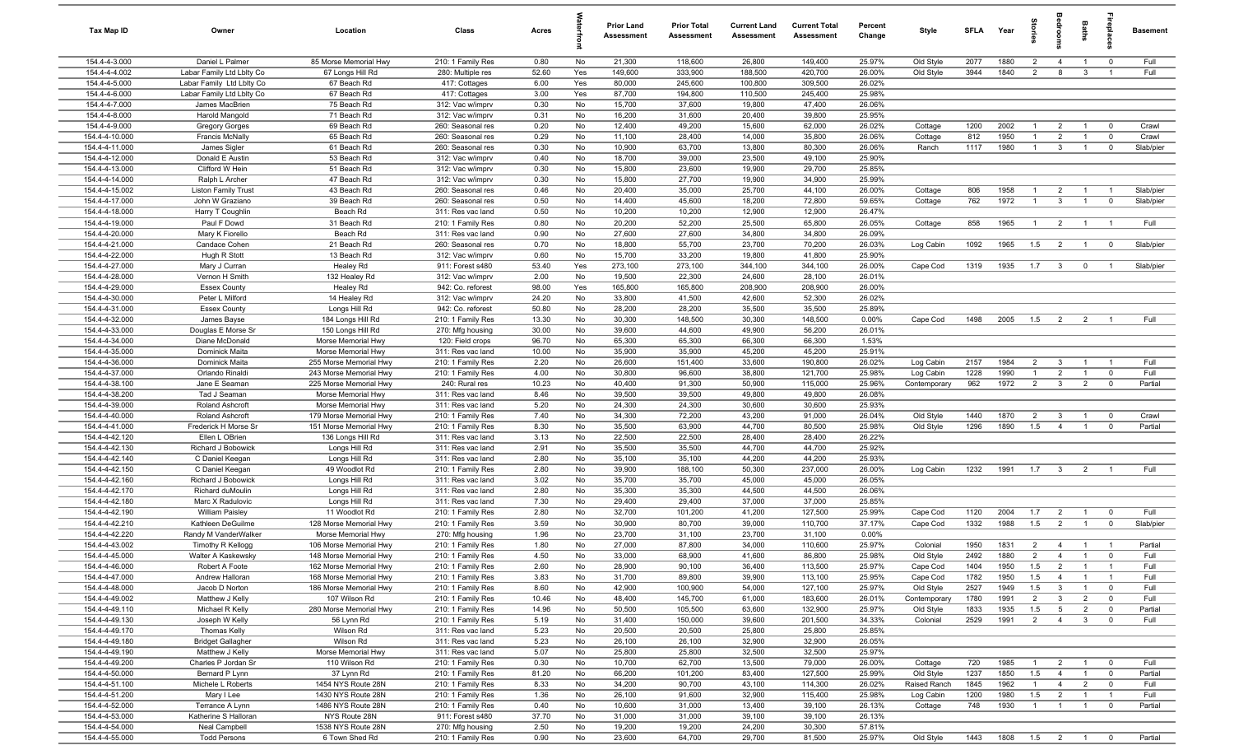| Tax Map ID                       | Owner                                   | Location                                         | Class                                  | Acres         |          | <b>Prior Land</b><br>Assessment | <b>Prior Total</b><br>Assessment | <b>Current Land</b><br><b>Assessment</b> | <b>Current Total</b><br>Assessment | Percent<br>Change | Style                 | <b>SFLA</b>  | Year            | ā                               | groo                           | Baths                          | 융                       | <b>Basement</b> |
|----------------------------------|-----------------------------------------|--------------------------------------------------|----------------------------------------|---------------|----------|---------------------------------|----------------------------------|------------------------------------------|------------------------------------|-------------------|-----------------------|--------------|-----------------|---------------------------------|--------------------------------|--------------------------------|-------------------------|-----------------|
| 154.4-4-3.000                    | Daniel L Palmer                         | 85 Morse Memorial Hwy                            | 210: 1 Family Res                      | 0.80          | No       | 21,300                          | 118,600                          | 26,800                                   | 149,400                            | 25.97%            | Old Style             | 2077         | 1880            | $\overline{2}$                  | $\overline{4}$                 | $\overline{1}$                 | $^{\circ}$              | Full            |
| 154.4-4-4.002                    | Labar Family Ltd Lblty Co               | 67 Longs Hill Rd                                 | 280: Multiple res                      | 52.60         | Yes      | 149,600                         | 333,900                          | 188,500                                  | 420,700                            | 26.00%            | Old Style             | 3944         | 1840            | $\overline{2}$                  | 8                              | $\mathbf{3}$                   | $\overline{1}$          | Full            |
| 154.4-4-5.000                    | Labar Family Ltd Lblty Co               | 67 Beach Rd                                      | 417: Cottages                          | 6.00          | Yes      | 80,000                          | 245,600                          | 100,800                                  | 309,500                            | 26.02%            |                       |              |                 |                                 |                                |                                |                         |                 |
| 154.4-4-6.000<br>154.4-4-7.000   | Labar Family Ltd Lblty Co               | 67 Beach Rd                                      | 417: Cottages                          | 3.00          | Yes      | 87,700                          | 194,800                          | 110,500                                  | 245,400                            | 25.98%            |                       |              |                 |                                 |                                |                                |                         |                 |
| 154.4-4-8.000                    | James MacBrien<br>Harold Mangold        | 75 Beach Rd<br>71 Beach Rd                       | 312: Vac w/imprv<br>312: Vac w/imprv   | 0.30<br>0.31  | No<br>No | 15,700<br>16,200                | 37,600<br>31,600                 | 19,800<br>20,400                         | 47,400<br>39,800                   | 26.06%<br>25.95%  |                       |              |                 |                                 |                                |                                |                         |                 |
| 154.4-4-9.000                    | <b>Gregory Gorges</b>                   | 69 Beach Rd                                      | 260: Seasonal res                      | 0.20          | No       | 12,400                          | 49,200                           | 15,600                                   | 62,000                             | 26.02%            | Cottage               | 1200         | 2002            | -1                              | $\overline{2}$                 | $\overline{1}$                 | $\Omega$                | Crawl           |
| 154.4-4-10.000                   | <b>Francis McNally</b>                  | 65 Beach Rd                                      | 260: Seasonal res                      | 0.29          | No       | 11,100                          | 28,400                           | 14,000                                   | 35,800                             | 26.06%            | Cottage               | 812          | 1950            | $\overline{1}$                  | $\overline{2}$                 | $\overline{1}$                 | $\mathbf 0$             | Crawl           |
| 154.4-4-11.000                   | James Sigler                            | 61 Beach Rd                                      | 260: Seasonal res                      | 0.30          | No       | 10,900                          | 63,700                           | 13,800                                   | 80,300                             | 26.06%            | Ranch                 | 1117         | 1980            | $\overline{1}$                  | $\mathbf{3}$                   | $\overline{1}$                 | $\overline{\mathbf{0}}$ | Slab/pier       |
| 154.4-4-12.000                   | Donald E Austin                         | 53 Beach Rd                                      | 312: Vac w/imprv                       | 0.40          | No       | 18,700                          | 39,000                           | 23,500                                   | 49,100                             | 25.90%            |                       |              |                 |                                 |                                |                                |                         |                 |
| 154.4-4-13.000                   | Clifford W Hein                         | 51 Beach Rd                                      | 312: Vac w/imprv                       | 0.30          | No       | 15,800                          | 23,600                           | 19,900                                   | 29,700                             | 25.85%            |                       |              |                 |                                 |                                |                                |                         |                 |
| 154.4-4-14.000                   | Ralph L Archer                          | 47 Beach Rd                                      | 312: Vac w/imprv                       | 0.30          | No       | 15,800                          | 27,700                           | 19,900                                   | 34,900                             | 25.99%            |                       |              |                 |                                 |                                |                                |                         |                 |
| 154.4-4-15.002                   | <b>Liston Family Trust</b>              | 43 Beach Rd                                      | 260: Seasonal res                      | 0.46          | No       | 20,400                          | 35,000                           | 25,700                                   | 44,100                             | 26.00%            | Cottage               | 806          | 1958            | $\mathbf{1}$                    | $\overline{2}$                 | -1                             |                         | Slab/pier       |
| 154.4-4-17.000                   | John W Graziano                         | 39 Beach Rd                                      | 260: Seasonal res                      | 0.50          | No       | 14,400                          | 45,600                           | 18,200                                   | 72,800                             | 59.65%            | Cottage               | 762          | 1972            | $\overline{1}$                  | $\mathbf{3}$                   | $\overline{1}$                 | $\mathbf 0$             | Slab/pier       |
| 154.4-4-18.000                   | Harry T Coughlin                        | Beach Rd                                         | 311: Res vac land                      | 0.50          | No       | 10,200                          | 10,200                           | 12,900                                   | 12,900                             | 26.47%            |                       |              |                 |                                 |                                |                                |                         |                 |
| 154.4-4-19.000                   | Paul F Dowd                             | 31 Beach Rd                                      | 210: 1 Family Res                      | 0.80          | No       | 20,200                          | 52,200                           | 25,500                                   | 65,800                             | 26.05%            | Cottage               | 858          | 1965            | $\overline{1}$                  | $\overline{2}$                 | $\overline{1}$                 | $\overline{1}$          | Full            |
| 154.4-4-20.000                   | Mary K Fiorello                         | Beach Rd                                         | 311: Res vac land                      | 0.90          | No       | 27,600                          | 27,600                           | 34,800                                   | 34,800                             | 26.09%            |                       |              |                 |                                 |                                |                                |                         |                 |
| 154.4-4-21.000<br>154.4-4-22.000 | Candace Cohen                           | 21 Beach Rd<br>13 Beach Rd                       | 260: Seasonal res                      | 0.70<br>0.60  | No<br>No | 18,800<br>15,700                | 55,700<br>33,200                 | 23,700<br>19,800                         | 70,200<br>41,800                   | 26.03%<br>25.90%  | Log Cabin             | 1092         | 1965            | 1.5                             | $\overline{2}$                 | $\overline{1}$                 | $\overline{\mathbf{0}}$ | Slab/pier       |
| 154.4-4-27.000                   | Hugh R Stott<br>Mary J Curran           | Healey Rd                                        | 312: Vac w/imprv<br>911: Forest s480   | 53.40         | Yes      | 273,100                         | 273,100                          | 344,100                                  | 344,100                            | 26.00%            | Cape Cod              | 1319         | 1935            | 1.7                             | $\mathbf{3}$                   | $\overline{0}$                 | $\overline{1}$          | Slab/pier       |
| 154.4-4-28.000                   | Vernon H Smith                          | 132 Healey Rd                                    | 312: Vac w/imprv                       | 2.00          | No       | 19,500                          | 22,300                           | 24,600                                   | 28,100                             | 26.01%            |                       |              |                 |                                 |                                |                                |                         |                 |
| 154.4-4-29.000                   | <b>Essex County</b>                     | Healey Rd                                        | 942: Co. reforest                      | 98.00         | Yes      | 165,800                         | 165,800                          | 208,900                                  | 208,900                            | 26.00%            |                       |              |                 |                                 |                                |                                |                         |                 |
| 154.4-4-30.000                   | Peter L Milford                         | 14 Healey Rd                                     | 312: Vac w/imprv                       | 24.20         | No       | 33,800                          | 41,500                           | 42,600                                   | 52,300                             | 26.02%            |                       |              |                 |                                 |                                |                                |                         |                 |
| 154.4-4-31.000                   | <b>Essex County</b>                     | Longs Hill Rd                                    | 942: Co. reforest                      | 50.80         | No       | 28,200                          | 28,200                           | 35,500                                   | 35,500                             | 25.89%            |                       |              |                 |                                 |                                |                                |                         |                 |
| 154.4-4-32.000                   | James Bayse                             | 184 Longs Hill Rd                                | 210: 1 Family Res                      | 13.30         | No       | 30,300                          | 148,500                          | 30,300                                   | 148,500                            | 0.00%             | Cape Cod              | 1498         | 2005            | 1.5                             | $\overline{2}$                 | $\overline{2}$                 | $\overline{1}$          | Full            |
| 154.4-4-33.000                   | Douglas E Morse Sr                      | 150 Longs Hill Rd                                | 270: Mfg housing                       | 30.00         | No       | 39,600                          | 44,600                           | 49,900                                   | 56,200                             | 26.01%            |                       |              |                 |                                 |                                |                                |                         |                 |
| 154.4-4-34.000                   | Diane McDonald                          | Morse Memorial Hwy                               | 120: Field crops                       | 96.70         | No       | 65,300                          | 65,300                           | 66,300                                   | 66,300                             | 1.53%             |                       |              |                 |                                 |                                |                                |                         |                 |
| 154.4-4-35.000                   | Dominick Maita                          | Morse Memorial Hwy                               | 311: Res vac land                      | 10.00         | No       | 35,900                          | 35,900                           | 45,200                                   | 45,200                             | 25.91%            |                       |              |                 |                                 |                                |                                |                         |                 |
| 154.4-4-36.000                   | Dominick Maita                          | 255 Morse Memorial Hwy                           | 210: 1 Family Res                      | 2.20          | No       | 26,600                          | 151,400                          | 33,600                                   | 190,800                            | 26.02%            | Log Cabin             | 2157         | 1984            | $\overline{2}$                  | $\mathbf{3}$                   | $\overline{1}$                 | $\overline{1}$          | Full            |
| 154.4-4-37.000                   | Orlando Rinaldi                         | 243 Morse Memorial Hwy                           | 210: 1 Family Res                      | 4.00          | No       | 30,800                          | 96,600                           | 38,800                                   | 121,700                            | 25.98%            | Log Cabin             | 1228         | 1990            | $\overline{1}$                  | $\overline{2}$                 | $\overline{1}$                 | $^{\circ}$              | Full            |
| 154.4-4-38.100                   | Jane E Seaman                           | 225 Morse Memorial Hwy                           | 240: Rural res                         | 10.23         | No       | 40,400                          | 91,300                           | 50,900                                   | 115,000                            | 25.96%            | Contemporary          | 962          | 1972            | $\overline{2}$                  | $\mathbf{3}$                   | $\overline{2}$                 | $\mathbf 0$             | Partial         |
| 154.4-4-38.200<br>154.4-4-39.000 | Tad J Seaman<br>Roland Ashcroft         | Morse Memorial Hwy<br>Morse Memorial Hwy         | 311: Res vac land                      | 8.46<br>5.20  | No<br>No | 39,500<br>24,300                | 39,500<br>24,300                 | 49,800<br>30,600                         | 49,800<br>30,600                   | 26.08%<br>25.93%  |                       |              |                 |                                 |                                |                                |                         |                 |
| 154.4-4-40.000                   | Roland Ashcroft                         | 179 Morse Memorial Hwy                           | 311: Res vac land<br>210: 1 Family Res | 7.40          | No       | 34,300                          | 72,200                           | 43,200                                   | 91,000                             | 26.04%            | Old Style             | 1440         | 1870            | 2                               | $\mathbf{3}$                   | $\overline{1}$                 | $\overline{\mathbf{0}}$ | Crawl           |
| 154.4-4-41.000                   | Frederick H Morse Sr                    | 151 Morse Memorial Hwy                           | 210: 1 Family Res                      | 8.30          | No       | 35,500                          | 63,900                           | 44,700                                   | 80,500                             | 25.98%            | Old Style             | 1296         | 1890            | 1.5                             | $\overline{4}$                 | $\overline{1}$                 | $\mathbf 0$             | Partial         |
| 154.4-4-42.120                   | Ellen L OBrien                          | 136 Longs Hill Rd                                | 311: Res vac land                      | 3.13          | No       | 22,500                          | 22,500                           | 28,400                                   | 28,400                             | 26.22%            |                       |              |                 |                                 |                                |                                |                         |                 |
| 154.4-4-42.130                   | Richard J Bobowick                      | Longs Hill Rd                                    | 311: Res vac land                      | 2.91          | No       | 35,500                          | 35,500                           | 44,700                                   | 44,700                             | 25.92%            |                       |              |                 |                                 |                                |                                |                         |                 |
| 154.4-4-42.140                   | C Daniel Keegan                         | Longs Hill Rd                                    | 311: Res vac land                      | 2.80          | No       | 35,100                          | 35,100                           | 44,200                                   | 44,200                             | 25.93%            |                       |              |                 |                                 |                                |                                |                         |                 |
| 154.4-4-42.150                   | C Daniel Keegan                         | 49 Woodlot Rd                                    | 210: 1 Family Res                      | 2.80          | No       | 39,900                          | 188,100                          | 50,300                                   | 237,000                            | 26.00%            | Log Cabin             | 1232         | 1991            | 1.7                             | $\overline{\mathbf{3}}$        | $\overline{2}$                 |                         | Full            |
| 154.4-4-42.160                   | Richard J Bobowick                      | Longs Hill Rd                                    | 311: Res vac land                      | 3.02          | No       | 35,700                          | 35,700                           | 45,000                                   | 45,000                             | 26.05%            |                       |              |                 |                                 |                                |                                |                         |                 |
| 154.4-4-42.170                   | Richard duMoulin                        | Longs Hill Rd                                    | 311: Res vac land                      | 2.80          | No       | 35,300                          | 35,300                           | 44,500                                   | 44,500                             | 26.06%            |                       |              |                 |                                 |                                |                                |                         |                 |
| 154.4-4-42.180                   | Marc X Radulovic                        | Longs Hill Rd                                    | 311: Res vac land                      | 7.30          | No       | 29,400                          | 29,400                           | 37,000                                   | 37,000                             | 25.85%            |                       |              |                 |                                 |                                |                                |                         |                 |
| 154.4-4-42.190                   | <b>William Paisley</b>                  | 11 Woodlot Rd                                    | 210: 1 Family Res                      | 2.80          | No       | 32,700                          | 101,200                          | 41,200                                   | 127,500                            | 25.99%            | Cape Cod              | 1120         | 2004            | 1.7                             | $\overline{2}$                 | $\overline{1}$                 | $\mathbf 0$             | Full            |
| 154.4-4-42.210                   | Kathleen DeGuilme                       | 128 Morse Memorial Hwy                           | 210: 1 Family Res                      | 3.59          | No       | 30,900                          | 80,700                           | 39,000                                   | 110,700                            | 37.17%            | Cape Cod              | 1332         | 1988            | 1.5                             | $\overline{2}$                 | $\overline{1}$                 | $\mathbf 0$             | Slab/pier       |
| 154.4-4-42.220                   | Randy M VanderWalker                    | Morse Memorial Hwy                               | 270: Mfg housing                       | 1.96          | No       | 23,700                          | 31,100                           | 23,700                                   | 31,100                             | 0.00%             |                       |              |                 |                                 |                                |                                |                         |                 |
| 154.4-4-43.002<br>154.4-4-45.000 | Timothy R Kellogg<br>Walter A Kaskewsky | 106 Morse Memorial Hwy<br>148 Morse Memorial Hwy | 210: 1 Family Res<br>210: 1 Family Res | 1.80<br>4.50  | No<br>No | 27,000<br>33,000                | 87,800<br>68,900                 | 34,000<br>41,600                         | 110,600<br>86,800                  | 25.97%<br>25.98%  | Colonial<br>Old Style | 1950<br>2492 | 1831<br>1880    | $\overline{2}$<br>$\mathcal{P}$ | $\overline{4}$<br>$\mathbf{A}$ | $\overline{1}$<br>$\mathbf{1}$ | 0                       | Partial<br>Full |
| 154.4-4-46.000                   | Robert A Foote                          | 162 Morse Memorial Hwy                           | 210: 1 Family Res                      | 2.60          | No       | 28,900                          | 90,100                           | 36,400                                   | 113,500                            | 25.97%            | Cape Cod              | 1404         | 1950            | 1.5                             | $\overline{2}$                 | $\overline{1}$                 | $\overline{1}$          | Full            |
| 154.4-4-47.000                   | Andrew Halloran                         | 168 Morse Memorial Hwy                           | 210: 1 Family Res                      | 3.83          | No       | 31,700                          | 89,800                           | 39,900                                   | 113,100                            | 25.95%            | Cape Cod              | 1782         | 1950            | 1.5                             | $\overline{4}$                 | $\overline{1}$                 | $\overline{1}$          | Full            |
| 154.4-4-48.000                   | Jacob D Norton                          | 186 Morse Memorial Hwy                           | 210: 1 Family Res                      | 8.60          | No       | 42,900                          | 100,900                          | 54,000                                   | 127,100                            | 25.97%            | Old Style             | 2527         | 1949            | 1.5                             | $\mathbf{3}$                   | $\overline{1}$                 | $\mathbf 0$             | Full            |
| 154.4-4-49.002                   | Matthew J Kelly                         | 107 Wilson Rd                                    | 210: 1 Family Res                      | 10.46         | No       | 48,400                          | 145,700                          | 61,000                                   | 183,600                            | 26.01%            | Contemporary          | 1780         | 1991            | $\overline{2}$                  | 3                              | $\overline{2}$                 | $\overline{0}$          | Full            |
| 154.4-4-49.110                   | Michael R Kelly                         | 280 Morse Memorial Hwy                           | 210: 1 Family Res                      | 14.96         | No       | 50,500                          | 105,500                          | 63,600                                   | 132,900                            | 25.97%            | Old Style             | 1833         | 1935            | 1.5                             | $5\overline{)}$                | $\overline{2}$                 | $\mathbf 0$             | Partial         |
| 154.4-4-49.130                   | Joseph W Kelly                          | 56 Lynn Rd                                       | 210: 1 Family Res                      | 5.19          | No       | 31,400                          | 150,000                          | 39,600                                   | 201,500                            | 34.33%            | Colonial              | 2529         | 1991            | $\overline{2}$                  | $\overline{4}$                 | $\mathbf{3}$                   | $\mathbf 0$             | Full            |
| 154.4-4-49.170                   | <b>Thomas Kelly</b>                     | Wilson Rd                                        | 311: Res vac land                      | 5.23          | No       | 20,500                          | 20,500                           | 25,800                                   | 25,800                             | 25.85%            |                       |              |                 |                                 |                                |                                |                         |                 |
| 154.4-4-49.180                   | <b>Bridget Gallagher</b>                | Wilson Rd                                        | 311: Res vac land                      | 5.23          | No       | 26,100                          | 26,100                           | 32,900                                   | 32,900                             | 26.05%            |                       |              |                 |                                 |                                |                                |                         |                 |
| 154.4-4-49.190                   | Matthew J Kelly                         | Morse Memorial Hwy                               | 311: Res vac land                      | 5.07          | No       | 25,800                          | 25,800                           | 32,500                                   | 32,500                             | 25.97%            |                       |              |                 |                                 |                                |                                |                         |                 |
| 154.4-4-49.200                   | Charles P Jordan Sr                     | 110 Wilson Rd                                    | 210: 1 Family Res                      | 0.30          | No       | 10,700                          | 62,700                           | 13,500                                   | 79,000                             | 26.00%            | Cottage               | 720          | 1985            | $\mathbf{1}$                    | $\overline{2}$                 | $\overline{1}$                 | $\overline{\mathbf{0}}$ | Full            |
| 154.4-4-50.000                   | Bernard P Lynn                          | 37 Lynn Rd                                       | 210: 1 Family Res                      | 81.20         | No       | 66,200                          | 101,200                          | 83,400                                   | 127,500                            | 25.99%            | Old Style             | 1237         | 1850            | 1.5                             | $\overline{4}$                 | $\overline{1}$                 | $\overline{0}$          | Partial         |
| 154.4-4-51.100                   | Michele L Roberts                       | 1454 NYS Route 28N                               | 210: 1 Family Res                      | 8.33          | No       | 34,200                          | 90,700                           | 43,100                                   | 114,300                            | 26.02%            | Raised Ranch          | 1845         | 1962            | $\overline{1}$                  | $\overline{4}$                 | $\overline{2}$                 | $\mathbf 0$             | Full            |
| 154.4-4-51.200                   | Mary I Lee                              | 1430 NYS Route 28N                               | 210: 1 Family Res                      | 1.36          | No       | 26,100                          | 91,600                           | 32,900                                   | 115,400                            | 25.98%            | Log Cabin             | 1200         | 1980            | 1.5                             | $\overline{2}$                 | $\overline{1}$                 | $\overline{1}$          | Full            |
| 154.4-4-52.000                   | Terrance A Lynn                         | 1486 NYS Route 28N                               | 210: 1 Family Res<br>911: Forest s480  | 0.40          | No       | 10,600                          | 31,000                           | 13,400                                   | 39,100                             | 26.13%            | Cottage               | 748          | 1930            | $\overline{1}$                  | $\overline{1}$                 | $\overline{1}$                 | $\mathbf 0$             | Partial         |
| 154.4-4-53.000<br>154.4-4-54.000 | Katherine S Halloran<br>Neal Campbell   | NYS Route 28N<br>1538 NYS Route 28N              | 270: Mfg housing                       | 37.70<br>2.50 | No<br>No | 31,000<br>19,200                | 31,000<br>19,200                 | 39,100<br>24,200                         | 39,100<br>30,300                   | 26.13%<br>57.81%  |                       |              |                 |                                 |                                |                                |                         |                 |
| 154.4-4-55.000                   | <b>Todd Persons</b>                     | 6 Town Shed Rd                                   | 210: 1 Family Res                      | 0.90          | No       | 23,600                          | 64,700                           | 29,700                                   | 81,500                             | 25.97%            | Old Style             | 1443         | 1808  1.5  2  1 |                                 |                                |                                | $\overline{0}$          | Partial         |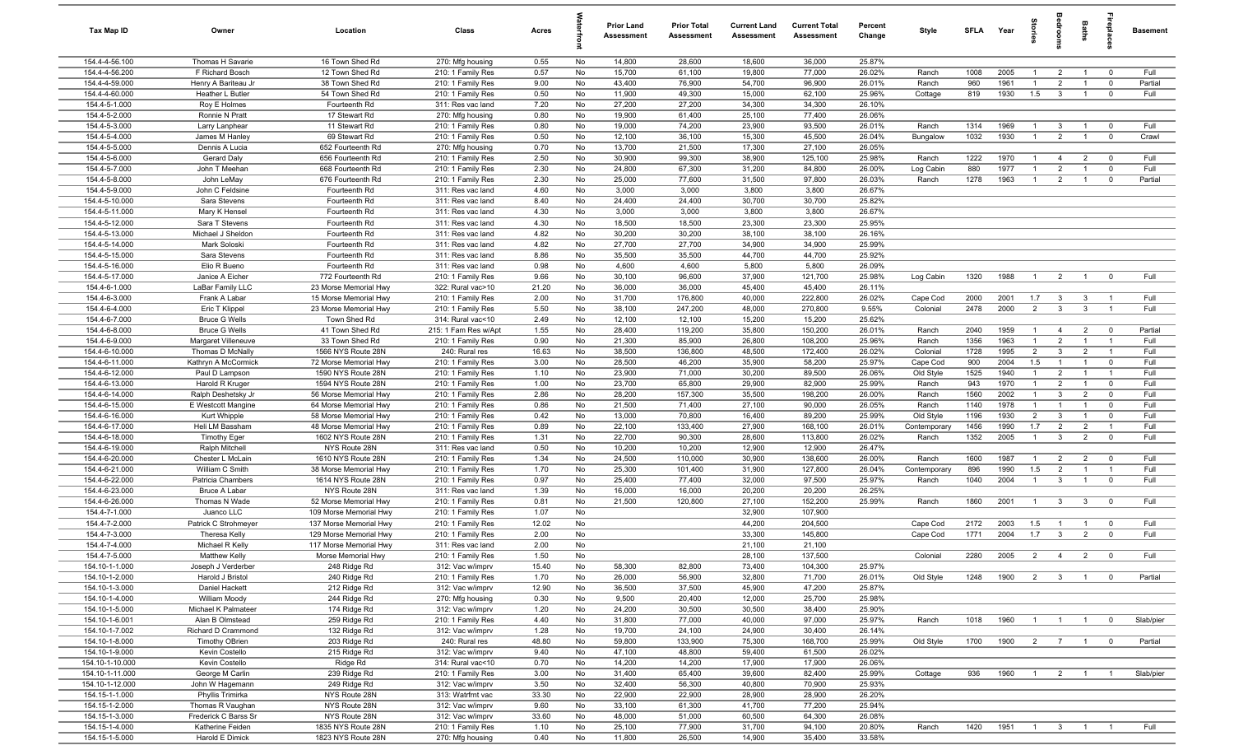| Tax Map ID                       | Owner                                       | Location                               | Class                                     | Acres         |          | <b>Prior Land</b><br>Assessment | <b>Prior Total</b><br>Assessment | <b>Current Land</b><br><b>Assessment</b> | <b>Current Total</b><br>Assessment | Percent<br>Change | Style              | <b>SFLA</b>  | Year         | tories                           | droom                            | Baths                            | Lebia                   | <b>Basement</b> |
|----------------------------------|---------------------------------------------|----------------------------------------|-------------------------------------------|---------------|----------|---------------------------------|----------------------------------|------------------------------------------|------------------------------------|-------------------|--------------------|--------------|--------------|----------------------------------|----------------------------------|----------------------------------|-------------------------|-----------------|
| 154.4-4-56.100                   | Thomas H Savarie                            | 16 Town Shed Rd                        | 270: Mfg housing                          | 0.55          | No       | 14,800                          | 28,600                           | 18,600                                   | 36,000                             | 25.87%            |                    |              |              |                                  |                                  |                                  |                         |                 |
| 154.4-4-56.200                   | F Richard Bosch                             | 12 Town Shed Rd                        | 210: 1 Family Res                         | 0.57          | No       | 15,700                          | 61,100                           | 19,800                                   | 77,000                             | 26.02%            | Ranch              | 1008         | 2005         | $\mathbf{1}$                     | $\overline{2}$                   | $\overline{1}$                   | $^{\circ}$              | Full            |
| 154.4-4-59.000                   | Henry A Bariteau Jr                         | 38 Town Shed Rd                        | 210: 1 Family Res                         | 9.00          | No       | 43,400                          | 76,900                           | 54,700                                   | 96,900                             | 26.01%            | Ranch              | 960          | 1961         | -1                               | $\overline{2}$                   | $\overline{1}$                   | $\mathbf 0$             | Partial         |
| 154.4-4-60.000                   | Heather L Butler                            | 54 Town Shed Rd                        | 210: 1 Family Res                         | 0.50          | No       | 11,900                          | 49,300                           | 15,000                                   | 62,100                             | 25.96%            | Cottage            | 819          | 1930         | 1.5                              | $\mathbf{3}$                     | $\overline{1}$                   | $\mathbf 0$             | Full            |
| 154.4-5-1.000                    | Roy E Holmes                                | Fourteenth Rd                          | 311: Res vac land                         | 7.20          | No       | 27,200                          | 27,200                           | 34,300                                   | 34,300                             | 26.10%            |                    |              |              |                                  |                                  |                                  |                         |                 |
| 154.4-5-2.000                    | Ronnie N Pratt                              | 17 Stewart Rd                          | 270: Mfg housing                          | 0.80          | No       | 19,900                          | 61,400                           | 25,100                                   | 77,400                             | 26.06%            |                    |              |              |                                  |                                  |                                  |                         |                 |
| 154.4-5-3.000                    | Larry Lanphear                              | 11 Stewart Rd                          | 210: 1 Family Res                         | 0.80          | No       | 19,000                          | 74,200                           | 23,900                                   | 93,500                             | 26.01%            | Ranch              | 1314         | 1969         | $\overline{1}$                   | $\mathbf{3}$                     | $\overline{1}$                   | $\mathbf{0}$            | Full            |
| 154.4-5-4.000                    | James M Hanley                              | 69 Stewart Rd                          | 210: 1 Family Res                         | 0.50          | No       | 12,100                          | 36,100                           | 15,300                                   | 45,500                             | 26.04%            | Bungalow           | 1032         | 1930         | $\overline{1}$                   | $\overline{2}$                   | $\overline{1}$                   | $\mathbf 0$             | Crawl           |
| 154.4-5-5.000<br>154.4-5-6.000   | Dennis A Lucia                              | 652 Fourteenth Rd                      | 270: Mfg housing                          | 0.70          | No       | 13,700<br>30,900                | 21,500<br>99,300                 | 17,300<br>38,900                         | 27,100<br>125,100                  | 26.05%<br>25.98%  |                    | 1222         | 1970         |                                  |                                  |                                  | $\overline{0}$          | Full            |
| 154.4-5-7.000                    | Gerard Daly<br>John T Meehan                | 656 Fourteenth Rd<br>668 Fourteenth Rd | 210: 1 Family Res<br>210: 1 Family Res    | 2.50<br>2.30  | No<br>No | 24,800                          | 67,300                           | 31,200                                   | 84,800                             | 26.00%            | Ranch<br>Log Cabin | 880          | 1977         | $\overline{1}$<br>$\overline{1}$ | $\overline{4}$<br>$\overline{2}$ | $\overline{2}$<br>$\overline{1}$ | $\mathbf 0$             | Full            |
| 154.4-5-8.000                    | John LeMay                                  | 676 Fourteenth Rd                      | 210: 1 Family Res                         | 2.30          | No       | 25,000                          | 77,600                           | 31,500                                   | 97,800                             | 26.03%            | Ranch              | 1278         | 1963         | $\overline{1}$                   | $\overline{2}$                   | $\overline{1}$                   | $\mathbf 0$             | Partial         |
| 154.4-5-9.000                    | John C Feldsine                             | Fourteenth Rd                          | 311: Res vac land                         | 4.60          | No       | 3,000                           | 3,000                            | 3,800                                    | 3,800                              | 26.67%            |                    |              |              |                                  |                                  |                                  |                         |                 |
| 154.4-5-10.000                   | Sara Stevens                                | Fourteenth Rd                          | 311: Res vac land                         | 8.40          | No       | 24,400                          | 24,400                           | 30,700                                   | 30,700                             | 25.82%            |                    |              |              |                                  |                                  |                                  |                         |                 |
| 154.4-5-11.000                   | Mary K Hensel                               | Fourteenth Rd                          | 311: Res vac land                         | 4.30          | No       | 3,000                           | 3,000                            | 3,800                                    | 3,800                              | 26.67%            |                    |              |              |                                  |                                  |                                  |                         |                 |
| 154.4-5-12.000                   | Sara T Stevens                              | Fourteenth Rd                          | 311: Res vac land                         | 4.30          | No       | 18,500                          | 18,500                           | 23,300                                   | 23,300                             | 25.95%            |                    |              |              |                                  |                                  |                                  |                         |                 |
| 154.4-5-13.000                   | Michael J Sheldon                           | Fourteenth Rd                          | 311: Res vac land                         | 4.82          | No       | 30,200                          | 30,200                           | 38,100                                   | 38,100                             | 26.16%            |                    |              |              |                                  |                                  |                                  |                         |                 |
| 154.4-5-14.000                   | Mark Soloski                                | Fourteenth Rd                          | 311: Res vac land                         | 4.82          | No       | 27,700                          | 27,700                           | 34,900                                   | 34,900                             | 25.99%            |                    |              |              |                                  |                                  |                                  |                         |                 |
| 154.4-5-15.000                   | Sara Stevens                                | Fourteenth Rd                          | 311: Res vac land                         | 8.86          | No       | 35,500                          | 35,500                           | 44,700                                   | 44,700                             | 25.92%            |                    |              |              |                                  |                                  |                                  |                         |                 |
| 154.4-5-16.000                   | Elio R Bueno                                | Fourteenth Rd                          | 311: Res vac land                         | 0.98          | No       | 4,600                           | 4,600                            | 5,800                                    | 5,800                              | 26.09%            |                    |              |              |                                  |                                  |                                  |                         |                 |
| 154.4-5-17.000                   | Janice A Eicher                             | 772 Fourteenth Rd                      | 210: 1 Family Res                         | 9.66          | No       | 30,100                          | 96,600                           | 37,900                                   | 121,700                            | 25.98%            | Log Cabin          | 1320         | 1988         | $\overline{1}$                   | $\overline{2}$                   | $\overline{1}$                   | $\overline{0}$          | Full            |
| 154.4-6-1.000                    | LaBar Family LLC                            | 23 Morse Memorial Hwy                  | 322: Rural vac>10                         | 21.20         | No       | 36,000                          | 36,000                           | 45,400                                   | 45,400                             | 26.11%            |                    |              |              |                                  |                                  |                                  |                         |                 |
| 154.4-6-3.000                    | Frank A Labar                               | 15 Morse Memorial Hwy                  | 210: 1 Family Res                         | 2.00          | No       | 31,700                          | 176,800                          | 40,000                                   | 222,800                            | 26.02%            | Cape Cod           | 2000         | 2001         | 1.7                              | $\mathbf{3}$                     | $\mathbf{3}$                     | $\overline{1}$          | Full            |
| 154.4-6-4.000                    | Eric T Klippel                              | 23 Morse Memorial Hwy                  | 210: 1 Family Res                         | 5.50          | No       | 38,100                          | 247,200                          | 48,000                                   | 270,800                            | 9.55%             | Colonial           | 2478         | 2000         | $\overline{2}$                   | $\mathbf{3}$                     | $\mathbf{3}$                     | $\overline{1}$          | Full            |
| 154.4-6-7.000                    | <b>Bruce G Wells</b>                        | Town Shed Rd                           | 314: Rural vac<10                         | 2.49          | No       | 12,100                          | 12,100                           | 15,200                                   | 15,200                             | 25.62%            |                    |              |              | $\overline{1}$                   |                                  |                                  | $\mathbf{0}$            | Partial         |
| 154.4-6-8.000<br>154.4-6-9.000   | <b>Bruce G Wells</b><br>Margaret Villeneuve | 41 Town Shed Rd<br>33 Town Shed Rd     | 215: 1 Fam Res w/Apt<br>210: 1 Family Res | 1.55<br>0.90  | No<br>No | 28,400<br>21,300                | 119,200<br>85,900                | 35,800<br>26,800                         | 150,200<br>108,200                 | 26.01%<br>25.96%  | Ranch<br>Ranch     | 2040<br>1356 | 1959<br>1963 | $\overline{1}$                   | $\overline{4}$<br>$\overline{2}$ | $\overline{2}$<br>$\overline{1}$ | $\overline{1}$          | Full            |
| 154.4-6-10.000                   | Thomas D McNally                            | 1566 NYS Route 28N                     | 240: Rural res                            | 16.63         | No       | 38,500                          | 136,800                          | 48,500                                   | 172,400                            | 26.02%            | Colonial           | 1728         | 1995         | $\overline{2}$                   | $\mathbf{3}$                     | $\overline{2}$                   | $\overline{1}$          | Full            |
| 154.4-6-11.000                   | Kathryn A McCormick                         | 72 Morse Memorial Hwy                  | 210: 1 Family Res                         | 3.00          | No       | 28,500                          | 46,200                           | 35,900                                   | 58,200                             | 25.97%            | Cape Cod           | 900          | 2004         | 1.5                              | $\overline{1}$                   | $\overline{1}$                   | $\mathbf 0$             | Full            |
| 154.4-6-12.000                   | Paul D Lampson                              | 1590 NYS Route 28N                     | 210: 1 Family Res                         | 1.10          | No       | 23,900                          | 71,000                           | 30,200                                   | 89,500                             | 26.06%            | Old Style          | 1525         | 1940         | $\overline{1}$                   | $\overline{2}$                   | $\overline{1}$                   | $\overline{1}$          | Full            |
| 154.4-6-13.000                   | Harold R Kruger                             | 1594 NYS Route 28N                     | 210: 1 Family Res                         | 1.00          | No       | 23,700                          | 65,800                           | 29,900                                   | 82,900                             | 25.99%            | Ranch              | 943          | 1970         | $\overline{1}$                   | $\overline{2}$                   | $\overline{1}$                   | $\mathbf 0$             | Full            |
| 154.4-6-14.000                   | Ralph Deshetsky Jr                          | 56 Morse Memorial Hwy                  | 210: 1 Family Res                         | 2.86          | No       | 28,200                          | 157,300                          | 35,500                                   | 198,200                            | 26.00%            | Ranch              | 1560         | 2002         | $\overline{1}$                   | 3                                | $\overline{2}$                   | $\mathbf{0}$            | Full            |
| 154.4-6-15.000                   | E Westcott Mangine                          | 64 Morse Memorial Hwy                  | 210: 1 Family Res                         | 0.86          | No       | 21,500                          | 71,400                           | 27,100                                   | 90,000                             | 26.05%            | Ranch              | 1140         | 1978         | $\mathbf{1}$                     | $\overline{1}$                   | $\overline{1}$                   | $\mathbf 0$             | Full            |
| 154.4-6-16.000                   | Kurt Whipple                                | 58 Morse Memorial Hwy                  | 210: 1 Family Res                         | 0.42          | No       | 13,000                          | 70,800                           | 16,400                                   | 89,200                             | 25.99%            | Old Style          | 1196         | 1930         | $\overline{2}$                   | 3                                | $\overline{1}$                   | $\Omega$                | Full            |
| 154.4-6-17.000                   | Heli LM Bassham                             | 48 Morse Memorial Hwy                  | 210: 1 Family Res                         | 0.89          | No       | 22,100                          | 133,400                          | 27,900                                   | 168,100                            | 26.01%            | Contemporary       | 1456         | 1990         | 1.7                              | $\overline{2}$                   | $\overline{2}$                   | $\overline{1}$          | Full            |
| 154.4-6-18.000                   | <b>Timothy Eger</b>                         | 1602 NYS Route 28N                     | 210: 1 Family Res                         | 1.31          | No       | 22,700                          | 90,300                           | 28,600                                   | 113,800                            | 26.02%            | Ranch              | 1352         | 2005         | $\overline{1}$                   | $\mathbf{3}$                     | $\overline{2}$                   | $\mathbf 0$             | Full            |
| 154.4-6-19.000                   | Ralph Mitchell                              | NYS Route 28N                          | 311: Res vac land                         | 0.50          | No       | 10,200                          | 10,200                           | 12,900                                   | 12,900                             | 26.47%            |                    |              |              |                                  |                                  |                                  |                         |                 |
| 154.4-6-20.000                   | Chester L McLain                            | 1610 NYS Route 28N                     | 210: 1 Family Res                         | 1.34          | No       | 24,500                          | 110,000                          | 30,900                                   | 138,600                            | 26.00%            | Ranch              | 1600         | 1987         | $\overline{1}$                   | $\overline{2}$                   | $\overline{2}$                   | $\overline{\mathbf{0}}$ | Full            |
| 154.4-6-21.000                   | William C Smith                             | 38 Morse Memorial Hwy                  | 210: 1 Family Res                         | 1.70          | No       | 25,300                          | 101,400                          | 31,900                                   | 127,800                            | 26.04%            | Contemporary       | 896          | 1990         | 1.5                              | $\overline{2}$                   | $\overline{1}$                   | $\overline{1}$          | Full            |
| 154.4-6-22.000<br>154.4-6-23.000 | Patricia Chambers                           | 1614 NYS Route 28N<br>NYS Route 28N    | 210: 1 Family Res                         | 0.97<br>1.39  | No       | 25,400<br>16,000                | 77,400                           | 32,000                                   | 97,500<br>20,200                   | 25.97%<br>26.25%  | Ranch              | 1040         | 2004         | $\overline{1}$                   | $\mathbf{3}$                     | $\overline{1}$                   | $\mathbf 0$             | Full            |
| 154.4-6-26.000                   | <b>Bruce A Labar</b><br>Thomas N Wade       | 52 Morse Memorial Hwy                  | 311: Res vac land<br>210: 1 Family Res    | 0.81          | No<br>No | 21,500                          | 16,000<br>120,800                | 20,200<br>27,100                         | 152,200                            | 25.99%            | Ranch              | 1860         | 2001         | $\overline{1}$                   | $\mathbf{3}$                     | $\mathbf{3}$                     | $\overline{0}$          | Full            |
| 154.4-7-1.000                    | Juanco LLC                                  | 109 Morse Memorial Hwy                 | 210: 1 Family Res                         | 1.07          | No       |                                 |                                  | 32,900                                   | 107,900                            |                   |                    |              |              |                                  |                                  |                                  |                         |                 |
| 154.4-7-2.000                    | Patrick C Strohmeyer                        | 137 Morse Memorial Hwy                 | 210: 1 Family Res                         | 12.02         | No       |                                 |                                  | 44,200                                   | 204,500                            |                   | Cape Cod           | 2172         | 2003         | 1.5                              | $\overline{1}$                   | $\overline{1}$                   | $\mathbf 0$             | Full            |
| 154.4-7-3.000                    | <b>Theresa Kelly</b>                        | 129 Morse Memorial Hwy                 | 210: 1 Family Res                         | 2.00          | No       |                                 |                                  | 33,300                                   | 145,800                            |                   | Cape Cod           | 1771         | 2004         | 1.7                              | $\mathbf{3}$                     | $\overline{2}$                   | $\mathbf 0$             | Full            |
| 154.4-7-4.000                    | Michael R Kelly                             | 117 Morse Memorial Hwy                 | 311: Res vac land                         | 2.00          | No       |                                 |                                  | 21,100                                   | 21,100                             |                   |                    |              |              |                                  |                                  |                                  |                         |                 |
| 154.4-7-5.000                    | Matthew Kelly                               | Morse Memorial Hwy                     | 210: 1 Family Res                         | 1.50          | No       |                                 |                                  | 28,100                                   | 137,500                            |                   | Colonial           | 2280         | 2005         | $\mathcal{L}$                    |                                  |                                  |                         | Full            |
| 154.10-1-1.000                   | Joseph J Verderber                          | 248 Ridge Rd                           | 312: Vac w/imprv                          | 15.40         | No       | 58,300                          | 82,800                           | 73,400                                   | 104,300                            | 25.97%            |                    |              |              |                                  |                                  |                                  |                         |                 |
| 154.10-1-2.000                   | Harold J Bristol                            | 240 Ridge Rd                           | 210: 1 Family Res                         | 1.70          | No       | 26,000                          | 56,900                           | 32,800                                   | 71,700                             | 26.01%            | Old Style          | 1248         | 1900         | $\overline{2}$                   | $\overline{\mathbf{3}}$          | $\overline{1}$                   | $\overline{0}$          | Partial         |
| 154.10-1-3.000                   | Daniel Hackett                              | 212 Ridge Rd                           | 312: Vac w/imprv                          | 12.90         | No       | 36,500                          | 37,500                           | 45,900                                   | 47,200                             | 25.87%            |                    |              |              |                                  |                                  |                                  |                         |                 |
| 154.10-1-4.000                   | William Moody                               | 244 Ridge Rd                           | 270: Mfg housing                          | 0.30          | No       | 9,500                           | 20,400                           | 12,000                                   | 25,700                             | 25.98%            |                    |              |              |                                  |                                  |                                  |                         |                 |
| 154.10-1-5.000                   | Michael K Palmateer                         | 174 Ridge Rd                           | 312: Vac w/imprv                          | 1.20          | No       | 24,200                          | 30,500                           | 30,500                                   | 38,400                             | 25.90%            |                    |              |              |                                  |                                  |                                  |                         |                 |
| 154.10-1-6.001                   | Alan B Olmstead                             | 259 Ridge Rd                           | 210: 1 Family Res                         | 4.40          | No       | 31,800                          | 77,000                           | 40,000                                   | 97,000                             | 25.97%            | Ranch              | 1018         | 1960         | $\overline{1}$                   | $\overline{1}$                   | $\overline{1}$                   | $\overline{0}$          | Slab/pier       |
| 154.10-1-7.002<br>154.10-1-8.000 | Richard D Crammond                          | 132 Ridge Rd<br>203 Ridge Rd           | 312: Vac w/imprv                          | 1.28<br>48.80 | No       | 19,700<br>59,800                | 24,100                           | 24,900<br>75,300                         | 30,400<br>168,700                  | 26.14%<br>25.99%  | Old Style          | 1700         | 1900         |                                  |                                  | $\overline{1}$                   | $\overline{0}$          |                 |
| 154.10-1-9.000                   | <b>Timothy OBrien</b><br>Kevin Costello     | 215 Ridge Rd                           | 240: Rural res<br>312: Vac w/imprv        | 9.40          | No<br>No | 47,100                          | 133,900<br>48,800                | 59,400                                   | 61,500                             | 26.02%            |                    |              |              |                                  | $2 \overline{7}$                 |                                  |                         | Partial         |
| 154.10-1-10.000                  | Kevin Costello                              | Ridge Rd                               | 314: Rural vac<10                         | 0.70          | No       | 14,200                          | 14,200                           | 17,900                                   | 17,900                             | 26.06%            |                    |              |              |                                  |                                  |                                  |                         |                 |
| 154.10-1-11.000                  | George M Carlin                             | 239 Ridge Rd                           | 210: 1 Family Res                         | 3.00          | No       | 31,400                          | 65,400                           | 39,600                                   | 82,400                             | 25.99%            | Cottage            | 936          | 1960         | $\overline{1}$                   | $\overline{2}$                   | $\overline{1}$                   |                         | Slab/pier       |
| 154.10-1-12.000                  | John W Hagemann                             | 249 Ridge Rd                           | 312: Vac w/imprv                          | 3.50          | No       | 32,400                          | 56,300                           | 40,800                                   | 70,900                             | 25.93%            |                    |              |              |                                  |                                  |                                  |                         |                 |
| 154.15-1-1.000                   | Phyllis Trimirka                            | NYS Route 28N                          | 313: Watrfrnt vac                         | 33.30         | No       | 22,900                          | 22,900                           | 28,900                                   | 28,900                             | 26.20%            |                    |              |              |                                  |                                  |                                  |                         |                 |
| 154.15-1-2.000                   | Thomas R Vaughan                            | NYS Route 28N                          | 312: Vac w/imprv                          | 9.60          | No       | 33,100                          | 61,300                           | 41,700                                   | 77,200                             | 25.94%            |                    |              |              |                                  |                                  |                                  |                         |                 |
| 154.15-1-3.000                   | Frederick C Barss Sr                        | NYS Route 28N                          | 312: Vac w/imprv                          | 33.60         | No       | 48,000                          | 51,000                           | 60,500                                   | 64,300                             | 26.08%            |                    |              |              |                                  |                                  |                                  |                         |                 |
| 154.15-1-4.000                   | Katherine Feiden                            | 1835 NYS Route 28N                     | 210: 1 Family Res                         | 1.10          | No       | 25,100                          | 77,900                           | 31,700                                   | 94,100                             | 20.80%            | Ranch              | 1420         | 1951         | $\overline{1}$                   | $\overline{\mathbf{3}}$          | $\overline{1}$                   |                         | Full            |
| 154.15-1-5.000                   | Harold E Dimick                             | 1823 NYS Route 28N                     | 270: Mfg housing                          | 0.40          | No       | 11,800                          | 26,500                           | 14,900                                   | 35,400                             | 33.58%            |                    |              |              |                                  |                                  |                                  |                         |                 |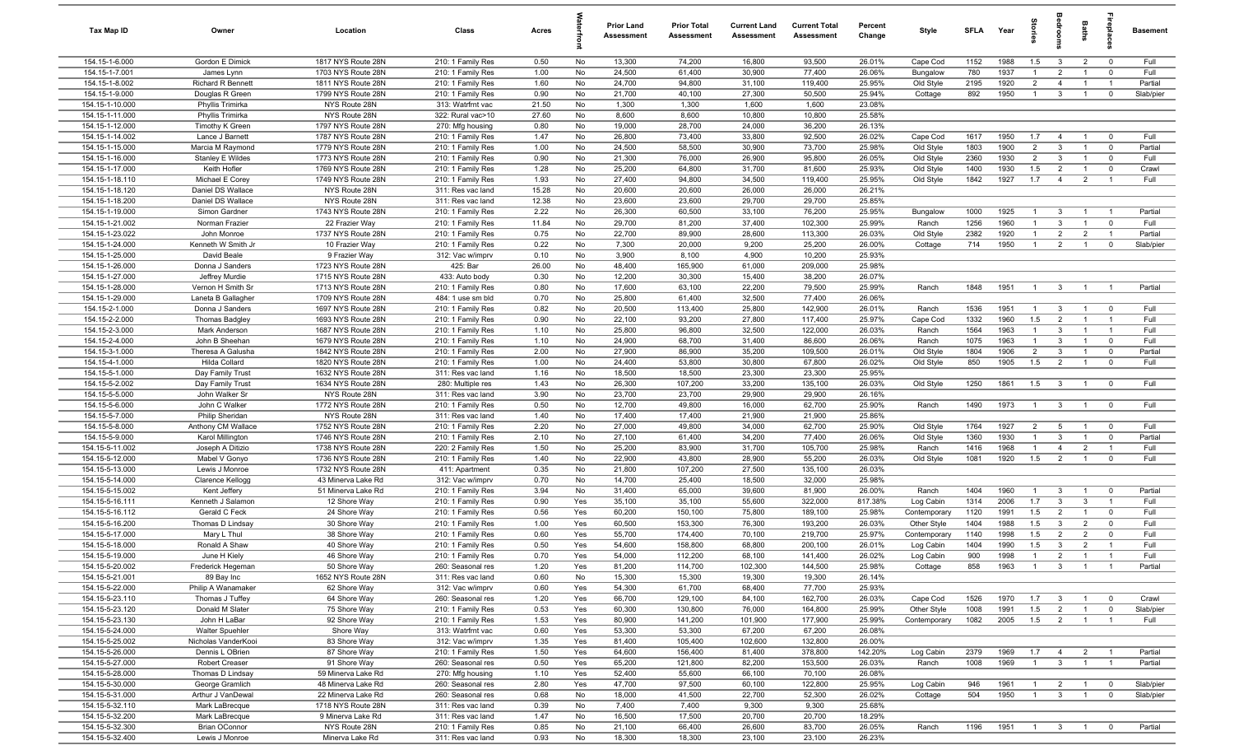| Tax Map ID                         | Owner                           | Location                             | Class                                  | Acres         |           | <b>Prior Land</b><br>Assessment | <b>Prior Total</b><br><b>Assessment</b> | <b>Current Land</b><br><b>Assessment</b> | <b>Current Total</b><br>Assessment | Percent<br>Change | Style             | <b>SFLA</b>  | Year         | 훜              | <b>B</b>                     | Baths                            | Lebia                   | <b>Basement</b> |
|------------------------------------|---------------------------------|--------------------------------------|----------------------------------------|---------------|-----------|---------------------------------|-----------------------------------------|------------------------------------------|------------------------------------|-------------------|-------------------|--------------|--------------|----------------|------------------------------|----------------------------------|-------------------------|-----------------|
| 154.15-1-6.000                     | Gordon E Dimick                 | 1817 NYS Route 28N                   | 210: 1 Family Res                      | 0.50          | No        | 13,300                          | 74,200                                  | 16,800                                   | 93,500                             | 26.01%            | Cape Cod          | 1152         | 1988         | 1.5            | $\mathbf{3}$                 | $\overline{2}$                   | $\overline{0}$          | Full            |
| 154.15-1-7.001                     | James Lynn                      | 1703 NYS Route 28N                   | 210: 1 Family Res                      | 1.00          | No        | 24,500                          | 61,400                                  | 30,900                                   | 77,400                             | 26.06%            | Bungalow          | 780          | 1937         | $\overline{1}$ | $\overline{2}$               | $\overline{1}$                   | $^{\circ}$              | Full            |
| 154.15-1-8.002                     | <b>Richard R Bennett</b>        | 1811 NYS Route 28N                   | 210: 1 Family Res                      | 1.60          | No        | 24,700                          | 94,800                                  | 31,100                                   | 119,400                            | 25.95%            | Old Style         | 2195         | 1920         | $\overline{2}$ | $\overline{4}$               | $\overline{1}$                   | $\overline{1}$          | Partial         |
| 154.15-1-9.000                     | Douglas R Green                 | 1799 NYS Route 28N                   | 210: 1 Family Res                      | 0.90          | No        | 21,700                          | 40,100                                  | 27,300                                   | 50,500                             | 25.94%            | Cottage           | 892          | 1950         | $\overline{1}$ | $\mathbf{3}$                 | $\overline{1}$                   | $\mathbf 0$             | Slab/pier       |
| 154.15-1-10.000                    | Phyllis Trimirka                | NYS Route 28N                        | 313: Watrfrnt vac                      | 21.50         | No        | 1,300                           | 1,300                                   | 1,600                                    | 1,600                              | 23.08%            |                   |              |              |                |                              |                                  |                         |                 |
| 154.15-1-11.000                    | Phyllis Trimirka                | NYS Route 28N                        | 322: Rural vac>10                      | 27.60         | No        | 8,600                           | 8,600                                   | 10,800                                   | 10,800                             | 25.58%            |                   |              |              |                |                              |                                  |                         |                 |
| 154.15-1-12.000                    | Timothy K Green                 | 1797 NYS Route 28N                   | 270: Mfg housing                       | 0.80          | No        | 19,000                          | 28,700                                  | 24,000                                   | 36,200                             | 26.13%            |                   |              |              |                |                              |                                  |                         |                 |
| 154.15-1-14.002                    | Lance J Barnett                 | 1787 NYS Route 28N                   | 210: 1 Family Res                      | 1.47          | No        | 26,800                          | 73,400                                  | 33,800                                   | 92,500                             | 26.02%            | Cape Cod          | 1617         | 1950         | 1.7            | $\overline{4}$               | $\overline{1}$                   | $^{\circ}$              | Full            |
| 154.15-1-15.000                    | Marcia M Raymond                | 1779 NYS Route 28N                   | 210: 1 Family Res                      | 1.00          | No        | 24,500                          | 58,500                                  | 30,900                                   | 73,700                             | 25.98%            | Old Style         | 1803         | 1900         | $\overline{2}$ | $\mathbf{3}$                 | $\overline{1}$                   | $\Omega$                | Partial         |
| 154.15-1-16.000                    | Stanley E Wildes                | 1773 NYS Route 28N                   | 210: 1 Family Res                      | 0.90          | No        | 21,300                          | 76,000                                  | 26,900                                   | 95,800                             | 26.05%            | Old Style         | 2360         | 1930         | $\overline{2}$ | $\mathbf{3}$                 | $\overline{1}$                   | $\overline{0}$          | Full            |
| 154.15-1-17.000                    | Keith Hofler                    | 1769 NYS Route 28N                   | 210: 1 Family Res                      | 1.28          | No        | 25,200                          | 64,800                                  | 31,700                                   | 81,600                             | 25.93%            | Old Style         | 1400         | 1930         | 1.5            | $\overline{2}$               | $\overline{1}$                   | $\overline{\mathbf{0}}$ | Crawl           |
| 154.15-1-18.110                    | Michael E Corey                 | 1749 NYS Route 28N                   | 210: 1 Family Res                      | 1.93          | No        | 27,400                          | 94,800                                  | 34,500                                   | 119,400                            | 25.95%            | Old Style         | 1842         | 1927         | 1.7            | $\overline{4}$               | 2                                | $\overline{1}$          | Full            |
| 154.15-1-18.120<br>154.15-1-18.200 | Daniel DS Wallace               | NYS Route 28N                        | 311: Res vac land                      | 15.28         | No<br>No  | 20,600<br>23,600                | 20,600                                  | 26,000                                   | 26,000                             | 26.21%<br>25.85%  |                   |              |              |                |                              |                                  |                         |                 |
|                                    | Daniel DS Wallace               | NYS Route 28N                        | 311: Res vac land                      | 12.38         |           | 26,300                          | 23,600                                  | 29,700                                   | 29,700                             |                   |                   |              |              | $\overline{1}$ |                              |                                  | $\overline{1}$          |                 |
| 154.15-1-19.000<br>154.15-1-21.002 | Simon Gardner<br>Norman Frazier | 1743 NYS Route 28N<br>22 Frazier Way | 210: 1 Family Res<br>210: 1 Family Res | 2.22<br>11.84 | No<br>No  | 29,700                          | 60,500<br>81,200                        | 33,100<br>37,400                         | 76,200<br>102,300                  | 25.95%<br>25.99%  | Bungalow<br>Ranch | 1000<br>1256 | 1925<br>1960 | $\overline{1}$ | $\mathbf{3}$<br>$\mathbf{3}$ | $\overline{1}$<br>$\overline{1}$ | $\mathbf{0}$            | Partial<br>Full |
| 154.15-1-23.022                    | John Monroe                     | 1737 NYS Route 28N                   | 210: 1 Family Res                      | 0.75          | No        | 22,700                          | 89,900                                  | 28,600                                   | 113,300                            | 26.03%            | Old Style         | 2382         | 1920         | $\overline{1}$ | $\overline{2}$               | $\overline{2}$                   | $\overline{1}$          | Partial         |
| 154.15-1-24.000                    | Kenneth W Smith Jr              | 10 Frazier Way                       | 210: 1 Family Res                      | 0.22          | No        | 7,300                           | 20,000                                  | 9,200                                    | 25,200                             | 26.00%            | Cottage           | 714          | 1950         | $\overline{1}$ | $\overline{2}$               | $\overline{1}$                   | $\mathbf 0$             | Slab/pier       |
| 154.15-1-25.000                    | David Beale                     | 9 Frazier Way                        | 312: Vac w/imprv                       | 0.10          | No        | 3,900                           | 8,100                                   | 4,900                                    | 10,200                             | 25.93%            |                   |              |              |                |                              |                                  |                         |                 |
| 154.15-1-26.000                    | Donna J Sanders                 | 1723 NYS Route 28N                   | 425: Bar                               | 26.00         | No        | 48,400                          | 165,900                                 | 61,000                                   | 209,000                            | 25.98%            |                   |              |              |                |                              |                                  |                         |                 |
| 154.15-1-27.000                    | Jeffrey Murdie                  | 1715 NYS Route 28N                   | 433: Auto body                         | 0.30          | No        | 12,200                          | 30,300                                  | 15,400                                   | 38,200                             | 26.07%            |                   |              |              |                |                              |                                  |                         |                 |
| 154.15-1-28.000                    | Vernon H Smith Sr               | 1713 NYS Route 28N                   | 210: 1 Family Res                      | 0.80          | No        | 17,600                          | 63,100                                  | 22,200                                   | 79,500                             | 25.99%            | Ranch             | 1848         | 1951         | $\overline{1}$ | $\mathbf{3}$                 | $\overline{1}$                   | $\overline{1}$          | Partial         |
| 154.15-1-29.000                    | Laneta B Gallagher              | 1709 NYS Route 28N                   | 484: 1 use sm bld                      | 0.70          | No        | 25,800                          | 61,400                                  | 32,500                                   | 77,400                             | 26.06%            |                   |              |              |                |                              |                                  |                         |                 |
| 154.15-2-1.000                     | Donna J Sanders                 | 1697 NYS Route 28N                   | 210: 1 Family Res                      | 0.82          | No        | 20,500                          | 113,400                                 | 25,800                                   | 142,900                            | 26.01%            | Ranch             | 1536         | 1951         | $\overline{1}$ | $\mathbf{3}$                 | $\overline{1}$                   | $^{\circ}$              | Full            |
| 154.15-2-2.000                     | <b>Thomas Badgley</b>           | 1693 NYS Route 28N                   | 210: 1 Family Res                      | 0.90          | No        | 22,100                          | 93,200                                  | 27,800                                   | 117,400                            | 25.97%            | Cape Cod          | 1332         | 1960         | 1.5            | $\overline{2}$               | $\overline{1}$                   | $\overline{1}$          | Full            |
| 154.15-2-3.000                     | Mark Anderson                   | 1687 NYS Route 28N                   | 210: 1 Family Res                      | 1.10          | No        | 25,800                          | 96,800                                  | 32,500                                   | 122,000                            | 26.03%            | Ranch             | 1564         | 1963         | $\overline{1}$ | $\mathbf{3}$                 | $\overline{1}$                   | $\overline{1}$          | Full            |
| 154.15-2-4.000                     | John B Sheehan                  | 1679 NYS Route 28N                   | 210: 1 Family Res                      | 1.10          | No        | 24,900                          | 68,700                                  | 31,400                                   | 86,600                             | 26.06%            | Ranch             | 1075         | 1963         | $\overline{1}$ | $\mathbf{3}$                 | $\overline{1}$                   | $\mathbf 0$             | Full            |
| 154.15-3-1.000                     | Theresa A Galusha               | 1842 NYS Route 28N                   | 210: 1 Family Res                      | 2.00          | No        | 27,900                          | 86,900                                  | 35,200                                   | 109,500                            | 26.01%            | Old Style         | 1804         | 1906         | $\overline{2}$ | $\mathbf{3}$                 | $\overline{1}$                   | $\mathbf 0$             | Partial         |
| 154.15-4-1.000                     | Hilda Collard                   | 1820 NYS Route 28N                   | 210: 1 Family Res                      | 1.00          | No        | 24,400                          | 53,800                                  | 30,800                                   | 67,800                             | 26.02%            | Old Style         | 850          | 1905         | 1.5            | $\overline{2}$               | $\overline{1}$                   | $\mathbf 0$             | Full            |
| 154.15-5-1.000                     | Day Family Trust                | 1632 NYS Route 28N                   | 311: Res vac land                      | 1.16          | No        | 18,500                          | 18,500                                  | 23,300                                   | 23,300                             | 25.95%            |                   |              |              |                |                              |                                  |                         |                 |
| 154.15-5-2.002                     | Day Family Trust                | 1634 NYS Route 28N                   | 280: Multiple res                      | 1.43          | No        | 26,300                          | 107,200                                 | 33,200                                   | 135,100                            | 26.03%            | Old Style         | 1250         | 1861         | 1.5            | $\overline{\mathbf{3}}$      | $\overline{1}$                   | $\overline{\mathbf{0}}$ | Full            |
| 154.15-5-5.000                     | John Walker Sr                  | NYS Route 28N                        | 311: Res vac land                      | 3.90          | No        | 23,700                          | 23,700                                  | 29,900                                   | 29,900                             | 26.16%            |                   |              |              |                |                              |                                  |                         |                 |
| 154.15-5-6.000                     | John C Walker                   | 1772 NYS Route 28N                   | 210: 1 Family Res                      | 0.50          | No        | 12,700                          | 49,800                                  | 16,000                                   | 62,700                             | 25.90%            | Ranch             | 1490         | 1973         | $\overline{1}$ | $\mathbf{3}$                 | $\overline{1}$                   | $\overline{\mathbf{0}}$ | Full            |
| 154.15-5-7.000                     | Philip Sheridan                 | NYS Route 28N                        | 311: Res vac land                      | 1.40          | No        | 17,400                          | 17,400                                  | 21,900                                   | 21,900                             | 25.86%            |                   |              |              |                |                              |                                  |                         |                 |
| 154.15-5-8.000                     | Anthony CM Wallace              | 1752 NYS Route 28N                   | 210: 1 Family Res                      | 2.20          | No        | 27,000                          | 49,800                                  | 34,000                                   | 62,700                             | 25.90%            | Old Style         | 1764         | 1927         | $\overline{2}$ | $5\overline{5}$              | $\overline{1}$                   | $\overline{0}$          | Full            |
| 154.15-5-9.000                     | Karol Millington                | 1746 NYS Route 28N                   | 210: 1 Family Res                      | 2.10          | No        | 27,100                          | 61,400                                  | 34,200                                   | 77,400                             | 26.06%            | Old Style         | 1360         | 1930         | $\overline{1}$ | $\mathbf{3}$                 | $\overline{1}$                   | $\mathbf 0$             | Partial         |
| 154.15-5-11.002                    | Joseph A Ditizio                | 1738 NYS Route 28N                   | 220: 2 Family Res                      | 1.50          | No        | 25,200                          | 83,900                                  | 31,700                                   | 105,700                            | 25.98%            | Ranch             | 1416         | 1968         | $\overline{1}$ | $\overline{4}$               | $\overline{2}$                   | $\overline{1}$          | Full            |
| 154.15-5-12.000                    | Mabel V Gonyo                   | 1736 NYS Route 28N                   | 210: 1 Family Res                      | 1.40          | No        | 22,900                          | 43,800                                  | 28,900                                   | 55,200                             | 26.03%            | Old Style         | 1081         | 1920         | 1.5            | $\overline{2}$               | $\overline{1}$                   | $\mathbf 0$             | Full            |
| 154.15-5-13.000                    | Lewis J Monroe                  | 1732 NYS Route 28N                   | 411: Apartment                         | 0.35          | No        | 21,800                          | 107,200                                 | 27,500                                   | 135,100                            | 26.03%            |                   |              |              |                |                              |                                  |                         |                 |
| 154.15-5-14.000                    | Clarence Kellogg                | 43 Minerva Lake Rd                   | 312: Vac w/imprv                       | 0.70          | No        | 14,700                          | 25,400                                  | 18,500                                   | 32,000                             | 25.98%            |                   |              |              |                |                              |                                  |                         |                 |
| 154.15-5-15.002                    | Kent Jeffery                    | 51 Minerva Lake Rd                   | 210: 1 Family Res                      | 3.94          | No        | 31,400                          | 65,000                                  | 39,600                                   | 81,900                             | 26.00%            | Ranch             | 1404         | 1960         | $\overline{1}$ | $\mathbf{3}$                 | $\overline{1}$                   | $\mathbf{0}$            | Partial         |
| 154.15-5-16.111                    | Kenneth J Salamon               | 12 Shore Way                         | 210: 1 Family Res                      | 0.90          | Yes       | 35,100                          | 35,100                                  | 55,600                                   | 322,000                            | 817.38%           | Log Cabin         | 1314         | 2006         | 1.7            | $\mathbf{3}$                 | $\mathbf{3}$                     | $\overline{1}$          | Full            |
| 154.15-5-16.112                    | Gerald C Feck                   | 24 Shore Way                         | 210: 1 Family Res                      | 0.56          | Yes       | 60,200                          | 150,100                                 | 75,800                                   | 189,100                            | 25.98%            | Contemporary      | 1120         | 1991         | 1.5            | $\overline{2}$               | $\overline{1}$                   | $\mathbf{0}$            | Full            |
| 154.15-5-16.200                    | Thomas D Lindsay                | 30 Shore Way                         | 210: 1 Family Res                      | 1.00          | Yes       | 60,500                          | 153,300                                 | 76,300                                   | 193,200                            | 26.03%            | Other Style       | 1404         | 1988         | 1.5            | $\mathbf{3}$                 | $\overline{2}$                   | $\mathbf 0$             | Full            |
| 154.15-5-17.000                    | Mary L Thul                     | 38 Shore Way                         | 210: 1 Family Res                      | 0.60          | Yes       | 55,700                          | 174,400                                 | 70,100                                   | 219,700                            | 25.97%            | Contemporary      | 1140         | 1998         | 1.5            | $\overline{2}$               | $\overline{2}$                   | $\Omega$                | Full            |
| 154.15-5-18.000                    | Ronald A Shaw                   | 40 Shore Way                         | 210: 1 Family Res                      | 0.50          | Yes       | 54,600                          | 158,800                                 | 68,800                                   | 200,100                            | 26.01%            | Log Cabin         | 1404         | 1990         | 1.5            | $\mathbf{3}$                 | $\overline{2}$                   |                         | Full            |
| 154.15-5-19.000                    | June H Kiely                    | 46 Shore Way                         | 210: 1 Family Res<br>260: Seasonal res | 0.70<br>1.20  | Yes       | 54,000                          | 112,200                                 | 68,100                                   | 141,400<br>144,500                 | 26.02%<br>25.98%  | Log Cabin         | 900          | 1998         |                | $\overline{2}$               |                                  |                         | Full            |
| 154.15-5-20.002<br>154.15-5-21.001 | Frederick Hegeman<br>89 Bay Inc | 50 Shore Way<br>1652 NYS Route 28N   | 311: Res vac land                      | 0.60          | Yes<br>No | 81,200<br>15,300                | 114,700<br>15,300                       | 102,300<br>19,300                        | 19,300                             | 26.14%            | Cottage           | 858          | 1963         | $\overline{1}$ | $\overline{\mathbf{3}}$      | $\overline{1}$                   | $\blacksquare$ 1        | Partial         |
| 154.15-5-22.000                    | Philip A Wanamaker              | 62 Shore Way                         | 312: Vac w/imprv                       | 0.60          | Yes       | 54,300                          | 61,700                                  | 68,400                                   | 77,700                             | 25.93%            |                   |              |              |                |                              |                                  |                         |                 |
| 154.15-5-23.110                    | Thomas J Tuffey                 | 64 Shore Way                         | 260: Seasonal res                      | 1.20          | Yes       | 66,700                          | 129,100                                 | 84,100                                   | 162,700                            | 26.03%            | Cape Cod          | 1526         | 1970         | 1.7            | $\mathbf{3}$                 | $\overline{1}$                   | $\overline{\mathbf{0}}$ | Crawl           |
| 154.15-5-23.120                    | Donald M Slater                 | 75 Shore Way                         | 210: 1 Family Res                      | 0.53          | Yes       | 60,300                          | 130,800                                 | 76,000                                   | 164,800                            | 25.99%            | Other Style       | 1008         | 1991         | 1.5            | $\overline{2}$               | $\overline{1}$                   | $\overline{0}$          | Slab/pier       |
| 154.15-5-23.130                    | John H LaBar                    | 92 Shore Way                         | 210: 1 Family Res                      | 1.53          | Yes       | 80,900                          | 141,200                                 | 101,900                                  | 177,900                            | 25.99%            | Contemporary      | 1082         | 2005         | 1.5            | $\overline{2}$               | $\overline{1}$                   | $\overline{1}$          | Full            |
| 154.15-5-24.000                    | Walter Spuehler                 | Shore Way                            | 313: Watrfrnt vac                      | 0.60          | Yes       | 53,300                          | 53,300                                  | 67,200                                   | 67,200                             | 26.08%            |                   |              |              |                |                              |                                  |                         |                 |
| 154.15-5-25.002                    | Nicholas VanderKooi             | 83 Shore Way                         | 312: Vac w/imprv                       | 1.35          | Yes       | 81,400                          | 105,400                                 | 102,600                                  | 132,800                            | 26.00%            |                   |              |              |                |                              |                                  |                         |                 |
| 154.15-5-26.000                    | Dennis L OBrien                 | 87 Shore Way                         | 210: 1 Family Res                      | 1.50          | Yes       | 64,600                          | 156,400                                 | 81,400                                   | 378,800                            | 142.20%           | Log Cabin         | 2379         | 1969         | 1.7            | $\overline{4}$               | $\overline{2}$                   | $\overline{1}$          | Partial         |
| 154.15-5-27.000                    | Robert Creaser                  | 91 Shore Way                         | 260: Seasonal res                      | 0.50          | Yes       | 65,200                          | 121,800                                 | 82,200                                   | 153,500                            | 26.03%            | Ranch             | 1008         | 1969         | $\overline{1}$ | $\overline{\mathbf{3}}$      | $\overline{1}$                   | $\overline{1}$          | Partial         |
| 154.15-5-28.000                    | Thomas D Lindsay                | 59 Minerva Lake Rd                   | 270: Mfg housing                       | 1.10          | Yes       | 52,400                          | 55,600                                  | 66,100                                   | 70,100                             | 26.08%            |                   |              |              |                |                              |                                  |                         |                 |
| 154.15-5-30.000                    | George Gramlich                 | 48 Minerva Lake Rd                   | 260: Seasonal res                      | 2.80          | Yes       | 47,700                          | 97,500                                  | 60,100                                   | 122,800                            | 25.95%            | Log Cabin         | 946          | 1961         | $\overline{1}$ | $\overline{2}$               | $\overline{1}$                   | $\overline{\mathbf{0}}$ | Slab/pier       |
| 154.15-5-31.000                    | Arthur J VanDewal               | 22 Minerva Lake Rd                   | 260: Seasonal res                      | 0.68          | No        | 18,000                          | 41,500                                  | 22,700                                   | 52,300                             | 26.02%            | Cottage           | 504          | 1950         | $\overline{1}$ | $\overline{\mathbf{3}}$      | $\overline{1}$                   | $\overline{0}$          | Slab/pier       |
| 154.15-5-32.110                    | Mark LaBrecque                  | 1718 NYS Route 28N                   | 311: Res vac land                      | 0.39          | No        | 7,400                           | 7,400                                   | 9,300                                    | 9,300                              | 25.68%            |                   |              |              |                |                              |                                  |                         |                 |
| 154.15-5-32.200                    | Mark LaBrecque                  | 9 Minerva Lake Rd                    | 311: Res vac land                      | 1.47          | No        | 16,500                          | 17,500                                  | 20,700                                   | 20,700                             | 18.29%            |                   |              |              |                |                              |                                  |                         |                 |
| 154.15-5-32.300                    | <b>Brian OConnor</b>            | NYS Route 28N                        | 210: 1 Family Res                      | 0.85          | No        | 21,100                          | 66,400                                  | 26,600                                   | 83,700                             | 26.05%            | Ranch             | 1196         | 1951         | $\overline{1}$ | $\overline{\mathbf{3}}$      | $\overline{1}$                   | $\overline{0}$          | Partial         |
| 154.15-5-32.400                    | Lewis J Monroe                  | Minerva Lake Rd                      | 311: Res vac land                      | 0.93          | No        | 18,300                          | 18,300                                  | 23,100                                   | 23,100                             | 26.23%            |                   |              |              |                |                              |                                  |                         |                 |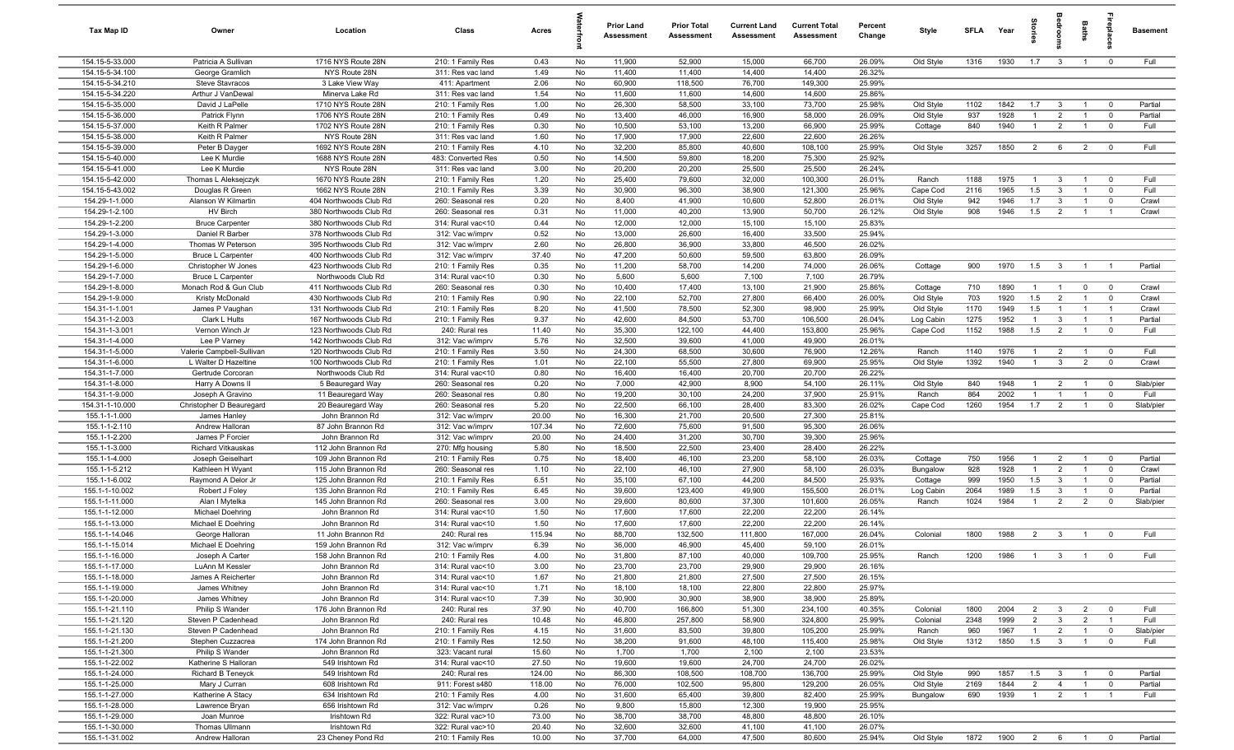| Tax Map ID                         | Owner                                           | Location                                         | Class                                  | Acres          |          | <b>Prior Land</b><br><b>Assessment</b> | <b>Prior Total</b><br>Assessment | <b>Current Land</b><br><b>Assessment</b> | <b>Current Total</b><br><b>Assessment</b> | Percent<br>Change | Style                  | SFLA        | Year          | g                     |                                | Baths                            | epla                             | <b>Basement</b>    |
|------------------------------------|-------------------------------------------------|--------------------------------------------------|----------------------------------------|----------------|----------|----------------------------------------|----------------------------------|------------------------------------------|-------------------------------------------|-------------------|------------------------|-------------|---------------|-----------------------|--------------------------------|----------------------------------|----------------------------------|--------------------|
| 154.15-5-33.000                    | Patricia A Sullivan                             | 1716 NYS Route 28N                               | 210: 1 Family Res                      | 0.43           | No       | 11,900                                 | 52,900                           | 15,000                                   | 66,700                                    | 26.09%            | Old Style              | 1316        | 1930          | 1.7                   | $\overline{\mathbf{3}}$        | $\overline{1}$                   | $\overline{0}$                   | Full               |
| 154.15-5-34.100                    | George Gramlich                                 | NYS Route 28N                                    | 311: Res vac land                      | 1.49           | No       | 11,400                                 | 11,400                           | 14,400                                   | 14,400                                    | 26.32%            |                        |             |               |                       |                                |                                  |                                  |                    |
| 154.15-5-34.210                    | <b>Steve Stavracos</b>                          | 3 Lake View Way                                  | 411: Apartment                         | 2.06           | No       | 60,900                                 | 118,500                          | 76,700                                   | 149,300                                   | 25.99%            |                        |             |               |                       |                                |                                  |                                  |                    |
| 154.15-5-34.220                    | Arthur J VanDewal                               | Minerva Lake Rd                                  | 311: Res vac land                      | 1.54           | No       | 11,600                                 | 11,600                           | 14,600                                   | 14,600                                    | 25.86%            |                        |             |               |                       |                                |                                  |                                  |                    |
| 154.15-5-35.000<br>154.15-5-36.000 | David J LaPelle<br>Patrick Flynn                | 1710 NYS Route 28N<br>1706 NYS Route 28N         | 210: 1 Family Res                      | 1.00<br>0.49   | No<br>No | 26,300<br>13,400                       | 58,500<br>46,000                 | 33,100<br>16,900                         | 73,700<br>58,000                          | 25.98%<br>26.09%  | Old Style<br>Old Style | 1102<br>937 | 1842<br>1928  | 1.7<br>$\overline{1}$ | $\mathbf{3}$<br>$\overline{2}$ | $\overline{1}$<br>$\overline{1}$ | $\overline{0}$<br>$\overline{0}$ | Partial<br>Partial |
| 154.15-5-37.000                    | Keith R Palmer                                  | 1702 NYS Route 28N                               | 210: 1 Family Res<br>210: 1 Family Res | 0.30           | No       | 10,500                                 | 53,100                           | 13,200                                   | 66,900                                    | 25.99%            | Cottage                | 840         | 1940          | $\overline{1}$        | $\overline{2}$                 | $\overline{1}$                   | $\overline{0}$                   | Full               |
| 154.15-5-38.000                    | Keith R Palmer                                  | NYS Route 28N                                    | 311: Res vac land                      | 1.60           | No       | 17,900                                 | 17,900                           | 22,600                                   | 22,600                                    | 26.26%            |                        |             |               |                       |                                |                                  |                                  |                    |
| 154.15-5-39.000                    | Peter B Dayger                                  | 1692 NYS Route 28N                               | 210: 1 Family Res                      | 4.10           | No       | 32,200                                 | 85,800                           | 40,600                                   | 108,100                                   | 25.99%            | Old Style              | 3257        | 1850          | $\overline{2}$        | 6                              | $\overline{2}$                   | $\overline{0}$                   | Full               |
| 154.15-5-40.000                    | Lee K Murdie                                    | 1688 NYS Route 28N                               | 483: Converted Res                     | 0.50           | No       | 14,500                                 | 59,800                           | 18,200                                   | 75,300                                    | 25.92%            |                        |             |               |                       |                                |                                  |                                  |                    |
| 154.15-5-41.000                    | Lee K Murdie                                    | NYS Route 28N                                    | 311: Res vac land                      | 3.00           | No       | 20,200                                 | 20,200                           | 25,500                                   | 25,500                                    | 26.24%            |                        |             |               |                       |                                |                                  |                                  |                    |
| 154.15-5-42.000                    | Thomas L Aleksejczyk                            | 1670 NYS Route 28N                               | 210: 1 Family Res                      | 1.20           | No       | 25,400                                 | 79,600                           | 32,000                                   | 100,300                                   | 26.01%            | Ranch                  | 1188        | 1975          | $\overline{1}$        | $\mathbf{3}$                   | $\overline{1}$                   | $\overline{0}$                   | Full               |
| 154.15-5-43.002                    | Douglas R Green                                 | 1662 NYS Route 28N                               | 210: 1 Family Res                      | 3.39           | No       | 30,900                                 | 96,300                           | 38,900                                   | 121,300                                   | 25.96%            | Cape Cod               | 2116        | 1965          | 1.5                   | $\overline{\mathbf{3}}$        | $\overline{1}$                   | $\overline{0}$                   | Full               |
| 154.29-1-1.000                     | Alanson W Kilmartin                             | 404 Northwoods Club Rd                           | 260: Seasonal res                      | 0.20           | No       | 8,400                                  | 41,900                           | 10,600                                   | 52,800                                    | 26.01%            | Old Style              | 942         | 1946          | 1.7                   | $\overline{\mathbf{3}}$        | $\overline{1}$                   | $\mathbf 0$                      | Crawl              |
| 154.29-1-2.100                     | HV Birch                                        | 380 Northwoods Club Rd                           | 260: Seasonal res                      | 0.31           | No       | 11,000                                 | 40,200                           | 13,900                                   | 50,700                                    | 26.12%            | Old Style              | 908         | 1946          | 1.5                   | $\overline{2}$                 | $\overline{1}$                   | $\overline{1}$                   | Crawl              |
| 154.29-1-2.200                     | <b>Bruce Carpenter</b>                          | 380 Northwoods Club Rd                           | 314: Rural vac<10                      | 0.44           | No       | 12,000                                 | 12,000                           | 15,100                                   | 15,100                                    | 25.83%            |                        |             |               |                       |                                |                                  |                                  |                    |
| 154.29-1-3.000                     | Daniel R Barber                                 | 378 Northwoods Club Rd                           | 312: Vac w/imprv                       | 0.52           | No       | 13,000                                 | 26,600                           | 16,400                                   | 33,500                                    | 25.94%            |                        |             |               |                       |                                |                                  |                                  |                    |
| 154.29-1-4.000<br>154.29-1-5.000   | Thomas W Peterson                               | 395 Northwoods Club Rd                           | 312: Vac w/imprv<br>312: Vac w/imprv   | 2.60<br>37.40  | No<br>No | 26,800<br>47,200                       | 36,900                           | 33,800<br>59,500                         | 46,500<br>63,800                          | 26.02%<br>26.09%  |                        |             |               |                       |                                |                                  |                                  |                    |
| 154.29-1-6.000                     | <b>Bruce L Carpenter</b><br>Christopher W Jones | 400 Northwoods Club Rd<br>423 Northwoods Club Rd | 210: 1 Family Res                      | 0.35           | No       | 11,200                                 | 50,600<br>58,700                 | 14,200                                   | 74,000                                    | 26.06%            | Cottage                | 900         | 1970          | 1.5                   | $\overline{\mathbf{3}}$        | $\overline{1}$                   | $\overline{1}$                   | Partial            |
| 154.29-1-7.000                     | <b>Bruce L Carpenter</b>                        | Northwoods Club Rd                               | 314: Rural vac<10                      | 0.30           | No       | 5,600                                  | 5,600                            | 7,100                                    | 7,100                                     | 26.79%            |                        |             |               |                       |                                |                                  |                                  |                    |
| 154.29-1-8.000                     | Monach Rod & Gun Club                           | 411 Northwoods Club Rd                           | 260: Seasonal res                      | 0.30           | No       | 10,400                                 | 17,400                           | 13,100                                   | 21,900                                    | 25.86%            | Cottage                | 710         | 1890          | $\overline{1}$        | $\overline{1}$                 | $\overline{0}$                   | $\overline{0}$                   | Crawl              |
| 154.29-1-9.000                     | Kristy McDonald                                 | 430 Northwoods Club Rd                           | 210: 1 Family Res                      | 0.90           | No       | 22,100                                 | 52,700                           | 27,800                                   | 66,400                                    | 26.00%            | Old Style              | 703         | 1920          | 1.5                   | 2                              | $\overline{1}$                   | $\overline{0}$                   | Crawl              |
| 154.31-1-1.001                     | James P Vaughan                                 | 131 Northwoods Club Rd                           | 210: 1 Family Res                      | 8.20           | No       | 41,500                                 | 78,500                           | 52,300                                   | 98,900                                    | 25.99%            | Old Style              | 1170        | 1949          | 1.5                   | $\overline{1}$                 | $\overline{1}$                   | $\overline{1}$                   | Crawl              |
| 154.31-1-2.003                     | Clark L Hults                                   | 167 Northwoods Club Rd                           | 210: 1 Family Res                      | 9.37           | No       | 42,600                                 | 84,500                           | 53,700                                   | 106,500                                   | 26.04%            | Log Cabin              | 1275        | 1952          | $\overline{1}$        | $\mathbf{3}$                   | $\overline{1}$                   | $\overline{1}$                   | Partial            |
| 154.31-1-3.001                     | Vernon Winch Jr                                 | 123 Northwoods Club Rd                           | 240: Rural res                         | 11.40          | No       | 35,300                                 | 122,100                          | 44,400                                   | 153,800                                   | 25.96%            | Cape Cod               | 1152        | 1988          | 1.5                   | $\overline{2}$                 | $\overline{1}$                   | $\overline{0}$                   | Full               |
| 154.31-1-4.000                     | Lee P Varney                                    | 142 Northwoods Club Rd                           | 312: Vac w/imprv                       | 5.76           | No       | 32,500                                 | 39,600                           | 41,000                                   | 49,900                                    | 26.01%            |                        |             |               |                       |                                |                                  |                                  |                    |
| 154.31-1-5.000                     | Valerie Campbell-Sullivan                       | 120 Northwoods Club Rd                           | 210: 1 Family Res                      | 3.50           | No       | 24,300                                 | 68,500                           | 30,600                                   | 76,900                                    | 12.26%            | Ranch                  | 1140        | 1976          | $\overline{1}$        | $\overline{2}$                 | $\overline{1}$                   | $\overline{0}$                   | Full               |
| 154.31-1-6.000                     | L Walter D Hazeltine                            | 100 Northwoods Club Rd                           | 210: 1 Family Res                      | 1.01           | No       | 22,100                                 | 55,500                           | 27,800                                   | 69,900                                    | 25.95%            | Old Style              | 1392        | 1940          | $\overline{1}$        | $\mathbf{3}$                   | $\overline{2}$                   | $\mathbf 0$                      | Crawl              |
| 154.31-1-7.000                     | Gertrude Corcoran                               | Northwoods Club Rd                               | 314: Rural vac<10                      | 0.80           | No       | 16,400                                 | 16,400                           | 20,700                                   | 20,700                                    | 26.22%            |                        |             |               |                       |                                |                                  |                                  |                    |
| 154.31-1-8.000                     | Harry A Downs II                                | 5 Beauregard Way                                 | 260: Seasonal res                      | 0.20           | No       | 7,000                                  | 42,900                           | 8,900                                    | 54,100                                    | 26.11%            | Old Style              | 840         | 1948          | $\overline{1}$        | $\overline{2}$                 | $\overline{1}$                   | $\overline{\mathbf{0}}$          | Slab/pier          |
| 154.31-1-9.000                     | Joseph A Gravino                                | 11 Beauregard Way                                | 260: Seasonal res                      | 0.80           | No       | 19,200                                 | 30,100                           | 24,200                                   | 37,900                                    | 25.91%            | Ranch                  | 864         | 2002          | $\overline{1}$        | $\overline{1}$                 | $\overline{1}$                   | $\overline{0}$                   | Full               |
| 154.31-1-10.000<br>155.1-1-1.000   | Christopher D Beauregard<br>James Hanley        | 20 Beauregard Way<br>John Brannon Rd             | 260: Seasonal res<br>312: Vac w/imprv  | 5.20<br>20.00  | No<br>No | 22,500<br>16,300                       | 66,100<br>21,700                 | 28,400<br>20,500                         | 83,300<br>27,300                          | 26.02%<br>25.81%  | Cape Cod               | 1260        | 1954          | 1.7                   | $\overline{2}$                 | $\overline{1}$                   | $\overline{0}$                   | Slab/pier          |
| 155.1-1-2.110                      | Andrew Halloran                                 | 87 John Brannon Rd                               | 312: Vac w/imprv                       | 107.34         | No       | 72,600                                 | 75,600                           | 91,500                                   | 95,300                                    | 26.06%            |                        |             |               |                       |                                |                                  |                                  |                    |
| 155.1-1-2.200                      | James P Forcier                                 | John Brannon Rd                                  | 312: Vac w/imprv                       | 20.00          | No       | 24,400                                 | 31,200                           | 30,700                                   | 39,300                                    | 25.96%            |                        |             |               |                       |                                |                                  |                                  |                    |
| 155.1-1-3.000                      | <b>Richard Vitkauskas</b>                       | 112 John Brannon Rd                              | 270: Mfg housing                       | 5.80           | No       | 18,500                                 | 22,500                           | 23,400                                   | 28,400                                    | 26.22%            |                        |             |               |                       |                                |                                  |                                  |                    |
| 155.1-1-4.000                      | Joseph Geiselhart                               | 109 John Brannon Rd                              | 210: 1 Family Res                      | 0.75           | No       | 18,400                                 | 46,100                           | 23,200                                   | 58,100                                    | 26.03%            | Cottage                | 750         | 1956          | $\overline{1}$        | $\overline{2}$                 | $\overline{1}$                   | $\overline{0}$                   | Partial            |
| 155.1-1-5.212                      | Kathleen H Wyant                                | 115 John Brannon Rd                              | 260: Seasonal res                      | 1.10           | No       | 22,100                                 | 46,100                           | 27,900                                   | 58,100                                    | 26.03%            | Bungalow               | 928         | 1928          | $\overline{1}$        | $\overline{2}$                 | $\overline{1}$                   | $\mathbf 0$                      | Crawl              |
| 155.1-1-6.002                      | Raymond A Delor Jr                              | 125 John Brannon Rd                              | 210: 1 Family Res                      | 6.51           | No       | 35,100                                 | 67,100                           | 44,200                                   | 84,500                                    | 25.93%            | Cottage                | 999         | 1950          | 1.5                   | $\overline{\mathbf{3}}$        | $\overline{1}$                   | $\mathbf 0$                      | Partial            |
| 155.1-1-10.002                     | Robert J Foley                                  | 135 John Brannon Rd                              | 210: 1 Family Res                      | 6.45           | No       | 39,600                                 | 123,400                          | 49,900                                   | 155,500                                   | 26.01%            | Log Cabin              | 2064        | 1989          | 1.5                   | $\overline{3}$                 | $\overline{1}$                   | $\mathbf 0$                      | Partial            |
| 155.1-1-11.000                     | Alan I Mytelka                                  | 145 John Brannon Rd                              | 260: Seasonal res                      | 3.00           | No       | 29,600                                 | 80,600                           | 37,300                                   | 101,600                                   | 26.05%            | Ranch                  | 1024        | 1984          | $\overline{1}$        | $\overline{2}$                 | $\overline{2}$                   | $\overline{0}$                   | Slab/pier          |
| 155.1-1-12.000                     | Michael Doehring                                | John Brannon Rd                                  | 314: Rural vac<10                      | 1.50           | No       | 17,600                                 | 17,600                           | 22,200                                   | 22,200                                    | 26.14%            |                        |             |               |                       |                                |                                  |                                  |                    |
| 155.1-1-13.000                     | Michael E Doehring                              | John Brannon Rd                                  | 314: Rural vac<10                      | 1.50           | No       | 17,600                                 | 17,600                           | 22,200                                   | 22,200                                    | 26.14%            |                        |             |               |                       |                                |                                  |                                  |                    |
| 155.1-1-14.046                     | George Halloran                                 | 11 John Brannon Rd<br>159 John Brannon Rd        | 240: Rural res                         | 115.94<br>6.39 | No<br>No | 88,700<br>36,000                       | 132,500<br>46,900                | 111,800<br>45,400                        | 167,000                                   | 26.04%<br>26.01%  | Colonial               | 1800        | 1988          | $\overline{2}$        | $\overline{\mathbf{3}}$        | $\overline{1}$                   | $\overline{0}$                   | Full               |
| 155.1-1-15.014<br>155.1-1-16.000   | Michael E Doehring<br>Joseph A Carter           | 158 John Brannon Rd                              | 312: Vac w/imprv<br>210: 1 Family Res  | 4.00           | No       | 31,800                                 | 87,100                           | 40,000                                   | 59,100<br>109,700                         | 25.95%            | Ranch                  | 1200        | 1986          |                       | $\mathbf{R}$                   | $\overline{1}$                   |                                  | Full               |
| 155.1-1-17.000                     | LuAnn M Kessler                                 | John Brannon Rd                                  | 314: Rural vac<10                      | 3.00           | No       | 23,700                                 | 23,700                           | 29,900                                   | 29,900                                    | 26.16%            |                        |             |               |                       |                                |                                  |                                  |                    |
| 155.1-1-18.000                     | James A Reicherter                              | John Brannon Rd                                  | 314: Rural vac<10                      | 1.67           | No       | 21,800                                 | 21,800                           | 27,500                                   | 27,500                                    | 26.15%            |                        |             |               |                       |                                |                                  |                                  |                    |
| 155.1-1-19.000                     | James Whitney                                   | John Brannon Rd                                  | 314: Rural vac<10                      | 1.71           | No       | 18,100                                 | 18,100                           | 22,800                                   | 22,800                                    | 25.97%            |                        |             |               |                       |                                |                                  |                                  |                    |
| 155.1-1-20.000                     | James Whitney                                   | John Brannon Rd                                  | 314: Rural vac<10                      | 7.39           | No       | 30,900                                 | 30,900                           | 38,900                                   | 38,900                                    | 25.89%            |                        |             |               |                       |                                |                                  |                                  |                    |
| 155.1-1-21.110                     | Philip S Wander                                 | 176 John Brannon Rd                              | 240: Rural res                         | 37.90          | No       | 40,700                                 | 166,800                          | 51,300                                   | 234,100                                   | 40.35%            | Colonial               | 1800        | 2004          | $\overline{2}$        | $\overline{\mathbf{3}}$        | $\overline{2}$                   | $\overline{0}$                   | Full               |
| 155.1-1-21.120                     | Steven P Cadenhead                              | John Brannon Rd                                  | 240: Rural res                         | 10.48          | No       | 46,800                                 | 257,800                          | 58,900                                   | 324,800                                   | 25.99%            | Colonial               | 2348        | 1999          | $\overline{2}$        | $\mathbf{3}$                   | $\overline{2}$                   | $\overline{1}$                   | Full               |
| 155.1-1-21.130                     | Steven P Cadenhead                              | John Brannon Rd                                  | 210: 1 Family Res                      | 4.15           | No       | 31,600                                 | 83,500                           | 39,800                                   | 105,200                                   | 25.99%            | Ranch                  | 960         | 1967          | $\overline{1}$        | $\overline{2}$                 | $\overline{1}$                   | $\overline{0}$                   | Slab/pier          |
| 155.1-1-21.200                     | Stephen Cuzzacrea                               | 174 John Brannon Rd                              | 210: 1 Family Res                      | 12.50          | No       | 38,200                                 | 91,600                           | 48,100                                   | 115,400                                   | 25.98%            | Old Style              | 1312        | 1850          | 1.5                   | $\overline{\mathbf{3}}$        | $\overline{1}$                   | $\overline{0}$                   | Full               |
| 155.1-1-21.300                     | Philip S Wander                                 | John Brannon Rd                                  | 323: Vacant rural                      | 15.60          | No       | 1,700                                  | 1,700                            | 2,100                                    | 2,100                                     | 23.53%            |                        |             |               |                       |                                |                                  |                                  |                    |
| 155.1-1-22.002                     | Katherine S Halloran                            | 549 Irishtown Rd                                 | 314: Rural vac<10                      | 27.50          | No       | 19,600                                 | 19,600                           | 24,700                                   | 24,700                                    | 26.02%            |                        |             |               |                       |                                |                                  |                                  |                    |
| 155.1-1-24.000                     | Richard B Teneyck                               | 549 Irishtown Rd                                 | 240: Rural res                         | 124.00         | No       | 86,300                                 | 108,500                          | 108,700                                  | 136,700                                   | 25.99%            | Old Style              | 990         | 1857          | 1.5                   | $\overline{\mathbf{3}}$        | $\overline{1}$                   | $\overline{\mathbf{0}}$          | Partial            |
| 155.1-1-25.000                     | Mary J Curran                                   | 608 Irishtown Rd                                 | 911: Forest s480                       | 118.00         | No       | 76,000                                 | 102,500                          | 95,800                                   | 129,200                                   | 26.05%            | Old Style              | 2169        | 1844          | $\overline{2}$        | $\overline{4}$                 | $\overline{1}$                   | $\overline{\mathbf{0}}$          | Partial            |
| 155.1-1-27.000<br>155.1-1-28.000   | Katherine A Stacy<br>Lawrence Bryan             | 634 Irishtown Rd<br>656 Irishtown Rd             | 210: 1 Family Res                      | 4.00           | No       | 31,600                                 | 65,400                           | 39,800                                   | 82,400                                    | 25.99%<br>25.95%  | Bungalow               | 690         | 1939          | $\overline{1}$        | $\overline{2}$                 | $\overline{1}$                   | $\overline{1}$                   | Full               |
| 155.1-1-29.000                     | Joan Munroe                                     | Irishtown Rd                                     | 312: Vac w/imprv<br>322: Rural vac>10  | 0.26<br>73.00  | No<br>No | 9,800<br>38,700                        | 15,800<br>38,700                 | 12,300<br>48,800                         | 19,900<br>48,800                          | 26.10%            |                        |             |               |                       |                                |                                  |                                  |                    |
| 155.1-1-30.000                     | Thomas Ullmann                                  | Irishtown Rd                                     | 322: Rural vac>10                      | 20.40          | No       | 32,600                                 | 32,600                           | 41,100                                   | 41,100                                    | 26.07%            |                        |             |               |                       |                                |                                  |                                  |                    |
| 155.1-1-31.002                     | Andrew Halloran                                 | 23 Cheney Pond Rd                                | 210: 1 Family Res                      | 10.00          | No       | 37,700                                 | 64,000                           | 47,500                                   | 80,600                                    | 25.94%            | Old Style              | 1872        | 1900  2  6  1 |                       |                                |                                  | $\overline{0}$                   | Partial            |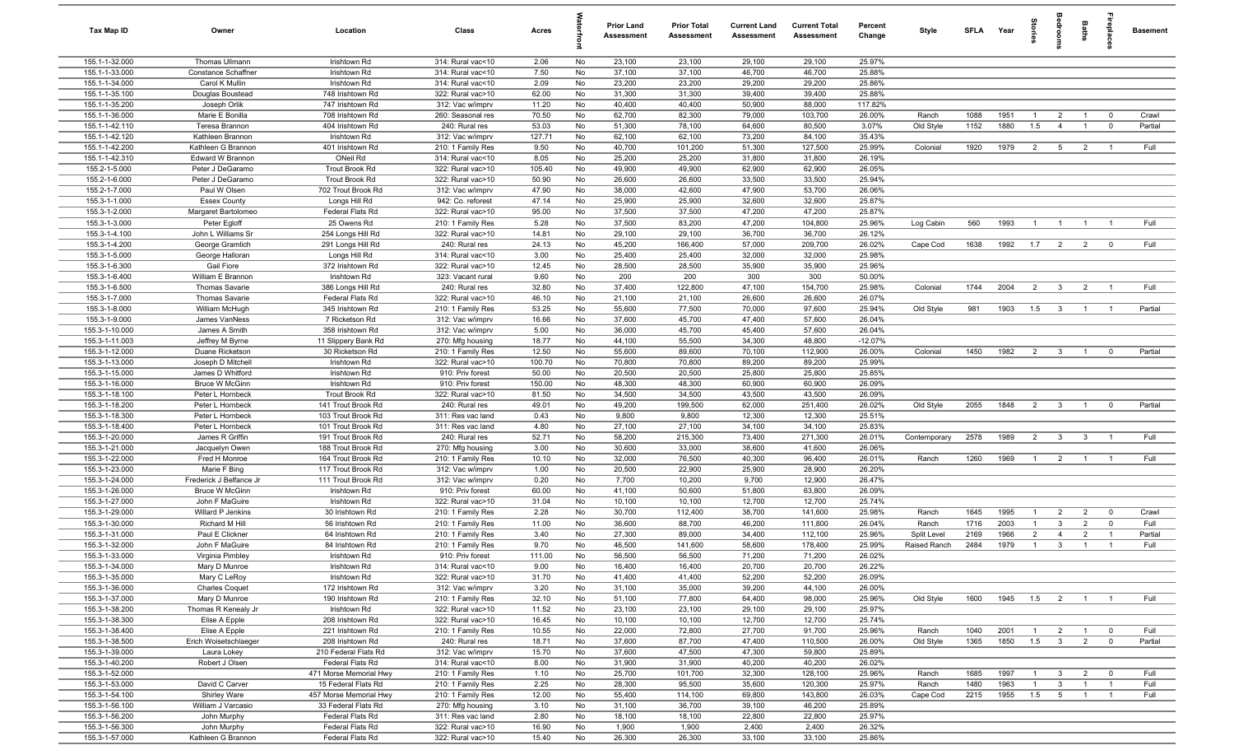| <b>Tax Map ID</b>                | Owner                                          | Location                                 | Class                                 | Acres           |          | <b>Prior Land</b><br>Assessment | <b>Prior Total</b><br>Assessment | <b>Current Land</b><br><b>Assessment</b> | <b>Current Total</b><br>Assessment | Percent<br>Change | Style        | <b>SFLA</b> | Year         | igrie                 |                         | Baths                            | repla                   | <b>Basement</b> |
|----------------------------------|------------------------------------------------|------------------------------------------|---------------------------------------|-----------------|----------|---------------------------------|----------------------------------|------------------------------------------|------------------------------------|-------------------|--------------|-------------|--------------|-----------------------|-------------------------|----------------------------------|-------------------------|-----------------|
| 155.1-1-32.000                   | Thomas Ullmann                                 | Irishtown Rd                             | 314: Rural vac<10                     | 2.06            | No       | 23,100                          | 23,100                           | 29,100                                   | 29,100                             | 25.97%            |              |             |              |                       |                         |                                  |                         |                 |
| 155.1-1-33.000                   | Constance Schaffner                            | Irishtown Rd                             | 314: Rural vac<10                     | 7.50            | No       | 37,100                          | 37,100                           | 46,700                                   | 46,700                             | 25.88%            |              |             |              |                       |                         |                                  |                         |                 |
| 155.1-1-34.000                   | Carol K Mullin                                 | Irishtown Rd                             | 314: Rural vac<10                     | 2.09            | No       | 23,200                          | 23,200                           | 29,200                                   | 29,200                             | 25.86%            |              |             |              |                       |                         |                                  |                         |                 |
| 155.1-1-35.100                   | Douglas Boustead                               | 748 Irishtown Rd                         | 322: Rural vac>10                     | 62.00           | No       | 31,300                          | 31,300                           | 39,400                                   | 39,400                             | 25.88%            |              |             |              |                       |                         |                                  |                         |                 |
| 155.1-1-35.200                   | Joseph Orlik                                   | 747 Irishtown Rd                         | 312: Vac w/imprv                      | 11.20           | No       | 40,400                          | 40,400                           | 50,900                                   | 88,000                             | 117.82%           |              |             |              |                       |                         |                                  |                         |                 |
| 155.1-1-36.000                   | Marie E Bonilla                                | 708 Irishtown Rd                         | 260: Seasonal res                     | 70.50           | No       | 62,700                          | 82,300                           | 79,000                                   | 103,700                            | 26.00%            | Ranch        | 1088        | 1951<br>1880 | $\overline{1}$<br>1.5 | $\overline{2}$          | $\overline{1}$<br>$\overline{1}$ | $\overline{0}$          | Crawl           |
| 155.1-1-42.110<br>155.1-1-42.120 | Teresa Brannon<br>Kathleen Brannon             | 404 Irishtown Rd<br>Irishtown Rd         | 240: Rural res<br>312: Vac w/imprv    | 53.03<br>127.71 | No<br>No | 51,300<br>62,100                | 78,100<br>62,100                 | 64,600<br>73,200                         | 80,500<br>84,100                   | 3.07%<br>35.43%   | Old Style    | 1152        |              |                       | $\overline{4}$          |                                  | $\overline{0}$          | Partial         |
| 155.1-1-42.200                   | Kathleen G Brannon                             | 401 Irishtown Rd                         | 210: 1 Family Res                     | 9.50            | No       | 40,700                          | 101,200                          | 51,300                                   | 127,500                            | 25.99%            | Colonial     | 1920        | 1979         | $\overline{2}$        | $5\overline{5}$         | $\overline{2}$                   | $\overline{1}$          | Full            |
| 155.1-1-42.310                   | Edward W Brannon                               | ONeil Rd                                 | 314: Rural vac<10                     | 8.05            | No       | 25,200                          | 25,200                           | 31,800                                   | 31,800                             | 26.19%            |              |             |              |                       |                         |                                  |                         |                 |
| 155.2-1-5.000                    | Peter J DeGaramo                               | <b>Trout Brook Rd</b>                    | 322: Rural vac>10                     | 105.40          | No       | 49,900                          | 49,900                           | 62,900                                   | 62,900                             | 26.05%            |              |             |              |                       |                         |                                  |                         |                 |
| 155.2-1-6.000                    | Peter J DeGaramo                               | <b>Trout Brook Rd</b>                    | 322: Rural vac>10                     | 50.90           | No       | 26,600                          | 26,600                           | 33,500                                   | 33,500                             | 25.94%            |              |             |              |                       |                         |                                  |                         |                 |
| 155.2-1-7.000                    | Paul W Olsen                                   | 702 Trout Brook Rd                       | 312: Vac w/imprv                      | 47.90           | No       | 38,000                          | 42,600                           | 47,900                                   | 53,700                             | 26.06%            |              |             |              |                       |                         |                                  |                         |                 |
| 155.3-1-1.000                    | <b>Essex County</b>                            | Longs Hill Rd                            | 942: Co. reforest                     | 47.14           | No       | 25,900                          | 25,900                           | 32,600                                   | 32,600                             | 25.87%            |              |             |              |                       |                         |                                  |                         |                 |
| 155.3-1-2.000                    | Margaret Bartolomeo                            | Federal Flats Rd                         | 322: Rural vac>10                     | 95.00           | No       | 37,500                          | 37,500                           | 47,200                                   | 47,200                             | 25.87%            |              |             |              |                       |                         |                                  |                         |                 |
| 155.3-1-3.000                    | Peter Egloff                                   | 25 Owens Rd                              | 210: 1 Family Res                     | 5.28            | No       | 37,500                          | 83,200                           | 47,200                                   | 104,800                            | 25.96%            | Log Cabin    | 560         | 1993         | $\overline{1}$        | $\overline{1}$          | $\overline{1}$                   |                         | Full            |
| 155.3-1-4.100                    | John L Williams Sr                             | 254 Longs Hill Rd                        | 322: Rural vac>10                     | 14.81           | No       | 29,100                          | 29,100                           | 36,700                                   | 36,700                             | 26.12%            |              |             |              |                       |                         |                                  |                         |                 |
| 155.3-1-4.200                    | George Gramlich                                | 291 Longs Hill Rd                        | 240: Rural res                        | 24.13           | No       | 45,200                          | 166,400                          | 57,000                                   | 209,700                            | 26.02%            | Cape Cod     | 1638        | 1992         | 1.7                   | $\overline{2}$          | $\overline{2}$                   | $\overline{0}$          | Full            |
| 155.3-1-5.000                    | George Halloran                                | Longs Hill Rd                            | 314: Rural vac<10                     | 3.00            | No       | 25,400                          | 25,400                           | 32,000                                   | 32,000                             | 25.98%            |              |             |              |                       |                         |                                  |                         |                 |
| 155.3-1-6.300                    | Gail Fiore                                     | 372 Irishtown Rd                         | 322: Rural vac>10                     | 12.45           | No       | 28,500                          | 28,500                           | 35,900                                   | 35,900                             | 25.96%            |              |             |              |                       |                         |                                  |                         |                 |
| 155.3-1-6.400                    | William E Brannon                              | Irishtown Rd                             | 323: Vacant rural                     | 9.60            | No       | 200                             | 200                              | 300                                      | 300                                | 50.00%            |              |             |              |                       |                         |                                  | $\overline{1}$          |                 |
| 155.3-1-6.500<br>155.3-1-7.000   | <b>Thomas Savarie</b><br><b>Thomas Savarie</b> | 386 Longs Hill Rd<br>Federal Flats Rd    | 240: Rural res<br>322: Rural vac>10   | 32.80<br>46.10  | No<br>No | 37,400<br>21,100                | 122,800<br>21,100                | 47,100<br>26,600                         | 154,700<br>26,600                  | 25.98%<br>26.07%  | Colonial     | 1744        | 2004         | 2                     | $\mathbf{3}$            | $\overline{2}$                   |                         | Full            |
| 155.3-1-8.000                    | William McHugh                                 | 345 Irishtown Rd                         | 210: 1 Family Res                     | 53.25           | No       | 55,600                          | 77,500                           | 70,000                                   | 97,600                             | 25.94%            | Old Style    | 981         | 1903         | 1.5                   | $\overline{\mathbf{3}}$ | $\overline{1}$                   |                         | Partial         |
| 155.3-1-9.000                    | James VanNess                                  | 7 Ricketson Rd                           | 312: Vac w/imprv                      | 16.66           | No       | 37,600                          | 45,700                           | 47,400                                   | 57,600                             | 26.04%            |              |             |              |                       |                         |                                  |                         |                 |
| 155.3-1-10.000                   | James A Smith                                  | 358 Irishtown Rd                         | 312: Vac w/imprv                      | 5.00            | No       | 36,000                          | 45,700                           | 45,400                                   | 57,600                             | 26.04%            |              |             |              |                       |                         |                                  |                         |                 |
| 155.3-1-11.003                   | Jeffrey M Byrne                                | 11 Slippery Bank Rd                      | 270: Mfg housing                      | 18.77           | No       | 44,100                          | 55,500                           | 34,300                                   | 48,800                             | $-12.07%$         |              |             |              |                       |                         |                                  |                         |                 |
| 155.3-1-12.000                   | Duane Ricketson                                | 30 Ricketson Rd                          | 210: 1 Family Res                     | 12.50           | No       | 55,600                          | 89,600                           | 70,100                                   | 112,900                            | 26.00%            | Colonial     | 1450        | 1982         | $\overline{2}$        | $\mathbf{3}$            |                                  | $^{\circ}$              | Partial         |
| 155.3-1-13.000                   | Joseph D Mitchell                              | Irishtown Rd                             | 322: Rural vac>10                     | 100.70          | No       | 70,800                          | 70,800                           | 89,200                                   | 89,200                             | 25.99%            |              |             |              |                       |                         |                                  |                         |                 |
| 155.3-1-15.000                   | James D Whitford                               | Irishtown Rd                             | 910: Priv forest                      | 50.00           | No       | 20,500                          | 20,500                           | 25,800                                   | 25,800                             | 25.85%            |              |             |              |                       |                         |                                  |                         |                 |
| 155.3-1-16.000                   | Bruce W McGinn                                 | Irishtown Rd                             | 910: Priv forest                      | 150.00          | No       | 48,300                          | 48,300                           | 60,900                                   | 60,900                             | 26.09%            |              |             |              |                       |                         |                                  |                         |                 |
| 155.3-1-18.100                   | Peter L Hornbeck                               | Trout Brook Rd                           | 322: Rural vac>10                     | 81.50           | No       | 34,500                          | 34,500                           | 43,500                                   | 43,500                             | 26.09%            |              |             |              |                       |                         |                                  |                         |                 |
| 155.3-1-18.200                   | Peter L Hornbeck                               | 141 Trout Brook Rd                       | 240: Rural res                        | 49.01           | No       | 49,200                          | 199,500                          | 62,000                                   | 251,400                            | 26.02%            | Old Style    | 2055        | 1848         | 2                     | $\overline{3}$          | $\overline{1}$                   | $^{\circ}$              | Partial         |
| 155.3-1-18.300                   | Peter L Hornbeck                               | 103 Trout Brook Rd                       | 311: Res vac land                     | 0.43            | No       | 9,800                           | 9,800                            | 12,300                                   | 12,300                             | 25.51%            |              |             |              |                       |                         |                                  |                         |                 |
| 155.3-1-18.400                   | Peter L Hornbeck                               | 101 Trout Brook Rd                       | 311: Res vac land                     | 4.80            | No       | 27,100                          | 27,100                           | 34,100                                   | 34,100                             | 25.83%            |              |             |              |                       |                         |                                  |                         |                 |
| 155.3-1-20.000<br>155.3-1-21.000 | James R Griffin                                | 191 Trout Brook Rd                       | 240: Rural res                        | 52.71<br>3.00   | No       | 58,200<br>30,600                | 215,300<br>33,000                | 73,400<br>38,600                         | 271,300<br>41,600                  | 26.01%<br>26.06%  | Contemporary | 2578        | 1989         | $\overline{2}$        | $\overline{\mathbf{3}}$ | $\mathbf{3}$                     | $\overline{1}$          | Full            |
| 155.3-1-22.000                   | Jacquelyn Owen<br>Fred H Monroe                | 188 Trout Brook Rd<br>164 Trout Brook Rd | 270: Mfg housing<br>210: 1 Family Res | 10.10           | No<br>No | 32,000                          | 76,500                           | 40,300                                   | 96,400                             | 26.01%            | Ranch        | 1260        | 1969         | $\overline{1}$        | $\overline{2}$          | $\overline{1}$                   | $\overline{1}$          | Full            |
| 155.3-1-23.000                   | Marie F Bing                                   | 117 Trout Brook Rd                       | 312: Vac w/imprv                      | 1.00            | No       | 20,500                          | 22,900                           | 25,900                                   | 28,900                             | 26.20%            |              |             |              |                       |                         |                                  |                         |                 |
| 155.3-1-24.000                   | Frederick J Belfance Jr                        | 111 Trout Brook Rd                       | 312: Vac w/imprv                      | 0.20            | No       | 7,700                           | 10,200                           | 9,700                                    | 12,900                             | 26.47%            |              |             |              |                       |                         |                                  |                         |                 |
| 155.3-1-26.000                   | Bruce W McGinn                                 | Irishtown Rd                             | 910: Priv forest                      | 60.00           | No       | 41,100                          | 50,600                           | 51,800                                   | 63,800                             | 26.09%            |              |             |              |                       |                         |                                  |                         |                 |
| 155.3-1-27.000                   | John F MaGuire                                 | Irishtown Rd                             | 322: Rural vac>10                     | 31.04           | No       | 10,100                          | 10,100                           | 12,700                                   | 12,700                             | 25.74%            |              |             |              |                       |                         |                                  |                         |                 |
| 155.3-1-29.000                   | Willard P Jenkins                              | 30 Irishtown Rd                          | 210: 1 Family Res                     | 2.28            | No       | 30,700                          | 112,400                          | 38,700                                   | 141,600                            | 25.98%            | Ranch        | 1645        | 1995         | $\overline{1}$        | $\overline{2}$          | $\overline{2}$                   | $\overline{\mathbf{0}}$ | Crawl           |
| 155.3-1-30.000                   | Richard M Hill                                 | 56 Irishtown Rd                          | 210: 1 Family Res                     | 11.00           | No       | 36,600                          | 88,700                           | 46,200                                   | 111,800                            | 26.04%            | Ranch        | 1716        | 2003         | $\overline{1}$        | $\overline{3}$          | $\overline{2}$                   | $\mathbf 0$             | Full            |
| 155.3-1-31.000                   | Paul E Clickner                                | 64 Irishtown Rd                          | 210: 1 Family Res                     | 3.40            | No       | 27,300                          | 89,000                           | 34,400                                   | 112,100                            | 25.96%            | Split Level  | 2169        | 1966         | $\overline{2}$        | $\overline{4}$          | $\overline{2}$                   | $\overline{1}$          | Partial         |
| 155.3-1-32.000                   | John F MaGuire                                 | 84 Irishtown Rd                          | 210: 1 Family Res                     | 9.70            | No       | 46,500                          | 141,600                          | 58,600                                   | 178,400                            | 25.99%            | Raised Ranch | 2484        | 1979         | $\overline{1}$        | $\overline{3}$          | $\overline{1}$                   | $\overline{1}$          | Full            |
| 155.3-1-33.000                   | Virginia Pimbley                               | Irishtown Rd                             | 910: Priv forest                      | 111.00          | No.      | 56,500                          | 56,500                           | 71,200                                   | 71,200                             | 26.02%            |              |             |              |                       |                         |                                  |                         |                 |
| 155.3-1-34.000                   | Mary D Munroe                                  | Irishtown Rd                             | 314: Rural vac<10                     | 9.00            | No       | 16,400                          | 16,400                           | 20,700                                   | 20,700                             | 26.22%            |              |             |              |                       |                         |                                  |                         |                 |
| 155.3-1-35.000<br>155.3-1-36.000 | Mary C LeRoy                                   | Irishtown Rd                             | 322: Rural vac>10                     | 31.70           | No       | 41,400                          | 41,400                           | 52,200                                   | 52,200                             | 26.09%            |              |             |              |                       |                         |                                  |                         |                 |
| 155.3-1-37.000                   | <b>Charles Coquet</b><br>Mary D Munroe         | 172 Irishtown Rd<br>190 Irishtown Rd     | 312: Vac w/imprv<br>210: 1 Family Res | 3.20<br>32.10   | No<br>No | 31,100<br>51,100                | 35,000<br>77,800                 | 39,200<br>64,400                         | 44,100<br>98,000                   | 26.00%<br>25.96%  | Old Style    | 1600        | 1945         | $1.5 \t 2$            |                         | $\overline{1}$                   | $\overline{1}$          | Full            |
| 155.3-1-38.200                   | Thomas R Kenealy Jr                            | Irishtown Rd                             | 322: Rural vac>10                     | 11.52           | No       | 23,100                          | 23,100                           | 29,100                                   | 29,100                             | 25.97%            |              |             |              |                       |                         |                                  |                         |                 |
| 155.3-1-38.300                   | Elise A Epple                                  | 208 Irishtown Rd                         | 322: Rural vac>10                     | 16.45           | No       | 10,100                          | 10,100                           | 12,700                                   | 12,700                             | 25.74%            |              |             |              |                       |                         |                                  |                         |                 |
| 155.3-1-38.400                   | Elise A Epple                                  | 221 Irishtown Rd                         | 210: 1 Family Res                     | 10.55           | No       | 22,000                          | 72,800                           | 27,700                                   | 91,700                             | 25.96%            | Ranch        | 1040        | 2001         | $\overline{1}$        | $\overline{2}$          | $\overline{1}$                   | $\overline{\mathbf{0}}$ | Full            |
| 155.3-1-38.500                   | Erich Woisetschlaeger                          | 208 Irishtown Rd                         | 240: Rural res                        | 18.71           | No       | 37,600                          | 87,700                           | 47,400                                   | 110,500                            | 26.00%            | Old Style    | 1365        | 1850         | 1.5                   | $\mathbf{3}$            | $\overline{2}$                   | $\overline{0}$          | Partial         |
| 155.3-1-39.000                   | Laura Lokey                                    | 210 Federal Flats Rd                     | 312: Vac w/imprv                      | 15.70           | No       | 37,600                          | 47,500                           | 47,300                                   | 59,800                             | 25.89%            |              |             |              |                       |                         |                                  |                         |                 |
| 155.3-1-40.200                   | Robert J Olsen                                 | Federal Flats Rd                         | 314: Rural vac<10                     | 8.00            | No       | 31,900                          | 31,900                           | 40,200                                   | 40,200                             | 26.02%            |              |             |              |                       |                         |                                  |                         |                 |
| 155.3-1-52.000                   |                                                | 471 Morse Memorial Hwy                   | 210: 1 Family Res                     | 1.10            | No       | 25,700                          | 101,700                          | 32,300                                   | 128,100                            | 25.96%            | Ranch        | 1685        | 1997         | $\overline{1}$        | $\mathbf{3}$            | $\overline{2}$                   | $\overline{\mathbf{0}}$ | Full            |
| 155.3-1-53.000                   | David C Carver                                 | 15 Federal Flats Rd                      | 210: 1 Family Res                     | 2.25            | No       | 28,300                          | 95,500                           | 35,600                                   | 120,300                            | 25.97%            | Ranch        | 1480        | 1963         | $\overline{1}$        | $\mathbf{3}$            | $\overline{1}$                   | $\overline{1}$          | Full            |
| 155.3-1-54.100                   | Shirley Ware                                   | 457 Morse Memorial Hwy                   | 210: 1 Family Res                     | 12.00           | No       | 55,400                          | 114,100                          | 69,800                                   | 143,800                            | 26.03%            | Cape Cod     | 2215        | 1955         | 1.5                   | $5\overline{)}$         | $\overline{1}$                   | $\overline{1}$          | Full            |
| 155.3-1-56.100                   | William J Varcasio                             | 33 Federal Flats Rd                      | 270: Mfg housing                      | 3.10            | No       | 31,100                          | 36,700                           | 39,100                                   | 46,200                             | 25.89%            |              |             |              |                       |                         |                                  |                         |                 |
| 155.3-1-56.200                   | John Murphy                                    | Federal Flats Rd                         | 311: Res vac land                     | 2.80            | No       | 18,100                          | 18,100                           | 22,800                                   | 22,800                             | 25.97%            |              |             |              |                       |                         |                                  |                         |                 |
| 155.3-1-56.300                   | John Murphy                                    | Federal Flats Rd                         | 322: Rural vac>10                     | 16.90           | No       | 1,900                           | 1,900                            | 2,400                                    | 2,400                              | 26.32%            |              |             |              |                       |                         |                                  |                         |                 |
| 155.3-1-57.000                   | Kathleen G Brannon                             | Federal Flats Rd                         | 322: Rural vac>10                     | 15.40           | No       | 26,300                          | 26,300                           | 33,100                                   | 33,100                             | 25.86%            |              |             |              |                       |                         |                                  |                         |                 |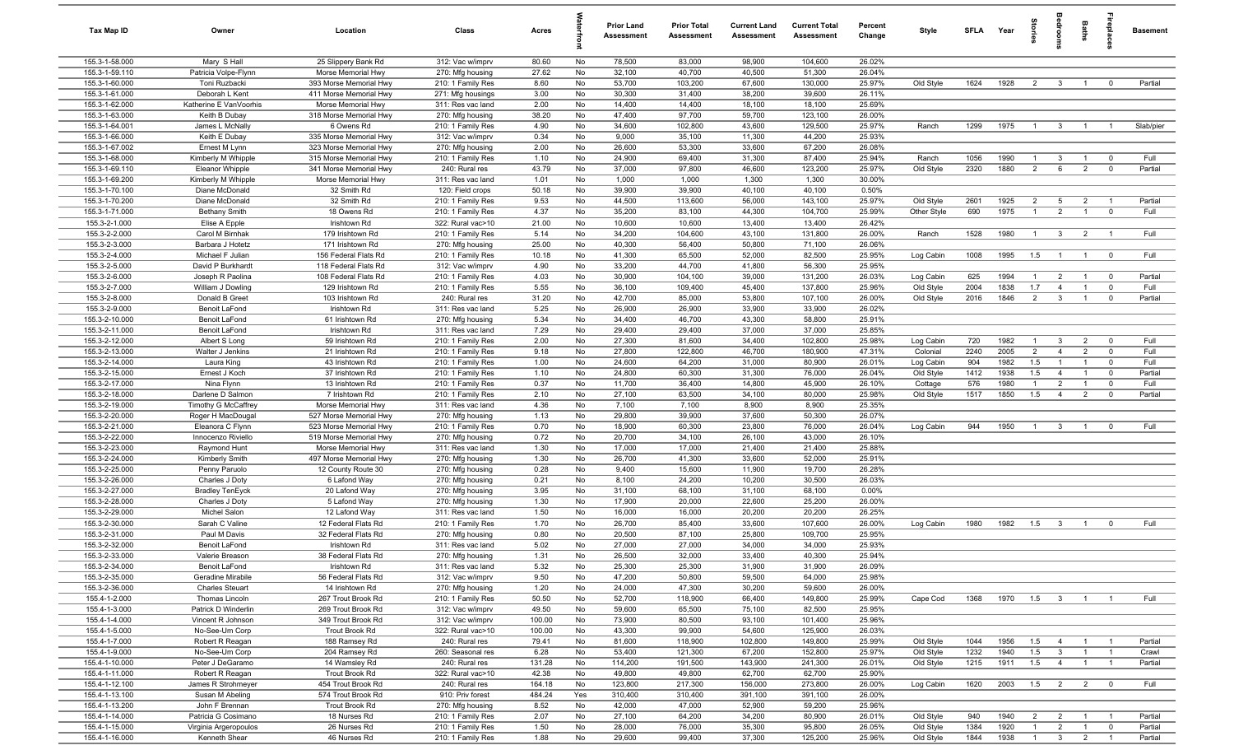| Tax Map ID                       | Owner                            | Location                                   | Class                                  | Acres         |          | <b>Prior Land</b><br>Assessment | <b>Prior Total</b><br><b>Assessment</b> | <b>Current Land</b><br><b>Assessment</b> | <b>Current Total</b><br><b>Assessment</b> | Percent<br>Change | Style       | SFLA | Year | ã                                | groo                    | Baths          | repla                   | <b>Basement</b> |
|----------------------------------|----------------------------------|--------------------------------------------|----------------------------------------|---------------|----------|---------------------------------|-----------------------------------------|------------------------------------------|-------------------------------------------|-------------------|-------------|------|------|----------------------------------|-------------------------|----------------|-------------------------|-----------------|
| 155.3-1-58.000                   | Mary S Hall                      | 25 Slippery Bank Rd                        | 312: Vac w/imprv                       | 80.60         | No       | 78,500                          | 83,000                                  | 98,900                                   | 104,600                                   | 26.02%            |             |      |      |                                  |                         |                |                         |                 |
| 155.3-1-59.110                   | Patricia Volpe-Flynn             | Morse Memorial Hwy                         | 270: Mfg housing                       | 27.62         | No       | 32,100                          | 40,700                                  | 40,500                                   | 51,300                                    | 26.04%            |             |      |      |                                  |                         |                |                         |                 |
| 155.3-1-60.000                   | Toni Ruzbacki                    | 393 Morse Memorial Hwy                     | 210: 1 Family Res                      | 8.60          | No       | 53,700                          | 103,200                                 | 67,600                                   | 130,000                                   | 25.97%            | Old Style   | 1624 | 1928 | $\overline{2}$                   | $\overline{\mathbf{3}}$ | $\overline{1}$ | $\overline{0}$          | Partial         |
| 155.3-1-61.000                   | Deborah L Kent                   | 411 Morse Memorial Hwy                     | 271: Mfg housings                      | 3.00          | No       | 30,300                          | 31,400                                  | 38,200                                   | 39,600                                    | 26.11%            |             |      |      |                                  |                         |                |                         |                 |
| 155.3-1-62.000                   | Katherine E VanVoorhis           | Morse Memorial Hwy                         | 311: Res vac land                      | 2.00          | No       | 14,400                          | 14,400                                  | 18,100                                   | 18,100                                    | 25.69%            |             |      |      |                                  |                         |                |                         |                 |
| 155.3-1-63.000                   | Keith B Dubay                    | 318 Morse Memorial Hwy                     | 270: Mfg housing                       | 38.20         | No       | 47,400                          | 97,700                                  | 59,700                                   | 123,100                                   | 26.00%            |             |      |      |                                  |                         |                |                         |                 |
| 155.3-1-64.001                   | James L McNally                  | 6 Owens Rd                                 | 210: 1 Family Res                      | 4.90          | No       | 34,600                          | 102,800                                 | 43,600                                   | 129,500                                   | 25.97%            | Ranch       | 1299 | 1975 | $\overline{1}$                   | $\mathbf{3}$            | $\overline{1}$ |                         | Slab/pier       |
| 155.3-1-66.000                   | Keith E Dubay                    | 335 Morse Memorial Hwy                     | 312: Vac w/imprv                       | 0.34          | No       | 9,000                           | 35,100                                  | 11,300                                   | 44,200                                    | 25.93%            |             |      |      |                                  |                         |                |                         |                 |
| 155.3-1-67.002                   | Ernest M Lynn                    | 323 Morse Memorial Hwy                     | 270: Mfg housing                       | 2.00          | No       | 26,600                          | 53,300                                  | 33,600                                   | 67,200                                    | 26.08%            |             |      |      |                                  |                         |                |                         |                 |
| 155.3-1-68.000                   | Kimberly M Whipple               | 315 Morse Memorial Hwy                     | 210: 1 Family Res                      | 1.10          | No       | 24,900                          | 69,400                                  | 31,300                                   | 87,400                                    | 25.94%            | Ranch       | 1056 | 1990 | $\overline{1}$                   | $\mathbf{3}$            | $\overline{1}$ | $\overline{0}$          | Full            |
| 155.3-1-69.110                   | <b>Eleanor Whipple</b>           | 341 Morse Memorial Hwy                     | 240: Rural res                         | 43.79         | No       | 37,000                          | 97,800                                  | 46,600                                   | 123,200                                   | 25.97%            | Old Style   | 2320 | 1880 | $\overline{2}$                   | 6                       | $\overline{2}$ | $\mathbf 0$             | Partial         |
| 155.3-1-69.200                   | Kimberly M Whipple               | Morse Memorial Hwy                         | 311: Res vac land                      | 1.01          | No       | 1,000                           | 1,000                                   | 1,300                                    | 1,300                                     | 30.00%            |             |      |      |                                  |                         |                |                         |                 |
| 155.3-1-70.100                   | Diane McDonald                   | 32 Smith Rd                                | 120: Field crops                       | 50.18         | No       | 39,900                          | 39,900                                  | 40,100                                   | 40,100                                    | 0.50%             |             |      |      |                                  |                         |                |                         |                 |
| 155.3-1-70.200                   | Diane McDonald                   | 32 Smith Rd                                | 210: 1 Family Res                      | 9.53          | No       | 44,500                          | 113,600                                 | 56,000                                   | 143,100                                   | 25.97%            | Old Style   | 2601 | 1925 | $\overline{2}$<br>$\overline{1}$ | 5                       | $\overline{2}$ | $\overline{1}$          | Partial         |
| 155.3-1-71.000<br>155.3-2-1.000  | <b>Bethany Smith</b>             | 18 Owens Rd<br>Irishtown Rd                | 210: 1 Family Res<br>322: Rural vac>10 | 4.37<br>21.00 | No<br>No | 35,200<br>10,600                | 83,100                                  | 44,300                                   | 104,700                                   | 25.99%<br>26.42%  | Other Style | 690  | 1975 |                                  | $\overline{2}$          | $\overline{1}$ | $\overline{0}$          | Full            |
| 155.3-2-2.000                    | Elise A Epple<br>Carol M Birnhak | 179 Irishtown Rd                           | 210: 1 Family Res                      | 5.14          | No       | 34,200                          | 10,600<br>104,600                       | 13,400<br>43,100                         | 13,400<br>131,800                         | 26.00%            | Ranch       | 1528 | 1980 | $\overline{1}$                   | $\mathbf{3}$            | $\overline{2}$ | $\overline{1}$          | Full            |
| 155.3-2-3.000                    | Barbara J Hotetz                 | 171 Irishtown Rd                           | 270: Mfg housing                       | 25.00         | No       | 40,300                          | 56,400                                  | 50,800                                   | 71,100                                    | 26.06%            |             |      |      |                                  |                         |                |                         |                 |
| 155.3-2-4.000                    | Michael F Julian                 | 156 Federal Flats Rd                       | 210: 1 Family Res                      | 10.18         | No       | 41,300                          | 65,500                                  | 52,000                                   | 82,500                                    | 25.95%            | Log Cabin   | 1008 | 1995 | 1.5                              | $\overline{1}$          | $\overline{1}$ | $\mathbf 0$             | Full            |
| 155.3-2-5.000                    | David P Burkhardt                | 118 Federal Flats Rd                       | 312: Vac w/imprv                       | 4.90          | No       | 33,200                          | 44,700                                  | 41,800                                   | 56,300                                    | 25.95%            |             |      |      |                                  |                         |                |                         |                 |
| 155.3-2-6.000                    | Joseph R Paolina                 | 108 Federal Flats Rd                       | 210: 1 Family Res                      | 4.03          | No       | 30,900                          | 104,100                                 | 39,000                                   | 131,200                                   | 26.03%            | Log Cabin   | 625  | 1994 | -1                               | $\overline{2}$          | $\overline{1}$ | $\overline{0}$          | Partial         |
| 155.3-2-7.000                    | William J Dowling                | 129 Irishtown Rd                           | 210: 1 Family Res                      | 5.55          | No       | 36,100                          | 109,400                                 | 45,400                                   | 137,800                                   | 25.96%            | Old Style   | 2004 | 1838 | 1.7                              | $\overline{4}$          | $\overline{1}$ | $\mathbf 0$             | Full            |
| 155.3-2-8.000                    | Donald B Greet                   | 103 Irishtown Rd                           | 240: Rural res                         | 31.20         | No       | 42,700                          | 85,000                                  | 53,800                                   | 107,100                                   | 26.00%            | Old Style   | 2016 | 1846 | $\overline{2}$                   | $\mathbf{3}$            | $\overline{1}$ | $\mathbf{0}$            | Partial         |
| 155.3-2-9.000                    | Benoit LaFond                    | Irishtown Rd                               | 311: Res vac land                      | 5.25          | No       | 26,900                          | 26,900                                  | 33,900                                   | 33,900                                    | 26.02%            |             |      |      |                                  |                         |                |                         |                 |
| 155.3-2-10.000                   | Benoit LaFond                    | 61 Irishtown Rd                            | 270: Mfg housing                       | 5.34          | No       | 34,400                          | 46,700                                  | 43,300                                   | 58,800                                    | 25.91%            |             |      |      |                                  |                         |                |                         |                 |
| 155.3-2-11.000                   | Benoit LaFond                    | Irishtown Rd                               | 311: Res vac land                      | 7.29          | No       | 29,400                          | 29,400                                  | 37,000                                   | 37,000                                    | 25.85%            |             |      |      |                                  |                         |                |                         |                 |
| 155.3-2-12.000                   | Albert S Long                    | 59 Irishtown Rd                            | 210: 1 Family Res                      | 2.00          | No       | 27,300                          | 81,600                                  | 34,400                                   | 102,800                                   | 25.98%            | Log Cabin   | 720  | 1982 | $\overline{1}$                   | $\mathbf{3}$            | $\overline{2}$ | $\overline{0}$          | Full            |
| 155.3-2-13.000                   | Walter J Jenkins                 | 21 Irishtown Rd                            | 210: 1 Family Res                      | 9.18          | No       | 27,800                          | 122,800                                 | 46,700                                   | 180,900                                   | 47.31%            | Colonial    | 2240 | 2005 | $\overline{2}$                   | $\overline{4}$          | 2              | $\mathbf 0$             | Full            |
| 155.3-2-14.000                   | Laura King                       | 43 Irishtown Rd                            | 210: 1 Family Res                      | 1.00          | No       | 24,600                          | 64,200                                  | 31,000                                   | 80,900                                    | 26.01%            | Log Cabin   | 904  | 1982 | 1.5                              | $\mathbf{1}$            | $\overline{1}$ | $\mathbf 0$             | Full            |
| 155.3-2-15.000                   | Ernest J Koch                    | 37 Irishtown Rd                            | 210: 1 Family Res                      | 1.10          | No       | 24,800                          | 60,300                                  | 31,300                                   | 76,000                                    | 26.04%            | Old Style   | 1412 | 1938 | 1.5                              | $\overline{4}$          | $\overline{1}$ | $\mathbf 0$             | Partial         |
| 155.3-2-17.000                   | Nina Flynn                       | 13 Irishtown Rd                            | 210: 1 Family Res                      | 0.37          | No       | 11,700                          | 36,400                                  | 14,800                                   | 45,900                                    | 26.10%            | Cottage     | 576  | 1980 | $\overline{1}$                   | $\overline{2}$          | $\overline{1}$ | $\mathbf 0$             | Full            |
| 155.3-2-18.000                   | Darlene D Salmon                 | 7 Irishtown Rd                             | 210: 1 Family Res                      | 2.10          | No       | 27,100                          | 63,500                                  | 34,100                                   | 80,000                                    | 25.98%            | Old Style   | 1517 | 1850 | 1.5                              | $\overline{4}$          | $\overline{2}$ | $\mathbf 0$             | Partial         |
| 155.3-2-19.000                   | Timothy G McCaffrey              | Morse Memorial Hwy                         | 311: Res vac land                      | 4.36          | No       | 7,100                           | 7,100                                   | 8,900                                    | 8,900                                     | 25.35%            |             |      |      |                                  |                         |                |                         |                 |
| 155.3-2-20.000                   | Roger H MacDougal                | 527 Morse Memorial Hwy                     | 270: Mfg housing                       | 1.13          | No       | 29,800                          | 39,900                                  | 37,600                                   | 50,300                                    | 26.07%            |             |      |      |                                  |                         |                |                         |                 |
| 155.3-2-21.000                   | Eleanora C Flynn                 | 523 Morse Memorial Hwy                     | 210: 1 Family Res                      | 0.70          | No       | 18,900                          | 60,300                                  | 23,800                                   | 76,000                                    | 26.04%            | Log Cabin   | 944  | 1950 | $\overline{1}$                   | $\overline{\mathbf{3}}$ | $\overline{1}$ | $\overline{0}$          | Full            |
| 155.3-2-22.000                   | Innocenzo Riviello               | 519 Morse Memorial Hwy                     | 270: Mfg housing                       | 0.72          | No       | 20,700                          | 34,100                                  | 26,100                                   | 43,000                                    | 26.10%            |             |      |      |                                  |                         |                |                         |                 |
| 155.3-2-23.000                   | Raymond Hunt                     | Morse Memorial Hwy                         | 311: Res vac land                      | 1.30          | No       | 17,000                          | 17,000                                  | 21,400                                   | 21,400                                    | 25.88%            |             |      |      |                                  |                         |                |                         |                 |
| 155.3-2-24.000                   | Kimberly Smith                   | 497 Morse Memorial Hwy                     | 270: Mfg housing                       | 1.30          | No       | 26,700                          | 41,300                                  | 33,600                                   | 52,000                                    | 25.91%            |             |      |      |                                  |                         |                |                         |                 |
| 155.3-2-25.000                   | Penny Paruolo                    | 12 County Route 30                         | 270: Mfg housing                       | 0.28          | No       | 9,400                           | 15,600                                  | 11,900                                   | 19,700                                    | 26.28%            |             |      |      |                                  |                         |                |                         |                 |
| 155.3-2-26.000                   | Charles J Doty                   | 6 Lafond Way                               | 270: Mfg housing                       | 0.21          | No       | 8,100                           | 24,200                                  | 10,200                                   | 30,500                                    | 26.03%            |             |      |      |                                  |                         |                |                         |                 |
| 155.3-2-27.000                   | <b>Bradley TenEyck</b>           | 20 Lafond Way                              | 270: Mfg housing                       | 3.95          | No       | 31,100                          | 68,100                                  | 31,100                                   | 68,100                                    | 0.00%             |             |      |      |                                  |                         |                |                         |                 |
| 155.3-2-28.000                   | Charles J Doty                   | 5 Lafond Way                               | 270: Mfg housing                       | 1.30          | No       | 17,900                          | 20,000                                  | 22,600                                   | 25,200                                    | 26.00%            |             |      |      |                                  |                         |                |                         |                 |
| 155.3-2-29.000<br>155.3-2-30.000 | Michel Salon                     | 12 Lafond Way                              | 311: Res vac land                      | 1.50          | No       | 16,000<br>26,700                | 16,000<br>85,400                        | 20,200<br>33,600                         | 20,200<br>107,600                         | 26.25%            |             | 1980 |      |                                  |                         |                | $\mathbf 0$             | Full            |
| 155.3-2-31.000                   | Sarah C Valine<br>Paul M Davis   | 12 Federal Flats Rd<br>32 Federal Flats Rd | 210: 1 Family Res<br>270: Mfg housing  | 1.70<br>0.80  | No<br>No | 20,500                          | 87,100                                  | 25,800                                   | 109,700                                   | 26.00%<br>25.95%  | Log Cabin   |      | 1982 | 1.5                              | $\overline{\mathbf{3}}$ | $\overline{1}$ |                         |                 |
| 155.3-2-32.000                   | Benoit LaFond                    | Irishtown Rd                               | 311: Res vac land                      | 5.02          | No       | 27,000                          | 27,000                                  | 34,000                                   | 34,000                                    | 25.93%            |             |      |      |                                  |                         |                |                         |                 |
| 155.3-2-33.000                   | Valerie Breason                  | 38 Federal Flats Rd                        | 270: Mfg housing                       | 1.31          | No       | 26,500                          | 32,000                                  | 33,400                                   | 40,300                                    | 25.94%            |             |      |      |                                  |                         |                |                         |                 |
| 155.3-2-34.000                   | Benoit LaFond                    | Irishtown Rd                               | 311: Res vac land                      | 5.32          | No       | 25,300                          | 25,300                                  | 31,900                                   | 31,900                                    | 26.09%            |             |      |      |                                  |                         |                |                         |                 |
| 155.3-2-35.000                   | Geradine Mirabile                | 56 Federal Flats Rd                        | 312: Vac w/imprv                       | 9.50          | No       | 47,200                          | 50,800                                  | 59,500                                   | 64,000                                    | 25.98%            |             |      |      |                                  |                         |                |                         |                 |
| 155.3-2-36.000                   | <b>Charles Steuart</b>           | 14 Irishtown Rd                            | 270: Mfg housing                       | 1.20          | No       | 24,000                          | 47,300                                  | 30,200                                   | 59,600                                    | 26.00%            |             |      |      |                                  |                         |                |                         |                 |
| 155.4-1-2.000                    | Thomas Lincoln                   | 267 Trout Brook Rd                         | 210: 1 Family Res                      | 50.50         | No       | 52,700                          | 118,900                                 | 66,400                                   | 149,800                                   | 25.99%            | Cape Cod    | 1368 | 1970 | $1.5\qquad 3$                    |                         | $\overline{1}$ | $\overline{1}$          | Full            |
| 155.4-1-3.000                    | Patrick D Winderlin              | 269 Trout Brook Rd                         | 312: Vac w/imprv                       | 49.50         | No       | 59,600                          | 65,500                                  | 75,100                                   | 82,500                                    | 25.95%            |             |      |      |                                  |                         |                |                         |                 |
| 155.4-1-4.000                    | Vincent R Johnson                | 349 Trout Brook Rd                         | 312: Vac w/imprv                       | 100.00        | No       | 73,900                          | 80,500                                  | 93,100                                   | 101,400                                   | 25.96%            |             |      |      |                                  |                         |                |                         |                 |
| 155.4-1-5.000                    | No-See-Um Corp                   | Trout Brook Rd                             | 322: Rural vac>10                      | 100.00        | No       | 43,300                          | 99,900                                  | 54,600                                   | 125,900                                   | 26.03%            |             |      |      |                                  |                         |                |                         |                 |
| 155.4-1-7.000                    | Robert R Reagan                  | 188 Ramsey Rd                              | 240: Rural res                         | 79.41         | No       | 81,600                          | 118,900                                 | 102,800                                  | 149,800                                   | 25.99%            | Old Style   | 1044 | 1956 | 1.5                              | $\overline{4}$          | $\overline{1}$ | $\overline{1}$          | Partial         |
| 155.4-1-9.000                    | No-See-Um Corp                   | 204 Ramsey Rd                              | 260: Seasonal res                      | 6.28          | No       | 53,400                          | 121,300                                 | 67,200                                   | 152,800                                   | 25.97%            | Old Style   | 1232 | 1940 | 1.5                              | $\overline{\mathbf{3}}$ | $\overline{1}$ | $\overline{1}$          | Crawl           |
| 155.4-1-10.000                   | Peter J DeGaramo                 | 14 Wamsley Rd                              | 240: Rural res                         | 131.28        | No       | 114,200                         | 191,500                                 | 143,900                                  | 241,300                                   | 26.01%            | Old Style   | 1215 | 1911 | 1.5                              | $\overline{4}$          | $\overline{1}$ | $\overline{1}$          | Partial         |
| 155.4-1-11.000                   | Robert R Reagan                  | Trout Brook Rd                             | 322: Rural vac>10                      | 42.38         | No       | 49,800                          | 49,800                                  | 62,700                                   | 62,700                                    | 25.90%            |             |      |      |                                  |                         |                |                         |                 |
| 155.4-1-12.100                   | James R Strohmeyer               | 454 Trout Brook Rd                         | 240: Rural res                         | 164.18        | No       | 123,800                         | 217,300                                 | 156,000                                  | 273,800                                   | 26.00%            | Log Cabin   | 1620 | 2003 | 1.5                              | $\overline{2}$          | $\overline{2}$ | $\overline{\mathbf{0}}$ | Full            |
| 155.4-1-13.100                   | Susan M Abeling                  | 574 Trout Brook Rd                         | 910: Priv forest                       | 484.24        | Yes      | 310,400                         | 310,400                                 | 391,100                                  | 391,100                                   | 26.00%            |             |      |      |                                  |                         |                |                         |                 |
| 155.4-1-13.200                   | John F Brennan                   | Trout Brook Rd                             | 270: Mfg housing                       | 8.52          | No       | 42,000                          | 47,000                                  | 52,900                                   | 59,200                                    | 25.96%            |             |      |      |                                  |                         |                |                         |                 |
| 155.4-1-14.000                   | Patricia G Cosimano              | 18 Nurses Rd                               | 210: 1 Family Res                      | 2.07          | No       | 27,100                          | 64,200                                  | 34,200                                   | 80,900                                    | 26.01%            | Old Style   | 940  | 1940 | $\overline{2}$                   | $\overline{2}$          | $\overline{1}$ | $\overline{1}$          | Partial         |
| 155.4-1-15.000                   | Virginia Argeropoulos            | 26 Nurses Rd                               | 210: 1 Family Res                      | 1.50          | No       | 28,000                          | 76,000                                  | 35,300                                   | 95,800                                    | 26.05%            | Old Style   | 1384 | 1920 | $\overline{1}$                   | $\overline{2}$          | $\overline{1}$ | $\overline{0}$          | Partial         |
| 155.4-1-16.000                   | Kenneth Shear                    | 46 Nurses Rd                               | 210: 1 Family Res                      | 1.88          | No       | 29,600                          | 99,400                                  | 37,300                                   | 125,200                                   | 25.96%            | Old Style   | 1844 | 1938 | $\overline{1}$                   | 3 <sup>3</sup>          | $\overline{2}$ | $\overline{1}$          | Partial         |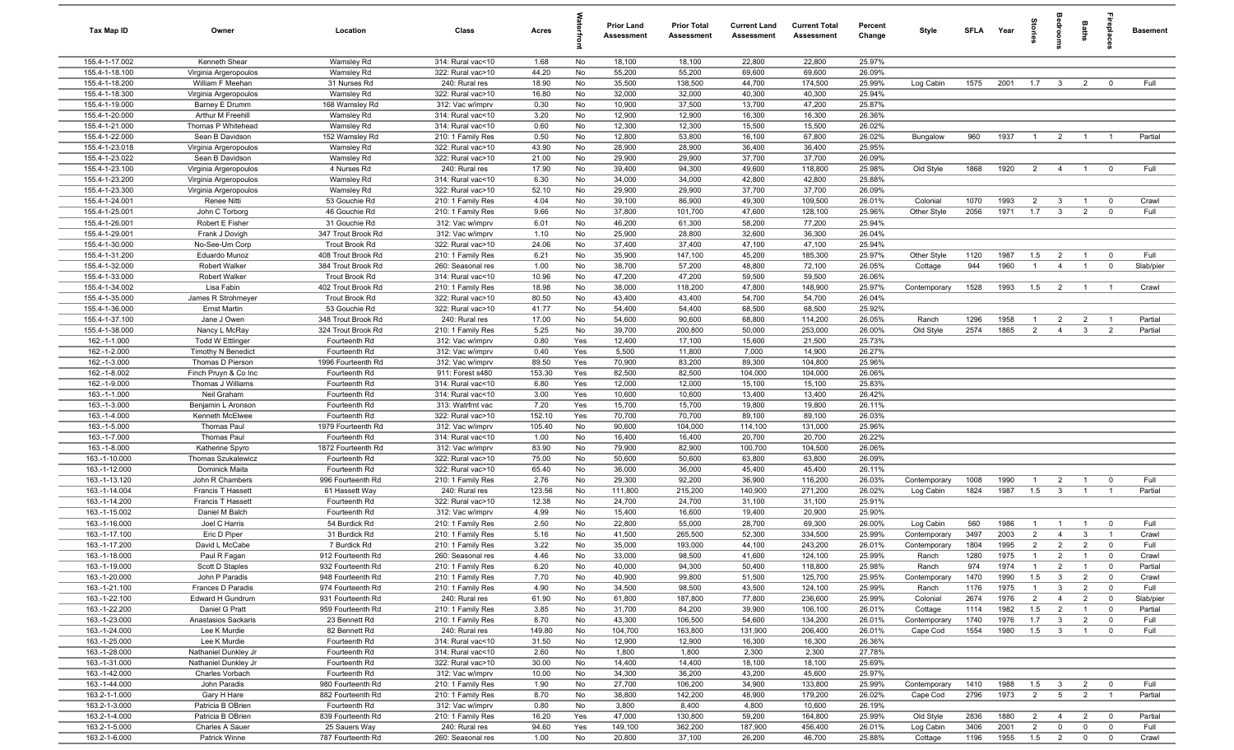| Tax Map ID                       | Owner                                   | Location                             | Class                                  | Acres          |          | <b>Prior Land</b><br>Assessment | <b>Prior Total</b><br>Assessment | <b>Current Land</b><br><b>Assessment</b> | <b>Current Total</b><br>Assessment | Percent<br>Change | Style                   | SFLA         | Year         | na<br>Fi       | groo                                      | Baths                            | epla                             | <b>Basement</b> |
|----------------------------------|-----------------------------------------|--------------------------------------|----------------------------------------|----------------|----------|---------------------------------|----------------------------------|------------------------------------------|------------------------------------|-------------------|-------------------------|--------------|--------------|----------------|-------------------------------------------|----------------------------------|----------------------------------|-----------------|
| 155.4-1-17.002                   | Kenneth Shear                           | Wamsley Rd                           | 314: Rural vac<10                      | 1.68           | No       | 18,100                          | 18,100                           | 22,800                                   | 22,800                             | 25.97%            |                         |              |              |                |                                           |                                  |                                  |                 |
| 155.4-1-18.100                   | Virginia Argeropoulos                   | Wamsley Rd                           | 322: Rural vac>10                      | 44.20          | No       | 55,200                          | 55,200                           | 69,600                                   | 69,600                             | 26.09%            |                         |              |              |                |                                           |                                  |                                  |                 |
| 155.4-1-18.200                   | William F Meehan                        | 31 Nurses Rd                         | 240: Rural res                         | 18.90          | No       | 35,500                          | 138,500                          | 44,700                                   | 174,500                            | 25.99%            | Log Cabin               | 1575         | 2001         | 1.7            | $\overline{\mathbf{3}}$                   | $\overline{2}$                   | $\mathbf 0$                      | Full            |
| 155.4-1-18.300                   | Virginia Argeropoulos                   | Wamsley Rd                           | 322: Rural vac>10                      | 16.80          | No       | 32,000                          | 32,000                           | 40,300                                   | 40,300                             | 25.94%            |                         |              |              |                |                                           |                                  |                                  |                 |
| 155.4-1-19.000                   | Barney E Drumm                          | 168 Wamsley Rd                       | 312: Vac w/imprv                       | 0.30           | No       | 10,900                          | 37,500                           | 13,700                                   | 47,200                             | 25.87%            |                         |              |              |                |                                           |                                  |                                  |                 |
| 155.4-1-20.000                   | Arthur M Freehill<br>Thomas P Whitehead | Wamsley Rd                           | 314: Rural vac<10                      | 3.20           | No       | 12,900                          | 12,900<br>12,300                 | 16,300<br>15,500                         | 16,300                             | 26.36%<br>26.02%  |                         |              |              |                |                                           |                                  |                                  |                 |
| 155.4-1-21.000<br>155.4-1-22.000 | Sean B Davidson                         | Wamsley Rd<br>152 Wamsley Rd         | 314: Rural vac<10<br>210: 1 Family Res | 0.60<br>0.50   | No<br>No | 12,300<br>12,800                | 53,800                           | 16,100                                   | 15,500<br>67,800                   | 26.02%            | Bungalow                | 960          | 1937         | $\overline{1}$ | $\overline{2}$                            | $\overline{1}$                   | $\overline{1}$                   | Partial         |
| 155.4-1-23.018                   | Virginia Argeropoulos                   | Wamsley Rd                           | 322: Rural vac>10                      | 43.90          | No       | 28,900                          | 28,900                           | 36,400                                   | 36,400                             | 25.95%            |                         |              |              |                |                                           |                                  |                                  |                 |
| 155.4-1-23.022                   | Sean B Davidson                         | Wamsley Rd                           | 322: Rural vac>10                      | 21.00          | No       | 29,900                          | 29,900                           | 37,700                                   | 37,700                             | 26.09%            |                         |              |              |                |                                           |                                  |                                  |                 |
| 155.4-1-23.100                   | Virginia Argeropoulos                   | 4 Nurses Rd                          | 240: Rural res                         | 17.90          | No       | 39,400                          | 94,300                           | 49,600                                   | 118,800                            | 25.98%            | Old Style               | 1868         | 1920         | 2              | $\overline{4}$                            | $\overline{1}$                   | $^{\circ}$                       | Full            |
| 155.4-1-23.200                   | Virginia Argeropoulos                   | Wamsley Rd                           | 314: Rural vac<10                      | 6.30           | No       | 34,000                          | 34,000                           | 42,800                                   | 42,800                             | 25.88%            |                         |              |              |                |                                           |                                  |                                  |                 |
| 155.4-1-23.300                   | Virginia Argeropoulos                   | Wamsley Rd                           | 322: Rural vac>10                      | 52.10          | No       | 29,900                          | 29,900                           | 37,700                                   | 37,700                             | 26.09%            |                         |              |              |                |                                           |                                  |                                  |                 |
| 155.4-1-24.001                   | Renee Nitti                             | 53 Gouchie Rd                        | 210: 1 Family Res                      | 4.04           | No       | 39,100                          | 86,900                           | 49,300                                   | 109,500                            | 26.01%            | Colonial                | 1070         | 1993         | $\overline{2}$ | $\mathbf{3}$                              | $\overline{1}$                   | $\overline{0}$                   | Crawl           |
| 155.4-1-25.001                   | John C Torborg                          | 46 Gouchie Rd                        | 210: 1 Family Res                      | 9.66           | No       | 37,800                          | 101,700                          | 47,600                                   | 128,100                            | 25.96%            | Other Style             | 2056         | 1971         | 1.7            | $\overline{3}$                            | $\overline{2}$                   | $\mathbf 0$                      | Full            |
| 155.4-1-26.001                   | Robert E Fisher                         | 31 Gouchie Rd                        | 312: Vac w/imprv                       | 6.01           | No       | 46,200                          | 61,300                           | 58,200                                   | 77,200                             | 25.94%            |                         |              |              |                |                                           |                                  |                                  |                 |
| 155.4-1-29.001                   | Frank J Dovigh                          | 347 Trout Brook Rd                   | 312: Vac w/imprv                       | 1.10           | No       | 25,900                          | 28,800                           | 32,600                                   | 36,300                             | 26.04%            |                         |              |              |                |                                           |                                  |                                  |                 |
| 155.4-1-30.000                   | No-See-Um Corp                          | Trout Brook Rd                       | 322: Rural vac>10                      | 24.06          | No       | 37,400                          | 37,400                           | 47,100                                   | 47,100                             | 25.94%            |                         |              |              |                |                                           |                                  |                                  |                 |
| 155.4-1-31.200                   | Eduardo Munoz                           | 408 Trout Brook Rd                   | 210: 1 Family Res                      | 6.21           | No       | 35,900                          | 147,100                          | 45,200                                   | 185,300                            | 25.97%            | Other Style             | 1120         | 1987         | 1.5            | $\overline{2}$                            | $\overline{1}$                   | $\overline{\mathbf{0}}$          | Full            |
| 155.4-1-32.000                   | Robert Walker                           | 384 Trout Brook Rd                   | 260: Seasonal res                      | 1.00           | No       | 38,700                          | 57,200                           | 48,800                                   | 72,100                             | 26.05%            | Cottage                 | 944          | 1960         | $\overline{1}$ | $\overline{4}$                            | $\overline{1}$                   | $\mathbf 0$                      | Slab/pier       |
| 155.4-1-33.000<br>155.4-1-34.002 | Robert Walker<br>Lisa Fabin             | Trout Brook Rd<br>402 Trout Brook Rd | 314: Rural vac<10<br>210: 1 Family Res | 10.96<br>18.98 | No<br>No | 47,200<br>38,000                | 47,200<br>118,200                | 59,500<br>47,800                         | 59,500<br>148,900                  | 26.06%<br>25.97%  | Contemporary            | 1528         | 1993         | 1.5            | $\overline{2}$                            | $\overline{1}$                   | $\overline{1}$                   | Crawl           |
| 155.4-1-35.000                   | James R Strohmeyer                      | Trout Brook Rd                       | 322: Rural vac>10                      | 80.50          | No       | 43,400                          | 43,400                           | 54,700                                   | 54,700                             | 26.04%            |                         |              |              |                |                                           |                                  |                                  |                 |
| 155.4-1-36.000                   | <b>Ernst Martin</b>                     | 53 Gouchie Rd                        | 322: Rural vac>10                      | 41.77          | No       | 54,400                          | 54,400                           | 68,500                                   | 68,500                             | 25.92%            |                         |              |              |                |                                           |                                  |                                  |                 |
| 155.4-1-37.100                   | Jane J Owen                             | 348 Trout Brook Rd                   | 240: Rural res                         | 17.00          | No       | 54,600                          | 90,600                           | 68,800                                   | 114,200                            | 26.05%            | Ranch                   | 1296         | 1958         | $\overline{1}$ | $\overline{2}$                            | $\overline{2}$                   | $\overline{1}$                   | Partial         |
| 155.4-1-38.000                   | Nancy L McRay                           | 324 Trout Brook Rd                   | 210: 1 Family Res                      | 5.25           | No       | 39,700                          | 200,800                          | 50,000                                   | 253,000                            | 26.00%            | Old Style               | 2574         | 1865         | 2              | $\overline{4}$                            | $\mathbf{3}$                     | $\overline{2}$                   | Partial         |
| 162.-1-1.000                     | <b>Todd W Ettlinger</b>                 | Fourteenth Rd                        | 312: Vac w/imprv                       | 0.80           | Yes      | 12,400                          | 17,100                           | 15,600                                   | 21,500                             | 25.73%            |                         |              |              |                |                                           |                                  |                                  |                 |
| 162.-1-2.000                     | Timothy N Benedict                      | Fourteenth Rd                        | 312: Vac w/imprv                       | 0.40           | Yes      | 5,500                           | 11,800                           | 7,000                                    | 14,900                             | 26.27%            |                         |              |              |                |                                           |                                  |                                  |                 |
| 162.-1-3.000                     | Thomas D Pierson                        | 1996 Fourteenth Rd                   | 312: Vac w/imprv                       | 89.50          | Yes      | 70,900                          | 83,200                           | 89,300                                   | 104,800                            | 25.96%            |                         |              |              |                |                                           |                                  |                                  |                 |
| 162.-1-8.002                     | Finch Pruyn & Co Inc                    | Fourteenth Rd                        | 911: Forest s480                       | 153.30         | Yes      | 82,500                          | 82,500                           | 104,000                                  | 104,000                            | 26.06%            |                         |              |              |                |                                           |                                  |                                  |                 |
| 162.-1-9.000                     | Thomas J Williams                       | Fourteenth Rd                        | 314: Rural vac<10                      | 6.80           | Yes      | 12,000                          | 12,000                           | 15,100                                   | 15,100                             | 25.83%            |                         |              |              |                |                                           |                                  |                                  |                 |
| 163.-1-1.000                     | Neil Graham                             | Fourteenth Rd                        | 314: Rural vac<10                      | 3.00           | Yes      | 10,600                          | 10,600                           | 13,400                                   | 13,400                             | 26.42%            |                         |              |              |                |                                           |                                  |                                  |                 |
| 163.-1-3.000                     | Benjamin L Aronson                      | Fourteenth Rd                        | 313: Watrfrnt vac                      | 7.20           | Yes      | 15,700                          | 15,700                           | 19,800                                   | 19,800                             | 26.11%            |                         |              |              |                |                                           |                                  |                                  |                 |
| 163.-1-4.000                     | Kenneth McElwee                         | Fourteenth Rd                        | 322: Rural vac>10                      | 152.10         | Yes      | 70,700                          | 70,700                           | 89,100                                   | 89,100                             | 26.03%            |                         |              |              |                |                                           |                                  |                                  |                 |
| 163.-1-5.000                     | Thomas Paul                             | 1979 Fourteenth Rd                   | 312: Vac w/imprv                       | 105.40         | No       | 90,600                          | 104,000                          | 114,100                                  | 131,000                            | 25.96%            |                         |              |              |                |                                           |                                  |                                  |                 |
| 163.-1-7.000<br>163.-1-8.000     | <b>Thomas Paul</b>                      | Fourteenth Rd<br>1872 Fourteenth Rd  | 314: Rural vac<10                      | 1.00           | No<br>No | 16,400<br>79,900                | 16,400<br>82,900                 | 20,700<br>100,700                        | 20,700<br>104,500                  | 26.22%<br>26.06%  |                         |              |              |                |                                           |                                  |                                  |                 |
| 163.-1-10.000                    | Katherine Spyro<br>Thomas Szukalewicz   | Fourteenth Rd                        | 312: Vac w/imprv<br>322: Rural vac>10  | 83.90<br>75.00 | No       | 50,600                          | 50,600                           | 63,800                                   | 63,800                             | 26.09%            |                         |              |              |                |                                           |                                  |                                  |                 |
| 163.-1-12.000                    | Dominick Maita                          | Fourteenth Rd                        | 322: Rural vac>10                      | 65.40          | No       | 36,000                          | 36,000                           | 45,400                                   | 45,400                             | 26.11%            |                         |              |              |                |                                           |                                  |                                  |                 |
| 163.-1-13.120                    | John R Chambers                         | 996 Fourteenth Rd                    | 210: 1 Family Res                      | 2.76           | No       | 29,300                          | 92,200                           | 36,900                                   | 116,200                            | 26.03%            | Contemporary            | 1008         | 1990         | $\overline{1}$ | $\overline{2}$                            | $\overline{1}$                   | $\mathbf 0$                      | Full            |
| 163.-1-14.004                    | Francis T Hassett                       | 61 Hassett Way                       | 240: Rural res                         | 123.56         | No       | 111,800                         | 215,200                          | 140,900                                  | 271,200                            | 26.02%            | Log Cabin               | 1824         | 1987         | 1.5            | $\overline{\mathbf{3}}$                   | $\overline{1}$                   | $\overline{1}$                   | Partial         |
| 163.-1-14.200                    | Francis T Hassett                       | Fourteenth Rd                        | 322: Rural vac>10                      | 12.38          | No       | 24,700                          | 24,700                           | 31,100                                   | 31,100                             | 25.91%            |                         |              |              |                |                                           |                                  |                                  |                 |
| 163.-1-15.002                    | Daniel M Balch                          | Fourteenth Rd                        | 312: Vac w/imprv                       | 4.99           | No       | 15,400                          | 16,600                           | 19,400                                   | 20,900                             | 25.90%            |                         |              |              |                |                                           |                                  |                                  |                 |
| 163.-1-16.000                    | Joel C Harris                           | 54 Burdick Rd                        | 210: 1 Family Res                      | 2.50           | No       | 22,800                          | 55,000                           | 28,700                                   | 69,300                             | 26.00%            | Log Cabin               | 560          | 1986         | $\mathbf{1}$   | $\overline{1}$                            | $\overline{1}$                   | $\overline{0}$                   | Full            |
| 163.-1-17.100                    | Eric D Piper                            | 31 Burdick Rd                        | 210: 1 Family Res                      | 5.16           | No       | 41,500                          | 265,500                          | 52,300                                   | 334,500                            | 25.99%            | Contemporary            | 3497         | 2003         | $\overline{2}$ | $\overline{4}$                            | $\mathbf{3}$                     | $\overline{1}$                   | Crawl           |
| 163.-1-17.200                    | David L McCabe                          | 7 Burdick Rd                         | 210: 1 Family Res                      | 3.22           | No       | 35,000                          | 193,000                          | 44,100                                   | 243,200                            | 26.01%            | Contemporary            | 1804         | 1995         | $\overline{2}$ | $\overline{2}$                            | $\overline{2}$                   | $\mathbf 0$                      | Full            |
| 163.-1-18.000                    | Paul R Fagan                            | 912 Fourteenth Rd                    | 260: Seasonal res                      | 4.46           | No       | 33,000                          | 98,500                           | 41,600                                   | 124,100                            | 25.99%            | Ranch                   | 1280         | 1975         | $\overline{1}$ | 2                                         | $\overline{1}$                   | $\mathbf 0$                      | Crawl           |
| 163.-1-19.000                    | Scott D Staples                         | 932 Fourteenth Rd                    | 210: 1 Family Res                      | 6.20           | No       | 40,000                          | 94,300                           | 50,400                                   | 118,800                            | 25.98%            | Ranch                   | 974          | 1974         | $\overline{1}$ | $\overline{2}$                            | $\overline{1}$                   | $\mathbf 0$                      | Partial         |
| 163.-1-20.000                    | John P Paradis                          | 948 Fourteenth Rd                    | 210: 1 Family Res                      | 7.70           | No       | 40,900                          | 99,800                           | 51,500                                   | 125,700                            | 25.95%            | Contemporary            | 1470         | 1990         | 1.5            | $\mathbf{3}$                              | $\overline{2}$                   | $\overline{0}$                   | Crawl           |
| 163.-1-21.100                    | Frances D Paradis                       | 974 Fourteenth Rd                    | 210: 1 Family Res                      | 4.90           | No       | 34,500                          | 98,500                           | 43,500                                   | 124,100                            | 25.99%            | Ranch                   | 1176         | 1975         | $\overline{1}$ | $\mathbf{3}$                              | $\overline{2}$                   | $\overline{0}$                   | Full            |
| 163.-1-22.100                    | Edward H Gundrum                        | 931 Fourteenth Rd                    | 240: Rural res                         | 61.90          | No       | 61,800                          | 187,800                          | 77,800                                   | 236,600                            | 25.99%            | Colonial                | 2674         | 1976         | $\overline{2}$ | $\overline{4}$                            | $\overline{2}$                   | $\overline{\mathbf{0}}$          | Slab/pier       |
| 163.-1-22.200<br>163.-1-23.000   | Daniel G Pratt<br>Anastasios Sackaris   | 959 Fourteenth Rd<br>23 Bennett Rd   | 210: 1 Family Res<br>210: 1 Family Res | 3.85<br>8.70   | No<br>No | 31,700<br>43,300                | 84,200<br>106,500                | 39,900<br>54,600                         | 106,100<br>134,200                 | 26.01%<br>26.01%  | Cottage<br>Contemporary | 1114<br>1740 | 1982<br>1976 | 1.5<br>1.7     | $\overline{2}$<br>$\overline{\mathbf{3}}$ | $\overline{1}$<br>$\overline{2}$ | $\overline{0}$<br>$\overline{0}$ | Partial<br>Full |
| 163.-1-24.000                    | Lee K Murdie                            | 82 Bennett Rd                        | 240: Rural res                         | 149.80         | No       | 104,700                         | 163,800                          | 131,900                                  | 206,400                            | 26.01%            | Cape Cod                | 1554         | 1980         | 1.5            | $\overline{\mathbf{3}}$                   | $\overline{1}$                   | $\mathbf 0$                      | Full            |
| 163.-1-25.000                    | Lee K Murdie                            | Fourteenth Rd                        | 314: Rural vac<10                      | 31.50          | No       | 12,900                          | 12,900                           | 16,300                                   | 16,300                             | 26.36%            |                         |              |              |                |                                           |                                  |                                  |                 |
| 163.-1-28.000                    | Nathaniel Dunkley Jr                    | Fourteenth Rd                        | 314: Rural vac<10                      | 2.60           | No       | 1,800                           | 1,800                            | 2,300                                    | 2,300                              | 27.78%            |                         |              |              |                |                                           |                                  |                                  |                 |
| 163.-1-31.000                    | Nathaniel Dunkley Jr                    | Fourteenth Rd                        | 322: Rural vac>10                      | 30.00          | No       | 14,400                          | 14,400                           | 18,100                                   | 18,100                             | 25.69%            |                         |              |              |                |                                           |                                  |                                  |                 |
| 163.-1-42.000                    | Charles Vorbach                         | Fourteenth Rd                        | 312: Vac w/imprv                       | 10.00          | No       | 34,300                          | 36,200                           | 43,200                                   | 45,600                             | 25.97%            |                         |              |              |                |                                           |                                  |                                  |                 |
| 163.-1-44.000                    | John Paradis                            | 980 Fourteenth Rd                    | 210: 1 Family Res                      | 1.90           | No       | 27,700                          | 106,200                          | 34,900                                   | 133,800                            | 25.99%            | Contemporary            | 1410         | 1988         | 1.5            | $\mathbf{3}$                              | $\overline{2}$                   | $\overline{\mathbf{0}}$          | Full            |
| 163.2-1-1.000                    | Gary H Hare                             | 882 Fourteenth Rd                    | 210: 1 Family Res                      | 8.70           | No       | 38,800                          | 142,200                          | 48,900                                   | 179,200                            | 26.02%            | Cape Cod                | 2796         | 1973         | 2              | $5\overline{)}$                           | 2                                | $\overline{1}$                   | Partial         |
| 163.2-1-3.000                    | Patricia B OBrien                       | Fourteenth Rd                        | 312: Vac w/imprv                       | 0.80           | No       | 3,800                           | 8,400                            | 4,800                                    | 10,600                             | 26.19%            |                         |              |              |                |                                           |                                  |                                  |                 |
| 163.2-1-4.000                    | Patricia B OBrien                       | 839 Fourteenth Rd                    | 210: 1 Family Res                      | 16.20          | Yes      | 47,000                          | 130,800                          | 59,200                                   | 164,800                            | 25.99%            | Old Style               | 2836         | 1880         | $\overline{2}$ | $\overline{4}$                            | $\overline{2}$                   | $\overline{0}$                   | Partial         |
| 163.2-1-5.000                    | Charles A Sauer                         | 25 Sauers Way                        | 240: Rural res                         | 94.60          | Yes      | 149,100                         | 362,200                          | 187,900                                  | 456,400                            | 26.01%            | Log Cabin               | 3406         | 2001         | $\overline{2}$ | $\overline{0}$                            | $\overline{0}$                   | $\mathbf 0$                      | Full            |
| 163.2-1-6.000                    | Patrick Winne                           | 787 Fourteenth Rd                    | 260: Seasonal res                      | 1.00           | No       | 20,800                          | 37,100                           | 26,200                                   | 46,700                             | 25.88%            | Cottage                 | 1196         | 1955         | $1.5 \t 2$     |                                           | $\overline{0}$                   | $\mathbf 0$                      | Crawl           |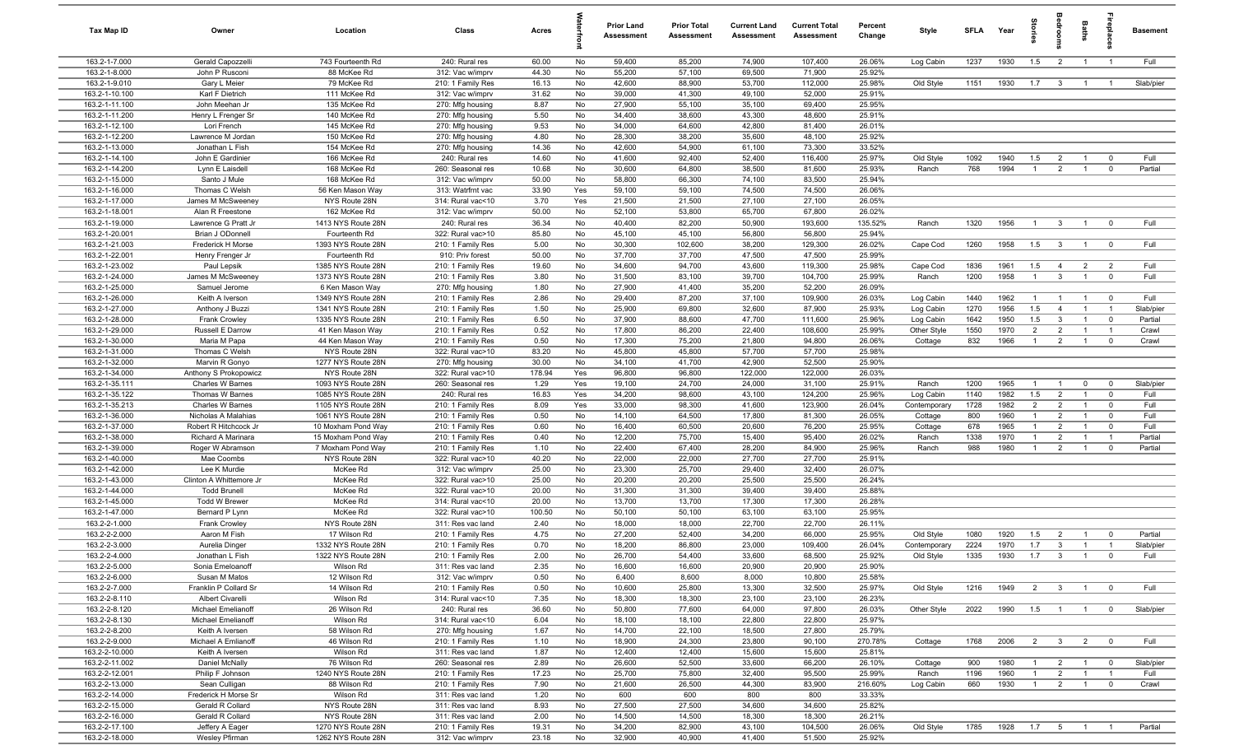| Tax Map ID                       | Owner                                       | Location                             | Class                                  | Acres          |          | <b>Prior Land</b><br>Assessment | <b>Prior Total</b><br>Assessment | <b>Current Land</b><br>Assessment | <b>Current Total</b><br>Assessment | Percent<br>Change | Style                  | <b>SFLA</b> | Year         | tories                           | <b>OHOO</b>                      | Baths                            | ireplace                         | Basement       |
|----------------------------------|---------------------------------------------|--------------------------------------|----------------------------------------|----------------|----------|---------------------------------|----------------------------------|-----------------------------------|------------------------------------|-------------------|------------------------|-------------|--------------|----------------------------------|----------------------------------|----------------------------------|----------------------------------|----------------|
| 163.2-1-7.000                    | Gerald Capozzelli                           | 743 Fourteenth Rd                    | 240: Rural res                         | 60.00          | No       | 59,400                          | 85,200                           | 74,900                            | 107,400                            | 26.06%            | Log Cabin              | 1237        | 1930         | 1.5                              | $\overline{2}$                   | $\overline{1}$                   | $\overline{1}$                   | Full           |
| 163.2-1-8.000                    | John P Rusconi                              | 88 McKee Rd                          | 312: Vac w/imprv                       | 44.30          | No       | 55,200                          | 57,100                           | 69,500                            | 71,900                             | 25.92%            |                        |             |              |                                  |                                  |                                  |                                  |                |
| 163.2-1-9.010                    | Gary L Meier                                | 79 McKee Rd                          | 210: 1 Family Res                      | 16.13          | No       | 42,600                          | 88,900                           | 53,700                            | 112,000                            | 25.98%            | Old Style              | 1151        | 1930         | 1.7                              | $\overline{\mathbf{3}}$          | $\overline{1}$                   | $\overline{1}$                   | Slab/pier      |
| 163.2-1-10.100                   | Karl F Dietrich                             | 111 McKee Rd                         | 312: Vac w/imprv                       | 31.62          | No       | 39,000                          | 41,300                           | 49,100                            | 52,000                             | 25.91%            |                        |             |              |                                  |                                  |                                  |                                  |                |
| 163.2-1-11.100                   | John Meehan Jr                              | 135 McKee Rd                         | 270: Mfg housing                       | 8.87           | No       | 27,900                          | 55,100                           | 35,100                            | 69,400                             | 25.95%            |                        |             |              |                                  |                                  |                                  |                                  |                |
| 163.2-1-11.200                   | Henry L Frenger Sr                          | 140 McKee Rd                         | 270: Mfg housing                       | 5.50           | No       | 34,400                          | 38,600                           | 43,300                            | 48,600                             | 25.91%            |                        |             |              |                                  |                                  |                                  |                                  |                |
| 163.2-1-12.100                   | Lori French                                 | 145 McKee Rd                         | 270: Mfg housing                       | 9.53           | No       | 34,000                          | 64,600                           | 42,800                            | 81,400                             | 26.01%            |                        |             |              |                                  |                                  |                                  |                                  |                |
| 163.2-1-12.200                   | Lawrence M Jordan                           | 150 McKee Rd                         | 270: Mfg housing                       | 4.80           | No       | 28,300                          | 38,200                           | 35,600                            | 48,100                             | 25.92%            |                        |             |              |                                  |                                  |                                  |                                  |                |
| 163.2-1-13.000<br>163.2-1-14.100 | Jonathan L Fish<br>John E Gardinier         | 154 McKee Rd<br>166 McKee Rd         | 270: Mfg housing                       | 14.36<br>14.60 | No<br>No | 42,600<br>41,600                | 54,900<br>92,400                 | 61,100<br>52,400                  | 73,300<br>116,400                  | 33.52%<br>25.97%  | Old Style              | 1092        | 1940         | 1.5                              | $\overline{2}$                   | $\overline{1}$                   | $\overline{0}$                   | Full           |
| 163.2-1-14.200                   | Lynn E Laisdell                             | 168 McKee Rd                         | 240: Rural res<br>260: Seasonal res    | 10.68          | No       | 30,600                          | 64,800                           | 38,500                            | 81,600                             | 25.93%            | Ranch                  | 768         | 1994         | $\overline{1}$                   | $\overline{2}$                   | $\overline{1}$                   | $\mathbf 0$                      | Partial        |
| 163.2-1-15.000                   | Santo J Mule                                | 168 McKee Rd                         | 312: Vac w/imprv                       | 50.00          | No       | 58,800                          | 66,300                           | 74,100                            | 83,500                             | 25.94%            |                        |             |              |                                  |                                  |                                  |                                  |                |
| 163.2-1-16.000                   | Thomas C Welsh                              | 56 Ken Mason Way                     | 313: Watrfrnt vac                      | 33.90          | Yes      | 59,100                          | 59,100                           | 74,500                            | 74,500                             | 26.06%            |                        |             |              |                                  |                                  |                                  |                                  |                |
| 163.2-1-17.000                   | James M McSweeney                           | NYS Route 28N                        | 314: Rural vac<10                      | 3.70           | Yes      | 21,500                          | 21,500                           | 27,100                            | 27,100                             | 26.05%            |                        |             |              |                                  |                                  |                                  |                                  |                |
| 163.2-1-18.001                   | Alan R Freestone                            | 162 McKee Rd                         | 312: Vac w/imprv                       | 50.00          | No       | 52,100                          | 53,800                           | 65,700                            | 67,800                             | 26.02%            |                        |             |              |                                  |                                  |                                  |                                  |                |
| 163.2-1-19.000                   | Lawrence G Pratt Jr                         | 1413 NYS Route 28N                   | 240: Rural res                         | 36.34          | No       | 40,400                          | 82,200                           | 50,900                            | 193,600                            | 135.52%           | Ranch                  | 1320        | 1956         | $\overline{1}$                   | $\overline{\mathbf{3}}$          | $\overline{1}$                   | $\overline{0}$                   | Full           |
| 163.2-1-20.001                   | Brian J ODonnell                            | Fourteenth Rd                        | 322: Rural vac>10                      | 85.80          | No       | 45,100                          | 45,100                           | 56,800                            | 56,800                             | 25.94%            |                        |             |              |                                  |                                  |                                  |                                  |                |
| 163.2-1-21.003                   | Frederick H Morse                           | 1393 NYS Route 28N                   | 210: 1 Family Res                      | 5.00           | No       | 30,300                          | 102,600                          | 38,200                            | 129,300                            | 26.02%            | Cape Cod               | 1260        | 1958         | 1.5                              | $\overline{\mathbf{3}}$          | $\overline{1}$                   | $\overline{0}$                   | Full           |
| 163.2-1-22.001                   | Henry Frenger Jr                            | Fourteenth Rd                        | 910: Priv forest                       | 50.00          | No       | 37,700                          | 37,700                           | 47,500                            | 47,500                             | 25.99%            |                        |             |              |                                  |                                  |                                  |                                  |                |
| 163.2-1-23.002                   | Paul Lepsik                                 | 1385 NYS Route 28N                   | 210: 1 Family Res                      | 19.60          | No       | 34,600                          | 94,700                           | 43,600                            | 119,300                            | 25.98%            | Cape Cod               | 1836        | 1961         | 1.5                              | $\overline{4}$                   | $\overline{2}$                   | $\overline{2}$                   | Full           |
| 163.2-1-24.000                   | James M McSweeney                           | 1373 NYS Route 28N                   | 210: 1 Family Res                      | 3.80           | No       | 31,500                          | 83,100                           | 39,700                            | 104,700                            | 25.99%            | Ranch                  | 1200        | 1958         | $\overline{1}$                   | $\overline{\mathbf{3}}$          | $\overline{1}$                   | $\mathbf 0$                      | Full           |
| 163.2-1-25.000                   | Samuel Jerome                               | 6 Ken Mason Way                      | 270: Mfg housing                       | 1.80           | No       | 27,900                          | 41,400                           | 35,200                            | 52,200                             | 26.09%            |                        |             |              |                                  |                                  |                                  |                                  |                |
| 163.2-1-26.000                   | Keith A Iverson                             | 1349 NYS Route 28N                   | 210: 1 Family Res                      | 2.86           | No       | 29,400                          | 87,200                           | 37,100                            | 109,900                            | 26.03%            | Log Cabin              | 1440        | 1962         | $\overline{1}$                   | $\overline{1}$                   | $\overline{1}$                   | $\overline{0}$                   | Full           |
| 163.2-1-27.000                   | Anthony J Buzzi                             | 1341 NYS Route 28N                   | 210: 1 Family Res                      | 1.50           | No       | 25,900                          | 69,800                           | 32,600                            | 87,900                             | 25.93%            | Log Cabin              | 1270        | 1956         | 1.5                              | $\overline{4}$                   | $\overline{1}$                   | $\overline{1}$                   | Slab/pier      |
| 163.2-1-28.000                   | Frank Crowley                               | 1335 NYS Route 28N                   | 210: 1 Family Res                      | 6.50           | No       | 37,900                          | 88,600                           | 47,700                            | 111,600                            | 25.96%            | Log Cabin              | 1642        | 1950         | 1.5                              | $\mathbf{3}$                     | $\overline{1}$                   | $^{\circ}$                       | Partial        |
| 163.2-1-29.000<br>163.2-1-30.000 | Russell E Darrow<br>Maria M Papa            | 41 Ken Mason Way<br>44 Ken Mason Way | 210: 1 Family Res<br>210: 1 Family Res | 0.52<br>0.50   | No<br>No | 17,800<br>17,300                | 86,200<br>75,200                 | 22,400<br>21,800                  | 108,600<br>94,800                  | 25.99%<br>26.06%  | Other Style<br>Cottage | 1550<br>832 | 1970<br>1966 | $\overline{2}$<br>$\overline{1}$ | $\overline{2}$<br>$\overline{2}$ | $\overline{1}$<br>$\overline{1}$ | $\overline{1}$<br>$\overline{0}$ | Crawl<br>Crawl |
| 163.2-1-31.000                   | Thomas C Welsh                              | NYS Route 28N                        | 322: Rural vac>10                      | 83.20          | No       | 45,800                          | 45,800                           | 57,700                            | 57,700                             | 25.98%            |                        |             |              |                                  |                                  |                                  |                                  |                |
| 163.2-1-32.000                   | Marvin R Gonyo                              | 1277 NYS Route 28N                   | 270: Mfg housing                       | 30.00          | No       | 34,100                          | 41,700                           | 42,900                            | 52,500                             | 25.90%            |                        |             |              |                                  |                                  |                                  |                                  |                |
| 163.2-1-34.000                   | Anthony S Prokopowicz                       | NYS Route 28N                        | 322: Rural vac>10                      | 178.94         | Yes      | 96,800                          | 96,800                           | 122,000                           | 122,000                            | 26.03%            |                        |             |              |                                  |                                  |                                  |                                  |                |
| 163.2-1-35.111                   | Charles W Barnes                            | 1093 NYS Route 28N                   | 260: Seasonal res                      | 1.29           | Yes      | 19,100                          | 24,700                           | 24,000                            | 31,100                             | 25.91%            | Ranch                  | 1200        | 1965         | $\overline{1}$                   | $\overline{1}$                   | $\overline{0}$                   | $\overline{0}$                   | Slab/pier      |
| 163.2-1-35.122                   | Thomas W Barnes                             | 1085 NYS Route 28N                   | 240: Rural res                         | 16.83          | Yes      | 34,200                          | 98,600                           | 43,100                            | 124,200                            | 25.96%            | Log Cabin              | 1140        | 1982         | 1.5                              | $\overline{2}$                   | $\overline{1}$                   | $^{\circ}$                       | Full           |
| 163.2-1-35.213                   | Charles W Barnes                            | 1105 NYS Route 28N                   | 210: 1 Family Res                      | 8.09           | Yes      | 33,000                          | 98,300                           | 41,600                            | 123,900                            | 26.04%            | Contemporary           | 1728        | 1982         | $\overline{2}$                   | $\overline{2}$                   | $\overline{1}$                   | $\mathbf 0$                      | Full           |
| 163.2-1-36.000                   | Nicholas A Malahias                         | 1061 NYS Route 28N                   | 210: 1 Family Res                      | 0.50           | No       | 14,100                          | 64,500                           | 17,800                            | 81,300                             | 26.05%            | Cottage                | 800         | 1960         | $\overline{1}$                   | $\overline{2}$                   | $\overline{1}$                   | $\mathbf 0$                      | Full           |
| 163.2-1-37.000                   | Robert R Hitchcock Jr                       | 10 Moxham Pond Way                   | 210: 1 Family Res                      | 0.60           | No       | 16,400                          | 60,500                           | 20,600                            | 76,200                             | 25.95%            | Cottage                | 678         | 1965         | $\overline{1}$                   | $\overline{2}$                   | $\overline{1}$                   | $\mathbf 0$                      | Full           |
| 163.2-1-38.000                   | Richard A Marinara                          | 15 Moxham Pond Way                   | 210: 1 Family Res                      | 0.40           | No       | 12,200                          | 75,700                           | 15,400                            | 95,400                             | 26.02%            | Ranch                  | 1338        | 1970         | $\overline{1}$                   | $\overline{2}$                   | $\overline{1}$                   | $\overline{1}$                   | Partial        |
| 163.2-1-39.000                   | Roger W Abramson                            | 7 Moxham Pond Way                    | 210: 1 Family Res                      | 1.10           | No       | 22,400                          | 67,400                           | 28,200                            | 84,900                             | 25.96%            | Ranch                  | 988         | 1980         | $\overline{1}$                   | $\overline{2}$                   | $\overline{1}$                   | $\mathbf 0$                      | Partial        |
| 163.2-1-40.000                   | Mae Coombs                                  | NYS Route 28N                        | 322: Rural vac>10                      | 40.20          | No       | 22,000                          | 22,000                           | 27,700                            | 27,700                             | 25.91%            |                        |             |              |                                  |                                  |                                  |                                  |                |
| 163.2-1-42.000                   | Lee K Murdie                                | McKee Rd                             | 312: Vac w/imprv                       | 25.00          | No       | 23,300                          | 25,700                           | 29,400                            | 32,400                             | 26.07%            |                        |             |              |                                  |                                  |                                  |                                  |                |
| 163.2-1-43.000                   | Clinton A Whittemore Jr                     | McKee Rd                             | 322: Rural vac>10<br>322: Rural vac>10 | 25.00          | No       | 20,200                          | 20,200                           | 25,500                            | 25,500                             | 26.24%            |                        |             |              |                                  |                                  |                                  |                                  |                |
| 163.2-1-44.000<br>163.2-1-45.000 | <b>Todd Brunell</b><br><b>Todd W Brewer</b> | McKee Rd<br>McKee Rd                 | 314: Rural vac<10                      | 20.00<br>20.00 | No<br>No | 31,300<br>13,700                | 31,300<br>13,700                 | 39,400<br>17,300                  | 39,400<br>17,300                   | 25.88%<br>26.28%  |                        |             |              |                                  |                                  |                                  |                                  |                |
| 163.2-1-47.000                   | Bernard P Lynn                              | McKee Rd                             | 322: Rural vac>10                      | 100.50         | No       | 50,100                          | 50,100                           | 63,100                            | 63,100                             | 25.95%            |                        |             |              |                                  |                                  |                                  |                                  |                |
| 163.2-2-1.000                    | <b>Frank Crowley</b>                        | NYS Route 28N                        | 311: Res vac land                      | 2.40           | No       | 18,000                          | 18,000                           | 22,700                            | 22,700                             | 26.11%            |                        |             |              |                                  |                                  |                                  |                                  |                |
| 163.2-2-2.000                    | Aaron M Fish                                | 17 Wilson Rd                         | 210: 1 Family Res                      | 4.75           | No       | 27,200                          | 52,400                           | 34,200                            | 66,000                             | 25.95%            | Old Style              | 1080        | 1920         | 1.5                              | $\overline{2}$                   | $\overline{1}$                   | $\mathbf 0$                      | Partial        |
| 163.2-2-3.000                    | Aurelia Dinger                              | 1332 NYS Route 28N                   | 210: 1 Family Res                      | 0.70           | No       | 18,200                          | 86,800                           | 23,000                            | 109,400                            | 26.04%            | Contemporary           | 2224        | 1970         | 1.7                              | $\overline{3}$                   | $\overline{1}$                   | $\overline{1}$                   | Slab/pier      |
| 163.2-2-4.000                    | Jonathan L Fish                             | 1322 NYS Route 28N                   | 210: 1 Family Res                      | 2.00           | No       | 26,700                          | 54,400                           | 33,600                            | 68,500                             | 25.92%            | Old Style              | 1335        | 1930         | 1.7                              | $\mathbf{3}$                     | $\overline{1}$                   |                                  | Full           |
| 163.2-2-5.000                    | Sonia Emeloanoff                            | Wilson Rd                            | 311: Res vac land                      | 2.35           | No       | 16,600                          | 16,600                           | 20,900                            | 20,900                             | 25.90%            |                        |             |              |                                  |                                  |                                  |                                  |                |
| 163.2-2-6.000                    | Susan M Matos                               | 12 Wilson Rd                         | 312: Vac w/imprv                       | 0.50           | No       | 6,400                           | 8,600                            | 8,000                             | 10,800                             | 25.58%            |                        |             |              |                                  |                                  |                                  |                                  |                |
| 163.2-2-7.000                    | Franklin P Collard Sr                       | 14 Wilson Rd                         | 210: 1 Family Res                      | 0.50           | No       | 10,600                          | 25,800                           | 13,300                            | 32,500                             | 25.97%            | Old Style              | 1216        | 1949         | $\overline{2}$                   | $\overline{\mathbf{3}}$          | $\overline{1}$                   | $^{\circ}$                       | Full           |
| 163.2-2-8.110                    | <b>Albert Civarelli</b>                     | Wilson Rd                            | 314: Rural vac<10                      | 7.35           | No       | 18,300                          | 18,300                           | 23,100                            | 23,100                             | 26.23%            |                        |             |              |                                  |                                  |                                  |                                  |                |
| 163.2-2-8.120                    | Michael Emelianoff                          | 26 Wilson Rd                         | 240: Rural res                         | 36.60          | No       | 50,800                          | 77,600                           | 64,000                            | 97,800                             | 26.03%            | Other Style            | 2022        | 1990         | 1.5                              | $\overline{1}$                   | $\overline{1}$                   | $\mathbf 0$                      | Slab/pier      |
| 163.2-2-8.130                    | Michael Emelianoff                          | Wilson Rd                            | 314: Rural vac<10                      | 6.04           | No       | 18,100                          | 18,100                           | 22,800                            | 22,800                             | 25.97%            |                        |             |              |                                  |                                  |                                  |                                  |                |
| 163.2-2-8.200                    | Keith A Iversen                             | 58 Wilson Rd                         | 270: Mfg housing                       | 1.67           | No       | 14,700                          | 22,100                           | 18,500                            | 27,800                             | 25.79%            |                        |             |              |                                  |                                  |                                  |                                  |                |
| 163.2-2-9.000<br>163.2-2-10.000  | Michael A Emlianoff<br>Keith A Iversen      | 46 Wilson Rd<br>Wilson Rd            | 210: 1 Family Res<br>311: Res vac land | 1.10<br>1.87   | No<br>No | 18,900<br>12,400                | 24,300<br>12,400                 | 23,800<br>15,600                  | 90,100<br>15,600                   | 270.78%<br>25.81% | Cottage                | 1768        | 2006         | $\overline{2}$                   | 3 <sup>3</sup>                   | $\overline{2}$                   | $\overline{0}$                   | Full           |
| 163.2-2-11.002                   | Daniel McNally                              | 76 Wilson Rd                         | 260: Seasonal res                      | 2.89           | No       | 26,600                          | 52,500                           | 33,600                            | 66,200                             | 26.10%            | Cottage                | 900         | 1980         | $\overline{1}$                   | $\overline{2}$                   | $\overline{1}$                   | $\overline{\mathbf{0}}$          | Slab/pier      |
| 163.2-2-12.001                   | Philip F Johnson                            | 1240 NYS Route 28N                   | 210: 1 Family Res                      | 17.23          | No       | 25,700                          | 75,800                           | 32,400                            | 95,500                             | 25.99%            | Ranch                  | 1196        | 1960         | $\overline{1}$                   | $\overline{2}$                   | $\overline{1}$                   | $\overline{1}$                   | Full           |
| 163.2-2-13.000                   | Sean Culligan                               | 88 Wilson Rd                         | 210: 1 Family Res                      | 7.90           | No       | 21,600                          | 26,500                           | 44,300                            | 83,900                             | 216.60%           | Log Cabin              | 660         | 1930         | $\overline{1}$                   | $\overline{2}$                   | $\overline{1}$                   | $\overline{\mathbf{0}}$          | Crawl          |
| 163.2-2-14.000                   | Frederick H Morse Sr                        | Wilson Rd                            | 311: Res vac land                      | 1.20           | No       | 600                             | 600                              | 800                               | 800                                | 33.33%            |                        |             |              |                                  |                                  |                                  |                                  |                |
| 163.2-2-15.000                   | Gerald R Collard                            | NYS Route 28N                        | 311: Res vac land                      | 8.93           | No       | 27,500                          | 27,500                           | 34,600                            | 34,600                             | 25.82%            |                        |             |              |                                  |                                  |                                  |                                  |                |
| 163.2-2-16.000                   | Gerald R Collard                            | NYS Route 28N                        | 311: Res vac land                      | 2.00           | No       | 14,500                          | 14,500                           | 18,300                            | 18,300                             | 26.21%            |                        |             |              |                                  |                                  |                                  |                                  |                |
| 163.2-2-17.100                   | Jeffery A Eager                             | 1270 NYS Route 28N                   | 210: 1 Family Res                      | 19.31          | No       | 34,200                          | 82,900                           | 43,100                            | 104,500                            | 26.06%            | Old Style              | 1785        | 1928         | 1.7                              | $5\overline{5}$                  | $\overline{1}$                   | $\overline{1}$                   | Partial        |
| 163.2-2-18.000                   | Wesley Pfirman                              | 1262 NYS Route 28N                   | 312: Vac w/imprv                       | 23.18          | No       | 32,900                          | 40,900                           | 41,400                            | 51,500                             | 25.92%            |                        |             |              |                                  |                                  |                                  |                                  |                |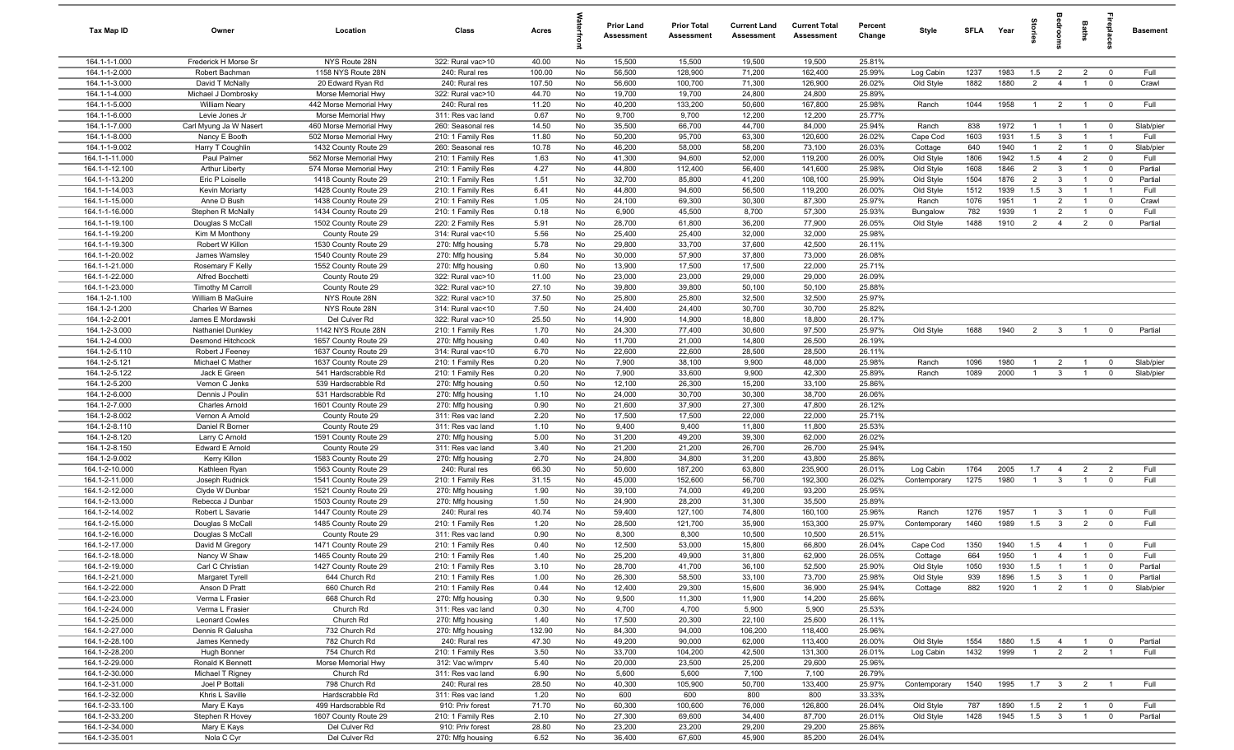| Tax Map ID                       | Owner                                    | Location                                       | Class                                  | Acres         |          | <b>Prior Land</b><br><b>Assessment</b> | <b>Prior Total</b><br><b>Assessment</b> | <b>Current Land</b><br><b>Assessment</b> | <b>Current Total</b><br><b>Assessment</b> | Percent<br>Change | Style                  | SFLA         | Year         | tories                | groo                           | Baths                            | ireplace                                  | <b>Basement</b>    |
|----------------------------------|------------------------------------------|------------------------------------------------|----------------------------------------|---------------|----------|----------------------------------------|-----------------------------------------|------------------------------------------|-------------------------------------------|-------------------|------------------------|--------------|--------------|-----------------------|--------------------------------|----------------------------------|-------------------------------------------|--------------------|
| 164.1-1-1.000                    | Frederick H Morse Sr                     | NYS Route 28N                                  | 322: Rural vac>10                      | 40.00         | No       | 15,500                                 | 15,500                                  | 19,500                                   | 19,500                                    | 25.81%            |                        |              |              |                       |                                |                                  |                                           |                    |
| 164.1-1-2.000                    | Robert Bachman                           | 1158 NYS Route 28N                             | 240: Rural res                         | 100.00        | No       | 56,500                                 | 128,900                                 | 71,200                                   | 162,400                                   | 25.99%            | Log Cabin              | 1237         | 1983         | 1.5                   | $\overline{2}$                 | $\overline{2}$                   | $\overline{0}$                            | Full               |
| 164.1-1-3.000                    | David T McNally                          | 20 Edward Ryan Rd                              | 240: Rural res                         | 107.50        | No       | 56,600                                 | 100,700                                 | 71,300                                   | 126,900                                   | 26.02%            | Old Style              | 1882         | 1880         | $\overline{2}$        | $\overline{4}$                 | $\overline{1}$                   | $\mathbf{0}$                              | Crawl              |
| 164.1-1-4.000                    | Michael J Dombrosky                      | Morse Memorial Hwy                             | 322: Rural vac>10                      | 44.70         | No       | 19,700                                 | 19,700                                  | 24,800                                   | 24,800                                    | 25.89%            |                        |              |              |                       |                                |                                  |                                           |                    |
| 164.1-1-5.000                    | <b>William Neary</b>                     | 442 Morse Memorial Hwy                         | 240: Rural res                         | 11.20         | No       | 40,200                                 | 133,200                                 | 50,600                                   | 167,800                                   | 25.98%            | Ranch                  | 1044         | 1958         | $\overline{1}$        | $\overline{2}$                 | $\overline{1}$                   | $\overline{0}$                            | Full               |
| 164.1-1-6.000                    | Levie Jones Jr                           | Morse Memorial Hwy                             | 311: Res vac land                      | 0.67          | No       | 9,700                                  | 9,700                                   | 12,200                                   | 12,200                                    | 25.77%            |                        |              |              |                       |                                |                                  |                                           |                    |
| 164.1-1-7.000                    | Carl Myung Ja W Nasert                   | 460 Morse Memorial Hwy                         | 260: Seasonal res                      | 14.50         | No       | 35,500                                 | 66,700                                  | 44,700                                   | 84,000                                    | 25.94%            | Ranch                  | 838          | 1972         | $\overline{1}$        | $\overline{1}$                 | $\overline{1}$                   | $\mathbf 0$                               | Slab/pier          |
| 164.1-1-8.000                    | Nancy E Booth                            | 502 Morse Memorial Hwy                         | 210: 1 Family Res                      | 11.80         | No       | 50,200                                 | 95,700                                  | 63,300                                   | 120,600                                   | 26.02%            | Cape Cod               | 1603         | 1931         | 1.5                   | $\overline{3}$                 | $\overline{1}$                   |                                           | Full               |
| 164.1-1-9.002                    | Harry T Coughlin                         | 1432 County Route 29                           | 260: Seasonal res                      | 10.78         | No       | 46,200                                 | 58,000                                  | 58,200                                   | 73,100                                    | 26.03%            | Cottage                | 640          | 1940         | $\overline{1}$        | $\overline{2}$                 | $\overline{1}$                   | $\overline{0}$                            | Slab/pier          |
| 164.1-1-11.000                   | Paul Palmer                              | 562 Morse Memorial Hwy                         | 210: 1 Family Res                      | 1.63<br>4.27  | No       | 41,300                                 | 94,600                                  | 52,000                                   | 119,200                                   | 26.00%            | Old Style              | 1806         | 1942         | 1.5<br>$\overline{2}$ | $\overline{4}$                 | $\overline{2}$<br>$\overline{1}$ | $\overline{0}$                            | Full               |
| 164.1-1-12.100<br>164.1-1-13.200 | <b>Arthur Liberty</b><br>Eric P Loiselle | 574 Morse Memorial Hwy<br>1418 County Route 29 | 210: 1 Family Res<br>210: 1 Family Res | 1.51          | No<br>No | 44,800<br>32,700                       | 112,400<br>85,800                       | 56,400<br>41,200                         | 141,600<br>108,100                        | 25.98%<br>25.99%  | Old Style<br>Old Style | 1608<br>1504 | 1846<br>1876 | $\overline{2}$        | $\overline{3}$<br>$\mathbf{3}$ | $\overline{1}$                   | $\overline{\mathbf{0}}$<br>$\overline{0}$ | Partial<br>Partial |
| 164.1-1-14.003                   | Kevin Moriarty                           | 1428 County Route 29                           | 210: 1 Family Res                      | 6.41          | No       | 44,800                                 | 94,600                                  | 56,500                                   | 119,200                                   | 26.00%            | Old Style              | 1512         | 1939         | 1.5                   | $\mathbf{3}$                   | $\overline{1}$                   | $\overline{1}$                            | Full               |
| 164.1-1-15.000                   | Anne D Bush                              | 1438 County Route 29                           | 210: 1 Family Res                      | 1.05          | No       | 24,100                                 | 69,300                                  | 30,300                                   | 87,300                                    | 25.97%            | Ranch                  | 1076         | 1951         | $\overline{1}$        | $\overline{2}$                 | $\overline{1}$                   | $\overline{0}$                            | Crawl              |
| 164.1-1-16.000                   | Stephen R McNally                        | 1434 County Route 29                           | 210: 1 Family Res                      | 0.18          | No       | 6,900                                  | 45,500                                  | 8,700                                    | 57,300                                    | 25.93%            | Bungalow               | 782          | 1939         | $\overline{1}$        | $\overline{2}$                 | $\overline{1}$                   | $\mathbf{0}$                              | Full               |
| 164.1-1-19.100                   | Douglas S McCall                         | 1502 County Route 29                           | 220: 2 Family Res                      | 5.91          | No       | 28,700                                 | 61,800                                  | 36,200                                   | 77,900                                    | 26.05%            | Old Style              | 1488         | 1910         | $\overline{2}$        | $\overline{4}$                 | $\overline{2}$                   | $\mathbf 0$                               | Partial            |
| 164.1-1-19.200                   | Kim M Monthony                           | County Route 29                                | 314: Rural vac<10                      | 5.56          | No       | 25,400                                 | 25,400                                  | 32,000                                   | 32,000                                    | 25.98%            |                        |              |              |                       |                                |                                  |                                           |                    |
| 164.1-1-19.300                   | Robert W Killon                          | 1530 County Route 29                           | 270: Mfg housing                       | 5.78          | No       | 29,800                                 | 33,700                                  | 37,600                                   | 42,500                                    | 26.11%            |                        |              |              |                       |                                |                                  |                                           |                    |
| 164.1-1-20.002                   | James Wamsley                            | 1540 County Route 29                           | 270: Mfg housing                       | 5.84          | No       | 30,000                                 | 57,900                                  | 37,800                                   | 73,000                                    | 26.08%            |                        |              |              |                       |                                |                                  |                                           |                    |
| 164.1-1-21.000                   | Rosemary F Kelly                         | 1552 County Route 29                           | 270: Mfg housing                       | 0.60          | No       | 13,900                                 | 17,500                                  | 17,500                                   | 22,000                                    | 25.71%            |                        |              |              |                       |                                |                                  |                                           |                    |
| 164.1-1-22.000                   | Alfred Bocchetti                         | County Route 29                                | 322: Rural vac>10                      | 11.00         | No       | 23,000                                 | 23,000                                  | 29,000                                   | 29,000                                    | 26.09%            |                        |              |              |                       |                                |                                  |                                           |                    |
| 164.1-1-23.000                   | <b>Timothy M Carroll</b>                 | County Route 29                                | 322: Rural vac>10                      | 27.10         | No       | 39,800                                 | 39,800                                  | 50,100                                   | 50,100                                    | 25.88%            |                        |              |              |                       |                                |                                  |                                           |                    |
| 164.1-2-1.100                    | <b>William B MaGuire</b>                 | NYS Route 28N                                  | 322: Rural vac>10                      | 37.50         | No       | 25,800                                 | 25,800                                  | 32,500                                   | 32,500                                    | 25.97%            |                        |              |              |                       |                                |                                  |                                           |                    |
| 164.1-2-1.200                    | Charles W Barnes                         | NYS Route 28N                                  | 314: Rural vac<10                      | 7.50          | No       | 24,400                                 | 24,400                                  | 30,700                                   | 30,700                                    | 25.82%            |                        |              |              |                       |                                |                                  |                                           |                    |
| 164.1-2-2.001                    | James E Mordawski                        | Del Culver Rd                                  | 322: Rural vac>10                      | 25.50         | No       | 14,900                                 | 14,900                                  | 18,800                                   | 18,800                                    | 26.17%            |                        |              |              |                       |                                |                                  |                                           |                    |
| 164.1-2-3.000                    | Nathaniel Dunkley                        | 1142 NYS Route 28N                             | 210: 1 Family Res                      | 1.70          | No       | 24,300                                 | 77,400                                  | 30,600                                   | 97,500                                    | 25.97%            | Old Style              | 1688         | 1940         | $\overline{2}$        | $\overline{\mathbf{3}}$        | $\overline{1}$                   | $\overline{0}$                            | Partial            |
| 164.1-2-4.000                    | <b>Desmond Hitchcock</b>                 | 1657 County Route 29                           | 270: Mfg housing                       | 0.40          | No       | 11,700                                 | 21,000                                  | 14,800                                   | 26,500                                    | 26.19%            |                        |              |              |                       |                                |                                  |                                           |                    |
| 164.1-2-5.110                    | Robert J Feeney                          | 1637 County Route 29                           | 314: Rural vac<10                      | 6.70          | No       | 22,600                                 | 22,600                                  | 28,500                                   | 28,500                                    | 26.11%            |                        |              |              |                       |                                |                                  |                                           |                    |
| 164.1-2-5.121                    | Michael C Mather                         | 1637 County Route 29                           | 210: 1 Family Res                      | 0.20          | No       | 7,900                                  | 38,100                                  | 9,900                                    | 48,000                                    | 25.98%            | Ranch                  | 1096         | 1980         | $\overline{1}$        | $\overline{2}$                 | $\overline{1}$                   | $\overline{0}$                            | Slab/pier          |
| 164.1-2-5.122                    | Jack E Green                             | 541 Hardscrabble Rd                            | 210: 1 Family Res                      | 0.20          | No       | 7,900                                  | 33,600                                  | 9,900                                    | 42,300                                    | 25.89%            | Ranch                  | 1089         | 2000         | $\overline{1}$        | $\overline{\mathbf{3}}$        | $\mathbf{1}$                     | $\mathbf 0$                               | Slab/pier          |
| 164.1-2-5.200                    | Vernon C Jenks                           | 539 Hardscrabble Rd                            | 270: Mfg housing                       | 0.50          | No       | 12,100                                 | 26,300                                  | 15,200                                   | 33,100                                    | 25.86%            |                        |              |              |                       |                                |                                  |                                           |                    |
| 164.1-2-6.000                    | Dennis J Poulin                          | 531 Hardscrabble Rd                            | 270: Mfg housing                       | 1.10          | No       | 24,000                                 | 30,700                                  | 30,300                                   | 38,700                                    | 26.06%            |                        |              |              |                       |                                |                                  |                                           |                    |
| 164.1-2-7.000                    | <b>Charles Arnold</b>                    | 1601 County Route 29                           | 270: Mfg housing                       | 0.90          | No       | 21,600                                 | 37,900                                  | 27,300                                   | 47,800                                    | 26.12%            |                        |              |              |                       |                                |                                  |                                           |                    |
| 164.1-2-8.002                    | Vernon A Arnold                          | County Route 29                                | 311: Res vac land                      | 2.20          | No       | 17,500                                 | 17,500                                  | 22,000                                   | 22,000                                    | 25.71%            |                        |              |              |                       |                                |                                  |                                           |                    |
| 164.1-2-8.110                    | Daniel R Borner                          | County Route 29                                | 311: Res vac land                      | 1.10          | No       | 9,400                                  | 9,400                                   | 11,800                                   | 11,800                                    | 25.53%            |                        |              |              |                       |                                |                                  |                                           |                    |
| 164.1-2-8.120                    | Larry C Arnold                           | 1591 County Route 29                           | 270: Mfg housing                       | 5.00          | No       | 31,200                                 | 49,200                                  | 39,300                                   | 62,000                                    | 26.02%            |                        |              |              |                       |                                |                                  |                                           |                    |
| 164.1-2-8.150<br>164.1-2-9.002   | Edward E Arnold<br>Kerry Killon          | County Route 29<br>1583 County Route 29        | 311: Res vac land                      | 3.40<br>2.70  | No<br>No | 21,200<br>24,800                       | 21,200<br>34,800                        | 26,700<br>31,200                         | 26,700<br>43,800                          | 25.94%<br>25.86%  |                        |              |              |                       |                                |                                  |                                           |                    |
| 164.1-2-10.000                   | Kathleen Ryan                            | 1563 County Route 29                           | 270: Mfg housing<br>240: Rural res     | 66.30         | No       | 50,600                                 | 187,200                                 | 63,800                                   | 235,900                                   | 26.01%            | Log Cabin              | 1764         | 2005         | 1.7                   | $\overline{4}$                 | $\overline{2}$                   | 2                                         | Full               |
| 164.1-2-11.000                   | Joseph Rudnick                           | 1541 County Route 29                           | 210: 1 Family Res                      | 31.15         | No       | 45,000                                 | 152,600                                 | 56,700                                   | 192,300                                   | 26.02%            | Contemporary           | 1275         | 1980         | $\overline{1}$        | $\mathbf{3}$                   | $\overline{1}$                   | $^{\circ}$                                | Full               |
| 164.1-2-12.000                   | Clyde W Dunbar                           | 1521 County Route 29                           | 270: Mfg housing                       | 1.90          | No       | 39,100                                 | 74,000                                  | 49,200                                   | 93,200                                    | 25.95%            |                        |              |              |                       |                                |                                  |                                           |                    |
| 164.1-2-13.000                   | Rebecca J Dunbar                         | 1503 County Route 29                           | 270: Mfg housing                       | 1.50          | No       | 24,900                                 | 28,200                                  | 31,300                                   | 35,500                                    | 25.89%            |                        |              |              |                       |                                |                                  |                                           |                    |
| 164.1-2-14.002                   | Robert L Savarie                         | 1447 County Route 29                           | 240: Rural res                         | 40.74         | No       | 59,400                                 | 127,100                                 | 74,800                                   | 160,100                                   | 25.96%            | Ranch                  | 1276         | 1957         | $\overline{1}$        | $\mathbf{3}$                   | $\overline{1}$                   | $\mathbf 0$                               | Full               |
| 164.1-2-15.000                   | Douglas S McCall                         | 1485 County Route 29                           | 210: 1 Family Res                      | 1.20          | No       | 28,500                                 | 121,700                                 | 35,900                                   | 153,300                                   | 25.97%            | Contemporary           | 1460         | 1989         | 1.5                   | $\mathbf{3}$                   | 2                                | $\Omega$                                  | Full               |
| 164.1-2-16.000                   | Douglas S McCall                         | County Route 29                                | 311: Res vac land                      | 0.90          | No       | 8,300                                  | 8,300                                   | 10,500                                   | 10,500                                    | 26.51%            |                        |              |              |                       |                                |                                  |                                           |                    |
| 164.1-2-17.000                   | David M Gregory                          | 1471 County Route 29                           | 210: 1 Family Res                      | 0.40          | No       | 12,500                                 | 53,000                                  | 15,800                                   | 66,800                                    | 26.04%            | Cape Cod               | 1350         | 1940         | 1.5                   | $\overline{4}$                 | $\overline{1}$                   | $\Omega$                                  | Full               |
| 164.1-2-18.000                   | Nancy W Shaw                             | 1465 County Route 29                           | 210: 1 Family Res                      | 1.40          | No       | 25,200                                 | 49,900                                  | 31,800                                   | 62,900                                    | 26.05%            | Cottage                | 664          | 1950         |                       |                                |                                  |                                           | Full               |
| 164.1-2-19.000                   | Carl C Christian                         | 1427 County Route 29                           | 210: 1 Family Res                      | 3.10          | No       | 28,700                                 | 41,700                                  | 36,100                                   | 52,500                                    | 25.90%            | Old Style              | 1050         | 1930         | 1.5                   | $\overline{1}$                 | $\overline{1}$                   | $\overline{\mathbf{0}}$                   | Partial            |
| 164.1-2-21.000                   | Margaret Tyrell                          | 644 Church Rd                                  | 210: 1 Family Res                      | 1.00          | No       | 26,300                                 | 58,500                                  | 33,100                                   | 73,700                                    | 25.98%            | Old Style              | 939          | 1896         | 1.5                   | $\mathbf{3}$                   | $\overline{1}$                   | $\mathbf 0$                               | Partial            |
| 164.1-2-22.000                   | Anson D Pratt                            | 660 Church Rd                                  | 210: 1 Family Res                      | 0.44          | No       | 12,400                                 | 29,300                                  | 15,600                                   | 36,900                                    | 25.94%            | Cottage                | 882          | 1920         | $\overline{1}$        | $\overline{2}$                 | $\overline{1}$                   | $\overline{0}$                            | Slab/pier          |
| 164.1-2-23.000                   | Verma L Frasier                          | 668 Church Rd                                  | 270: Mfg housing                       | 0.30          | No       | 9,500                                  | 11,300                                  | 11,900                                   | 14,200                                    | 25.66%            |                        |              |              |                       |                                |                                  |                                           |                    |
| 164.1-2-24.000                   | Verma L Frasier                          | Church Rd                                      | 311: Res vac land                      | 0.30          | No       | 4,700                                  | 4,700                                   | 5,900                                    | 5,900                                     | 25.53%            |                        |              |              |                       |                                |                                  |                                           |                    |
| 164.1-2-25.000                   | <b>Leonard Cowles</b>                    | Church Rd                                      | 270: Mfg housing                       | 1.40          | No       | 17,500                                 | 20,300                                  | 22,100                                   | 25,600                                    | 26.11%            |                        |              |              |                       |                                |                                  |                                           |                    |
| 164.1-2-27.000                   | Dennis R Galusha                         | 732 Church Rd                                  | 270: Mfg housing                       | 132.90        | No       | 84,300                                 | 94,000                                  | 106,200                                  | 118,400                                   | 25.96%            |                        |              |              |                       |                                |                                  |                                           |                    |
| 164.1-2-28.100                   | James Kennedy                            | 782 Church Rd                                  | 240: Rural res                         | 47.30         | No       | 49,200                                 | 90,000                                  | 62,000                                   | 113,400                                   | 26.00%            | Old Style              | 1554         | 1880         | 1.5                   | $\overline{4}$                 | $\overline{1}$                   | $\mathbf 0$                               | Partial            |
| 164.1-2-28.200                   | Hugh Bonner                              | 754 Church Rd                                  | 210: 1 Family Res                      | 3.50          | No       | 33,700                                 | 104,200                                 | 42,500                                   | 131,300                                   | 26.01%            | Log Cabin              | 1432         | 1999         | $\overline{1}$        | $\overline{2}$                 | $\overline{2}$                   | $\overline{1}$                            | Full               |
| 164.1-2-29.000                   | Ronald K Bennett                         | Morse Memorial Hwy                             | 312: Vac w/imprv                       | 5.40          | No       | 20,000                                 | 23,500                                  | 25,200                                   | 29,600                                    | 25.96%            |                        |              |              |                       |                                |                                  |                                           |                    |
| 164.1-2-30.000                   | Michael T Rigney                         | Church Rd<br>798 Church Rd                     | 311: Res vac land                      | 6.90          | No       | 5,600                                  | 5,600                                   | 7,100                                    | 7,100                                     | 26.79%            |                        |              |              |                       |                                |                                  |                                           |                    |
| 164.1-2-31.000<br>164.1-2-32.000 | Joel P Bottali<br>Khris L Saville        | Hardscrabble Rd                                | 240: Rural res<br>311: Res vac land    | 28.50<br>1.20 | No<br>No | 40,300<br>600                          | 105,900<br>600                          | 50,700<br>800                            | 133,400<br>800                            | 25.97%<br>33.33%  | Contemporary           | 1540         | 1995         | 1.7                   | $\overline{\mathbf{3}}$        | $\overline{2}$                   |                                           | Full               |
| 164.1-2-33.100                   | Mary E Kays                              | 499 Hardscrabble Rd                            | 910: Priv forest                       | 71.70         | No       | 60,300                                 | 100,600                                 | 76,000                                   | 126,800                                   | 26.04%            | Old Style              | 787          | 1890         | 1.5                   | $\overline{\mathbf{c}}$        | $\overline{1}$                   | $\overline{\mathbf{0}}$                   | Full               |
| 164.1-2-33.200                   | Stephen R Hovey                          | 1607 County Route 29                           | 210: 1 Family Res                      | 2.10          | No       | 27,300                                 | 69,600                                  | 34,400                                   | 87,700                                    | 26.01%            | Old Style              | 1428         | 1945         | 1.5                   | $\overline{\mathbf{3}}$        | $\overline{1}$                   | $\mathbf 0$                               | Partial            |
| 164.1-2-34.000                   | Mary E Kays                              | Del Culver Rd                                  | 910: Priv forest                       | 28.80         | No       | 23,200                                 | 23,200                                  | 29,200                                   | 29,200                                    | 25.86%            |                        |              |              |                       |                                |                                  |                                           |                    |
| 164.1-2-35.001                   | Nola C Cyr                               | Del Culver Rd                                  | 270: Mfg housing                       | 6.52          | No       | 36,400                                 | 67,600                                  | 45,900                                   | 85,200                                    | 26.04%            |                        |              |              |                       |                                |                                  |                                           |                    |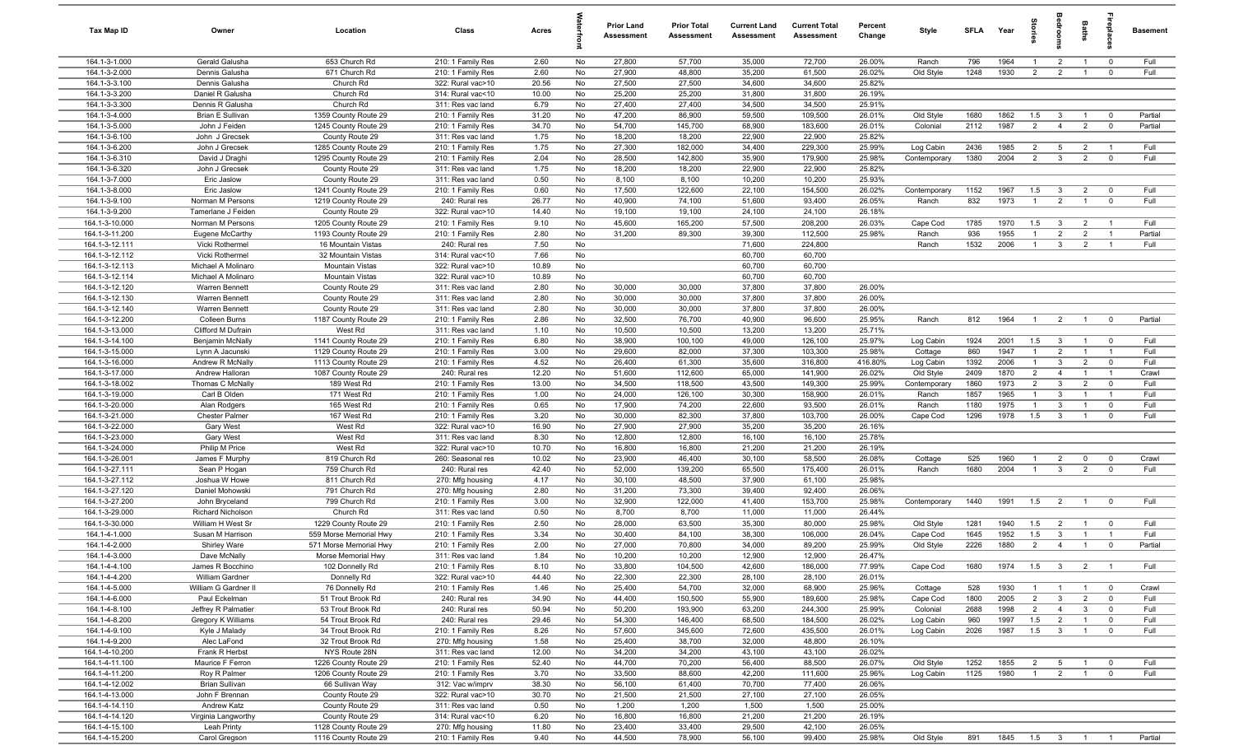| Tax Map ID                       | Owner                                 | Location                                     | Class                                  | Acres          |          | <b>Prior Land</b><br>Assessment | <b>Prior Total</b><br>Assessment | <b>Current Land</b><br><b>Assessment</b> | <b>Current Total</b><br>Assessment | Percent<br>Change | Style                 | <b>SFLA</b>  | Year               | ā                                | droo                                      | Baths                            | 응                                         | <b>Basement</b>    |
|----------------------------------|---------------------------------------|----------------------------------------------|----------------------------------------|----------------|----------|---------------------------------|----------------------------------|------------------------------------------|------------------------------------|-------------------|-----------------------|--------------|--------------------|----------------------------------|-------------------------------------------|----------------------------------|-------------------------------------------|--------------------|
| 164.1-3-1.000                    | Gerald Galusha                        | 653 Church Rd                                | 210: 1 Family Res                      | 2.60           | No       | 27,800                          | 57,700                           | 35,000                                   | 72,700                             | 26.00%            | Ranch                 | 796          | 1964               | $\overline{1}$                   | $\overline{2}$                            | $\overline{1}$                   | $\overline{0}$                            | Full               |
| 164.1-3-2.000                    | Dennis Galusha                        | 671 Church Rd                                | 210: 1 Family Res                      | 2.60           | No       | 27,900                          | 48,800                           | 35,200                                   | 61,500                             | 26.02%            | Old Style             | 1248         | 1930               | $\overline{2}$                   | $\overline{2}$                            | $\overline{1}$                   | $\mathbf 0$                               | Full               |
| 164.1-3-3.100                    | Dennis Galusha                        | Church Rd                                    | 322: Rural vac>10                      | 20.56          | No       | 27,500                          | 27,500                           | 34,600                                   | 34,600                             | 25.82%            |                       |              |                    |                                  |                                           |                                  |                                           |                    |
| 164.1-3-3.200                    | Daniel R Galusha                      | Church Rd                                    | 314: Rural vac<10                      | 10.00          | No       | 25,200                          | 25,200                           | 31,800                                   | 31,800                             | 26.19%            |                       |              |                    |                                  |                                           |                                  |                                           |                    |
| 164.1-3-3.300                    | Dennis R Galusha                      | Church Rd                                    | 311: Res vac land                      | 6.79           | No       | 27,400                          | 27,400                           | 34,500                                   | 34,500                             | 25.91%            |                       |              |                    |                                  |                                           |                                  |                                           |                    |
| 164.1-3-4.000<br>164.1-3-5.000   | Brian E Sullivan<br>John J Feiden     | 1359 County Route 29<br>1245 County Route 29 | 210: 1 Family Res<br>210: 1 Family Res | 31.20<br>34.70 | No<br>No | 47,200<br>54,700                | 86,900<br>145,700                | 59,500<br>68,900                         | 109,500<br>183,600                 | 26.01%<br>26.01%  | Old Style<br>Colonial | 1680<br>2112 | 1862<br>1987       | 1.5<br>$\overline{2}$            | $\mathbf{3}$<br>$\overline{4}$            | $\overline{1}$<br>$\overline{2}$ | $\overline{\mathbf{0}}$<br>$\overline{0}$ | Partial<br>Partial |
| 164.1-3-6.100                    | John J Grecsek                        | County Route 29                              | 311: Res vac land                      | 1.75           | No       | 18,200                          | 18,200                           | 22,900                                   | 22,900                             | 25.82%            |                       |              |                    |                                  |                                           |                                  |                                           |                    |
| 164.1-3-6.200                    | John J Grecsek                        | 1285 County Route 29                         | 210: 1 Family Res                      | 1.75           | No       | 27,300                          | 182,000                          | 34,400                                   | 229,300                            | 25.99%            | Log Cabin             | 2436         | 1985               | $\overline{2}$                   | $5\overline{5}$                           | $\overline{2}$                   | $\overline{1}$                            | Full               |
| 164.1-3-6.310                    | David J Draghi                        | 1295 County Route 29                         | 210: 1 Family Res                      | 2.04           | No       | 28,500                          | 142,800                          | 35,900                                   | 179,900                            | 25.98%            | Contemporary          | 1380         | 2004               | $\overline{2}$                   | $\mathbf{3}$                              | 2                                | $\mathbf 0$                               | Full               |
| 164.1-3-6.320                    | John J Grecsek                        | County Route 29                              | 311: Res vac land                      | 1.75           | No       | 18,200                          | 18,200                           | 22,900                                   | 22,900                             | 25.82%            |                       |              |                    |                                  |                                           |                                  |                                           |                    |
| 164.1-3-7.000                    | Eric Jaslow                           | County Route 29                              | 311: Res vac land                      | 0.50           | No       | 8,100                           | 8,100                            | 10,200                                   | 10,200                             | 25.93%            |                       |              |                    |                                  |                                           |                                  |                                           |                    |
| 164.1-3-8.000                    | Eric Jaslow                           | 1241 County Route 29                         | 210: 1 Family Res                      | 0.60           | No       | 17,500                          | 122,600                          | 22,100                                   | 154,500                            | 26.02%            | Contemporary          | 1152         | 1967               | 1.5                              | $\mathbf{3}$                              | $\overline{2}$                   | $^{\circ}$                                | Full               |
| 164.1-3-9.100                    | Norman M Persons                      | 1219 County Route 29                         | 240: Rural res                         | 26.77          | No       | 40,900                          | 74,100                           | 51,600                                   | 93,400                             | 26.05%            | Ranch                 | 832          | 1973               | $\overline{1}$                   | $\overline{2}$                            | $\overline{1}$                   | $\mathbf{0}$                              | Full               |
| 164.1-3-9.200                    | Tamerlane J Feiden                    | County Route 29                              | 322: Rural vac>10                      | 14.40          | No       | 19,100                          | 19,100                           | 24,100                                   | 24,100                             | 26.18%            |                       |              |                    |                                  |                                           |                                  |                                           |                    |
| 164.1-3-10.000                   | Norman M Persons                      | 1205 County Route 29                         | 210: 1 Family Res                      | 9.10           | No       | 45,600                          | 165,200                          | 57,500                                   | 208,200                            | 26.03%            | Cape Cod              | 1785         | 1970               | 1.5                              | $\overline{\mathbf{3}}$                   | $\overline{2}$                   | $\overline{1}$                            | Full               |
| 164.1-3-11.200                   | Eugene McCarthy                       | 1193 County Route 29                         | 210: 1 Family Res                      | 2.80           | No       | 31,200                          | 89,300                           | 39,300                                   | 112,500                            | 25.98%            | Ranch                 | 936          | 1955               | $\overline{1}$                   | $\overline{2}$                            | $\overline{2}$                   | $\overline{1}$                            | Partial            |
| 164.1-3-12.111                   | Vicki Rothermel                       | 16 Mountain Vistas                           | 240: Rural res                         | 7.50           | No       |                                 |                                  | 71,600                                   | 224,800                            |                   | Ranch                 | 1532         | 2006               | $\overline{1}$                   | $\mathbf{3}$                              | $\overline{2}$                   | $\overline{1}$                            | Full               |
| 164.1-3-12.112                   | Vicki Rothermel                       | 32 Mountain Vistas                           | 314: Rural vac<10                      | 7.66           | No       |                                 |                                  | 60,700                                   | 60,700                             |                   |                       |              |                    |                                  |                                           |                                  |                                           |                    |
| 164.1-3-12.113                   | Michael A Molinaro                    | <b>Mountain Vistas</b>                       | 322: Rural vac>10                      | 10.89          | No       |                                 |                                  | 60,700                                   | 60,700                             |                   |                       |              |                    |                                  |                                           |                                  |                                           |                    |
| 164.1-3-12.114<br>164.1-3-12.120 | Michael A Molinaro<br>Warren Bennett  | <b>Mountain Vistas</b><br>County Route 29    | 322: Rural vac>10<br>311: Res vac land | 10.89<br>2.80  | No<br>No | 30,000                          | 30,000                           | 60,700<br>37,800                         | 60,700<br>37,800                   | 26.00%            |                       |              |                    |                                  |                                           |                                  |                                           |                    |
| 164.1-3-12.130                   | Warren Bennett                        | County Route 29                              | 311: Res vac land                      | 2.80           | No       | 30,000                          | 30,000                           | 37,800                                   | 37,800                             | 26.00%            |                       |              |                    |                                  |                                           |                                  |                                           |                    |
| 164.1-3-12.140                   | Warren Bennett                        | County Route 29                              | 311: Res vac land                      | 2.80           | No       | 30,000                          | 30,000                           | 37,800                                   | 37,800                             | 26.00%            |                       |              |                    |                                  |                                           |                                  |                                           |                    |
| 164.1-3-12.200                   | Colleen Burns                         | 1187 County Route 29                         | 210: 1 Family Res                      | 2.86           | No       | 32,500                          | 76,700                           | 40,900                                   | 96,600                             | 25.95%            | Ranch                 | 812          | 1964               | $\overline{1}$                   | $\overline{2}$                            | $\overline{1}$                   | $\overline{0}$                            | Partial            |
| 164.1-3-13.000                   | Clifford M Dufrain                    | West Rd                                      | 311: Res vac land                      | 1.10           | No       | 10,500                          | 10,500                           | 13,200                                   | 13,200                             | 25.71%            |                       |              |                    |                                  |                                           |                                  |                                           |                    |
| 164.1-3-14.100                   | Benjamin McNally                      | 1141 County Route 29                         | 210: 1 Family Res                      | 6.80           | No       | 38,900                          | 100,100                          | 49,000                                   | 126,100                            | 25.97%            | Log Cabin             | 1924         | 2001               | 1.5                              | $\overline{\mathbf{3}}$                   | $\overline{1}$                   | $\overline{0}$                            | Full               |
| 164.1-3-15.000                   | Lynn A Jacunski                       | 1129 County Route 29                         | 210: 1 Family Res                      | 3.00           | No       | 29,600                          | 82,000                           | 37,300                                   | 103,300                            | 25.98%            | Cottage               | 860          | 1947               | $\overline{1}$                   | $\overline{2}$                            | $\overline{1}$                   | $\overline{1}$                            | Full               |
| 164.1-3-16.000                   | Andrew R McNally                      | 1113 County Route 29                         | 210: 1 Family Res                      | 4.52           | No       | 26,400                          | 61,300                           | 35,600                                   | 316,800                            | 416.80%           | Log Cabin             | 1392         | 2006               | $\overline{1}$                   | $\mathbf{3}$                              | $\overline{2}$                   | $\overline{0}$                            | Full               |
| 164.1-3-17.000                   | Andrew Halloran                       | 1087 County Route 29                         | 240: Rural res                         | 12.20          | No       | 51,600                          | 112,600                          | 65,000                                   | 141,900                            | 26.02%            | Old Style             | 2409         | 1870               | $\overline{2}$                   | $\overline{4}$                            | $\overline{1}$                   | $\overline{1}$                            | Crawl              |
| 164.1-3-18.002                   | Thomas C McNally                      | 189 West Rd                                  | 210: 1 Family Res                      | 13.00          | No       | 34,500                          | 118,500                          | 43,500                                   | 149,300                            | 25.99%            | Contemporary          | 1860         | 1973               | $\overline{2}$                   | $\mathbf{3}$                              | $\overline{2}$                   | $\mathbf 0$                               | Full               |
| 164.1-3-19.000                   | Carl B Olden                          | 171 West Rd                                  | 210: 1 Family Res                      | 1.00           | No       | 24,000                          | 126,100                          | 30,300                                   | 158,900                            | 26.01%            | Ranch                 | 1857         | 1965               | $\overline{1}$                   | $\mathbf{3}$                              | $\overline{1}$                   | $\overline{1}$                            | Full               |
| 164.1-3-20.000                   | Alan Rodgers                          | 165 West Rd                                  | 210: 1 Family Res                      | 0.65           | No       | 17,900                          | 74,200                           | 22,600                                   | 93,500                             | 26.01%            | Ranch                 | 1180         | 1975               | $\overline{1}$                   | $\mathbf{3}$                              | $\overline{1}$                   | $\mathbf 0$                               | Full               |
| 164.1-3-21.000                   | Chester Palmer                        | 167 West Rd                                  | 210: 1 Family Res                      | 3.20           | No       | 30,000                          | 82,300                           | 37,800                                   | 103,700                            | 26.00%            | Cape Cod              | 1296         | 1978               | 1.5                              | $\mathbf{3}$                              | $\overline{1}$                   | $\mathbf 0$                               | Full               |
| 164.1-3-22.000<br>164.1-3-23.000 | Gary West                             | West Rd<br>West Rd                           | 322: Rural vac>10                      | 16.90          | No<br>No | 27,900<br>12,800                | 27,900<br>12,800                 | 35,200<br>16,100                         | 35,200                             | 26.16%<br>25.78%  |                       |              |                    |                                  |                                           |                                  |                                           |                    |
| 164.1-3-24.000                   | Gary West<br>Philip M Price           | West Rd                                      | 311: Res vac land<br>322: Rural vac>10 | 8.30<br>10.70  | No       | 16,800                          | 16,800                           | 21,200                                   | 16,100<br>21,200                   | 26.19%            |                       |              |                    |                                  |                                           |                                  |                                           |                    |
| 164.1-3-26.001                   | James F Murphy                        | 819 Church Rd                                | 260: Seasonal res                      | 10.02          | No       | 23,900                          | 46,400                           | 30,100                                   | 58,500                             | 26.08%            | Cottage               | 525          | 1960               | $\overline{1}$                   | $\overline{2}$                            | $\mathbf 0$                      | $\mathbf 0$                               | Crawl              |
| 164.1-3-27.111                   | Sean P Hogan                          | 759 Church Rd                                | 240: Rural res                         | 42.40          | No       | 52,000                          | 139,200                          | 65,500                                   | 175,400                            | 26.01%            | Ranch                 | 1680         | 2004               | $\overline{1}$                   | $\mathbf{3}$                              | $\overline{2}$                   | $\mathbf 0$                               | Full               |
| 164.1-3-27.112                   | Joshua W Howe                         | 811 Church Rd                                | 270: Mfg housing                       | 4.17           | No       | 30,100                          | 48,500                           | 37,900                                   | 61,100                             | 25.98%            |                       |              |                    |                                  |                                           |                                  |                                           |                    |
| 164.1-3-27.120                   | Daniel Mohowski                       | 791 Church Rd                                | 270: Mfg housing                       | 2.80           | No       | 31,200                          | 73,300                           | 39,400                                   | 92,400                             | 26.06%            |                       |              |                    |                                  |                                           |                                  |                                           |                    |
| 164.1-3-27.200                   | John Bryceland                        | 799 Church Rd                                | 210: 1 Family Res                      | 3.00           | No       | 32,900                          | 122,000                          | 41,400                                   | 153,700                            | 25.98%            | Contemporary          | 1440         | 1991               | 1.5                              | $\overline{2}$                            | $\overline{1}$                   | $\overline{\mathbf{0}}$                   | Full               |
| 164.1-3-29.000                   | <b>Richard Nicholson</b>              | Church Rd                                    | 311: Res vac land                      | 0.50           | No       | 8,700                           | 8,700                            | 11,000                                   | 11,000                             | 26.44%            |                       |              |                    |                                  |                                           |                                  |                                           |                    |
| 164.1-3-30.000                   | William H West Sr                     | 1229 County Route 29                         | 210: 1 Family Res                      | 2.50           | No       | 28,000                          | 63,500                           | 35,300                                   | 80,000                             | 25.98%            | Old Style             | 1281         | 1940               | 1.5                              | $\overline{2}$                            | $\overline{1}$                   | $\overline{\mathbf{0}}$                   | Full               |
| 164.1-4-1.000                    | Susan M Harrison                      | 559 Morse Memorial Hwy                       | 210: 1 Family Res                      | 3.34           | No       | 30,400                          | 84,100                           | 38,300                                   | 106,000                            | 26.04%            | Cape Cod              | 1645         | 1952               | 1.5                              | 3                                         | $\overline{1}$                   | $\overline{1}$                            | Full               |
| 164.1-4-2.000                    | <b>Shirley Ware</b>                   | 571 Morse Memorial Hwy                       | 210: 1 Family Res                      | 2.00           | No       | 27,000                          | 70,800                           | 34,000                                   | 89,200                             | 25.99%            | Old Style             | 2226         | 1880               | $\overline{2}$                   | $\overline{4}$                            | $\overline{1}$                   | $\overline{\mathbf{0}}$                   | Partial            |
| 164.1-4-3.000                    | Dave McNally                          | Morse Memorial Hwy                           | 311: Res vac land                      | 1.84           | No       | 10,200                          | 10,200                           | 12,900                                   | 12,900                             | 26.47%            |                       |              |                    |                                  |                                           |                                  |                                           |                    |
| 164.1-4-4.100                    | James R Bocchino                      | 102 Donnelly Rd                              | 210: 1 Family Res                      | 8.10           | No       | 33,800                          | 104,500                          | 42,600                                   | 186,000                            | 77.99%            | Cape Cod              | 1680         | 1974               | 1.5                              | $\overline{\mathbf{3}}$                   | 2                                | $\overline{1}$                            | Full               |
| 164.1-4-4.200                    | William Gardner                       | Donnelly Rd                                  | 322: Rural vac>10                      | 44.40          | No       | 22,300                          | 22,300                           | 28,100                                   | 28,100                             | 26.01%            |                       |              |                    |                                  |                                           |                                  |                                           |                    |
| 164.1-4-5.000<br>164.1-4-6.000   | William G Gardner II<br>Paul Eckelman | 76 Donnelly Rd<br>51 Trout Brook Rd          | 210: 1 Family Res<br>240: Rural res    | 1.46<br>34.90  | No<br>No | 25,400<br>44,400                | 54,700<br>150,500                | 32,000<br>55,900                         | 68,900<br>189,600                  | 25.96%<br>25.98%  | Cottage<br>Cape Cod   | 528<br>1800  | 1930               | $\overline{1}$<br>$\overline{2}$ | $\overline{1}$<br>$\overline{\mathbf{3}}$ | $\overline{1}$<br>$\overline{2}$ | $\overline{\mathbf{0}}$<br>$\overline{0}$ | Crawl<br>Full      |
| 164.1-4-8.100                    | Jeffrey R Palmatier                   | 53 Trout Brook Rd                            | 240: Rural res                         | 50.94          | No       | 50,200                          | 193,900                          | 63,200                                   | 244,300                            | 25.99%            | Colonial              | 2688         | 2005<br>1998       | $\overline{2}$                   | $\overline{4}$                            | $\mathbf{3}$                     | $\mathbf 0$                               | Full               |
| 164.1-4-8.200                    | Gregory K Williams                    | 54 Trout Brook Rd                            | 240: Rural res                         | 29.46          | No       | 54,300                          | 146,400                          | 68,500                                   | 184,500                            | 26.02%            | Log Cabin             | 960          | 1997               | 1.5                              | $\overline{2}$                            | $\overline{1}$                   | $\mathbf 0$                               | Full               |
| 164.1-4-9.100                    | Kyle J Malady                         | 34 Trout Brook Rd                            | 210: 1 Family Res                      | 8.26           | No       | 57,600                          | 345,600                          | 72,600                                   | 435,500                            | 26.01%            | Log Cabin             | 2026         | 1987               | 1.5                              | $\overline{\mathbf{3}}$                   | $\overline{1}$                   | $\mathbf 0$                               | Full               |
| 164.1-4-9.200                    | Alec LaFond                           | 32 Trout Brook Rd                            | 270: Mfg housing                       | 1.58           | No       | 25,400                          | 38,700                           | 32,000                                   | 48,800                             | 26.10%            |                       |              |                    |                                  |                                           |                                  |                                           |                    |
| 164.1-4-10.200                   | Frank R Herbst                        | NYS Route 28N                                | 311: Res vac land                      | 12.00          | No       | 34,200                          | 34,200                           | 43,100                                   | 43,100                             | 26.02%            |                       |              |                    |                                  |                                           |                                  |                                           |                    |
| 164.1-4-11.100                   | Maurice F Ferron                      | 1226 County Route 29                         | 210: 1 Family Res                      | 52.40          | No       | 44,700                          | 70,200                           | 56,400                                   | 88,500                             | 26.07%            | Old Style             | 1252         | 1855               | $\overline{2}$                   | $5\overline{)}$                           | $\overline{1}$                   | $\mathbf 0$                               | Full               |
| 164.1-4-11.200                   | Roy R Palmer                          | 1206 County Route 29                         | 210: 1 Family Res                      | 3.70           | No       | 33,500                          | 88,600                           | 42,200                                   | 111,600                            | 25.96%            | Log Cabin             | 1125         | 1980               | $\overline{1}$                   | $\overline{2}$                            | $\overline{1}$                   | $\mathbf 0$                               | Full               |
| 164.1-4-12.002                   | <b>Brian Sullivan</b>                 | 66 Sullivan Way                              | 312: Vac w/imprv                       | 38.30          | No       | 56,100                          | 61,400                           | 70,700                                   | 77,400                             | 26.06%            |                       |              |                    |                                  |                                           |                                  |                                           |                    |
| 164.1-4-13.000                   | John F Brennan                        | County Route 29                              | 322: Rural vac>10                      | 30.70          | No       | 21,500                          | 21,500                           | 27,100                                   | 27,100                             | 26.05%            |                       |              |                    |                                  |                                           |                                  |                                           |                    |
| 164.1-4-14.110                   | Andrew Katz                           | County Route 29                              | 311: Res vac land                      | 0.50           | No       | 1,200                           | 1,200                            | 1,500                                    | 1,500                              | 25.00%            |                       |              |                    |                                  |                                           |                                  |                                           |                    |
| 164.1-4-14.120                   | Virginia Langworthy                   | County Route 29                              | 314: Rural vac<10                      | 6.20           | No       | 16,800                          | 16,800                           | 21,200                                   | 21,200                             | 26.19%            |                       |              |                    |                                  |                                           |                                  |                                           |                    |
| 164.1-4-15.100                   | Leah Printy                           | 1128 County Route 29                         | 270: Mfg housing                       | 11.80          | No       | 23,400                          | 33,400                           | 29,500                                   | 42,100                             | 26.05%            |                       |              |                    |                                  |                                           |                                  |                                           |                    |
| 164.1-4-15.200                   | Carol Gregson                         | 1116 County Route 29                         | 210: 1 Family Res                      | 9.40           | No       | 44,500                          | 78,900                           | 56,100                                   | 99,400                             | 25.98%            | Old Style             | 891          | 1845  1.5  3  1  1 |                                  |                                           |                                  |                                           | Partial            |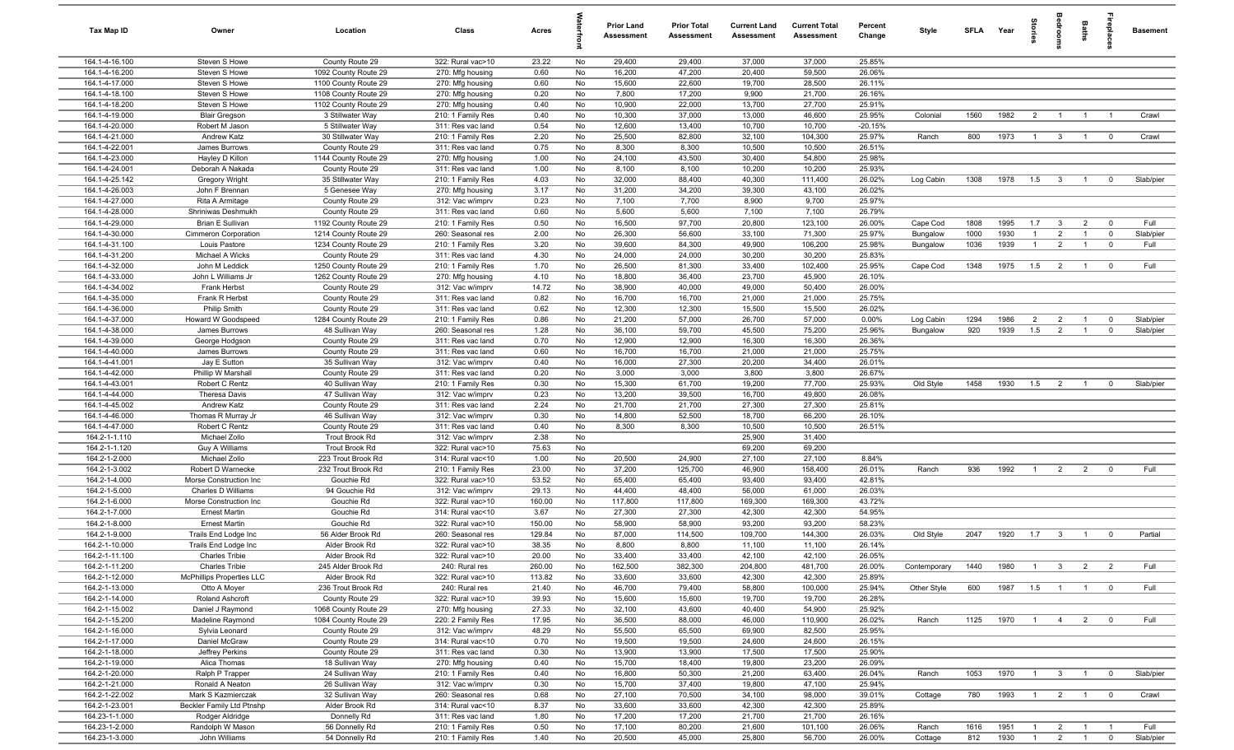| Tax Map ID                       | Owner                           | Location                              | Class                                  | Acres           |          | <b>Prior Land</b><br>Assessment | <b>Prior Total</b><br><b>Assessment</b> | <b>Current Land</b><br><b>Assessment</b> | <b>Current Total</b><br>Assessment | Percent<br>Change   | Style        | <b>SFLA</b> | Year | tories         |                         | Baths                            | repla                   | <b>Basement</b> |
|----------------------------------|---------------------------------|---------------------------------------|----------------------------------------|-----------------|----------|---------------------------------|-----------------------------------------|------------------------------------------|------------------------------------|---------------------|--------------|-------------|------|----------------|-------------------------|----------------------------------|-------------------------|-----------------|
| 164.1-4-16.100                   | Steven S Howe                   | County Route 29                       | 322: Rural vac>10                      | 23.22           | No       | 29,400                          | 29,400                                  | 37,000                                   | 37,000                             | 25.85%              |              |             |      |                |                         |                                  |                         |                 |
| 164.1-4-16.200                   | Steven S Howe                   | 1092 County Route 29                  | 270: Mfg housing                       | 0.60            | No       | 16,200                          | 47,200                                  | 20,400                                   | 59,500                             | 26.06%              |              |             |      |                |                         |                                  |                         |                 |
| 164.1-4-17.000                   | Steven S Howe                   | 1100 County Route 29                  | 270: Mfg housing                       | 0.60            | No       | 15,600                          | 22,600                                  | 19,700                                   | 28,500                             | 26.11%              |              |             |      |                |                         |                                  |                         |                 |
| 164.1-4-18.100                   | Steven S Howe                   | 1108 County Route 29                  | 270: Mfg housing                       | 0.20            | No       | 7,800                           | 17,200                                  | 9,900                                    | 21,700                             | 26.16%              |              |             |      |                |                         |                                  |                         |                 |
| 164.1-4-18.200                   | Steven S Howe                   | 1102 County Route 29                  | 270: Mfg housing                       | 0.40            | No       | 10,900                          | 22,000                                  | 13,700                                   | 27,700                             | 25.91%              |              |             |      |                |                         |                                  |                         |                 |
| 164.1-4-19.000                   | <b>Blair Gregson</b>            | 3 Stillwater Way                      | 210: 1 Family Res                      | 0.40            | No       | 10,300                          | 37,000                                  | 13,000                                   | 46,600                             | 25.95%              | Colonial     | 1560        | 1982 | $\overline{2}$ | $\overline{1}$          | $\overline{1}$                   | $\overline{1}$          | Crawl           |
| 164.1-4-20.000<br>164.1-4-21.000 | Robert M Jason<br>Andrew Katz   | 5 Stillwater Way<br>30 Stillwater Way | 311: Res vac land<br>210: 1 Family Res | 0.54<br>2.20    | No<br>No | 12,600<br>25,500                | 13,400<br>82,800                        | 10,700<br>32,100                         | 10,700<br>104,300                  | $-20.15%$<br>25.97% | Ranch        | 800         | 1973 | $\overline{1}$ | $\overline{\mathbf{3}}$ | $\overline{1}$                   | $\overline{\mathbf{0}}$ | Crawl           |
| 164.1-4-22.001                   | James Burrows                   | County Route 29                       | 311: Res vac land                      | 0.75            | No       | 8,300                           | 8,300                                   | 10,500                                   | 10,500                             | 26.51%              |              |             |      |                |                         |                                  |                         |                 |
| 164.1-4-23.000                   | Hayley D Killon                 | 1144 County Route 29                  | 270: Mfg housing                       | 1.00            | No       | 24,100                          | 43,500                                  | 30,400                                   | 54,800                             | 25.98%              |              |             |      |                |                         |                                  |                         |                 |
| 164.1-4-24.001                   | Deborah A Nakada                | County Route 29                       | 311: Res vac land                      | 1.00            | No       | 8,100                           | 8,100                                   | 10,200                                   | 10,200                             | 25.93%              |              |             |      |                |                         |                                  |                         |                 |
| 164.1-4-25.142                   | Gregory Wright                  | 35 Stillwater Way                     | 210: 1 Family Res                      | 4.03            | No       | 32,000                          | 88,400                                  | 40,300                                   | 111,400                            | 26.02%              | Log Cabin    | 1308        | 1978 | 1.5            | $\overline{\mathbf{3}}$ | $\overline{1}$                   | $^{\circ}$              | Slab/pier       |
| 164.1-4-26.003                   | John F Brennan                  | 5 Genesee Way                         | 270: Mfg housing                       | 3.17            | No       | 31,200                          | 34,200                                  | 39,300                                   | 43,100                             | 26.02%              |              |             |      |                |                         |                                  |                         |                 |
| 164.1-4-27.000                   | Rita A Armitage                 | County Route 29                       | 312: Vac w/imprv                       | 0.23            | No       | 7,100                           | 7,700                                   | 8,900                                    | 9,700                              | 25.97%              |              |             |      |                |                         |                                  |                         |                 |
| 164.1-4-28.000                   | Shriniwas Deshmukh              | County Route 29                       | 311: Res vac land                      | 0.60            | No       | 5,600                           | 5,600                                   | 7,100                                    | 7,100                              | 26.79%              |              |             |      |                |                         |                                  |                         |                 |
| 164.1-4-29.000                   | <b>Brian E Sullivan</b>         | 1192 County Route 29                  | 210: 1 Family Res                      | 0.50            | No       | 16,500                          | 97,700                                  | 20,800                                   | 123,100                            | 26.00%              | Cape Cod     | 1808        | 1995 | 1.7            | $\mathbf{3}$            | $\overline{2}$                   | $^{\circ}$              | Full            |
| 164.1-4-30.000                   | Cimmeron Corporation            | 1214 County Route 29                  | 260: Seasonal res                      | 2.00            | No       | 26,300                          | 56,600                                  | 33,100                                   | 71,300                             | 25.97%              | Bungalow     | 1000        | 1930 | $\mathbf{1}$   | $\overline{2}$          | $\overline{1}$                   | $\overline{0}$          | Slab/pier       |
| 164.1-4-31.100                   | Louis Pastore                   | 1234 County Route 29                  | 210: 1 Family Res                      | 3.20            | No       | 39,600                          | 84,300                                  | 49,900                                   | 106,200                            | 25.98%              | Bungalow     | 1036        | 1939 | $\overline{1}$ | $\overline{2}$          | $\overline{1}$                   | $^{\circ}$              | Full            |
| 164.1-4-31.200                   | Michael A Wicks                 | County Route 29                       | 311: Res vac land                      | 4.30            | No       | 24,000                          | 24,000                                  | 30,200                                   | 30,200                             | 25.83%              |              |             |      |                |                         |                                  |                         |                 |
| 164.1-4-32.000                   | John M Leddick                  | 1250 County Route 29                  | 210: 1 Family Res                      | 1.70            | No       | 26,500                          | 81,300                                  | 33,400                                   | 102,400                            | 25.95%              | Cape Cod     | 1348        | 1975 | 1.5            | $\overline{2}$          | $\overline{1}$                   | $\overline{\mathbf{0}}$ | Full            |
| 164.1-4-33.000                   | John L Williams Jr              | 1262 County Route 29                  | 270: Mfg housing                       | 4.10            | No       | 18,800                          | 36,400                                  | 23,700                                   | 45,900                             | 26.10%              |              |             |      |                |                         |                                  |                         |                 |
| 164.1-4-34.002<br>164.1-4-35.000 | Frank Herbst<br>Frank R Herbst  | County Route 29<br>County Route 29    | 312: Vac w/imprv<br>311: Res vac land  | 14.72<br>0.82   | No<br>No | 38,900<br>16,700                | 40,000<br>16,700                        | 49,000<br>21,000                         | 50,400<br>21,000                   | 26.00%<br>25.75%    |              |             |      |                |                         |                                  |                         |                 |
| 164.1-4-36.000                   | <b>Philip Smith</b>             | County Route 29                       | 311: Res vac land                      | 0.62            | No       | 12,300                          | 12,300                                  | 15,500                                   | 15,500                             | 26.02%              |              |             |      |                |                         |                                  |                         |                 |
| 164.1-4-37.000                   | Howard W Goodspeed              | 1284 County Route 29                  | 210: 1 Family Res                      | 0.86            | No       | 21,200                          | 57,000                                  | 26,700                                   | 57,000                             | 0.00%               | Log Cabin    | 1294        | 1986 | $\overline{2}$ | $\overline{2}$          | $\overline{1}$                   | $\mathbf 0$             | Slab/pier       |
| 164.1-4-38.000                   | James Burrows                   | 48 Sullivan Way                       | 260: Seasonal res                      | 1.28            | No       | 36,100                          | 59,700                                  | 45,500                                   | 75,200                             | 25.96%              | Bungalow     | 920         | 1939 | 1.5            | $\overline{2}$          | $\overline{1}$                   | $^{\circ}$              | Slab/pier       |
| 164.1-4-39.000                   | George Hodgson                  | County Route 29                       | 311: Res vac land                      | 0.70            | No       | 12,900                          | 12,900                                  | 16,300                                   | 16,300                             | 26.36%              |              |             |      |                |                         |                                  |                         |                 |
| 164.1-4-40.000                   | James Burrows                   | County Route 29                       | 311: Res vac land                      | 0.60            | No       | 16,700                          | 16,700                                  | 21,000                                   | 21,000                             | 25.75%              |              |             |      |                |                         |                                  |                         |                 |
| 164.1-4-41.001                   | Jay E Sutton                    | 35 Sullivan Way                       | 312: Vac w/imprv                       | 0.40            | No       | 16,000                          | 27,300                                  | 20,200                                   | 34,400                             | 26.01%              |              |             |      |                |                         |                                  |                         |                 |
| 164.1-4-42.000                   | Phillip W Marshall              | County Route 29                       | 311: Res vac land                      | 0.20            | No       | 3,000                           | 3,000                                   | 3,800                                    | 3,800                              | 26.67%              |              |             |      |                |                         |                                  |                         |                 |
| 164.1-4-43.001                   | Robert C Rentz                  | 40 Sullivan Way                       | 210: 1 Family Res                      | 0.30            | No       | 15,300                          | 61,700                                  | 19,200                                   | 77,700                             | 25.93%              | Old Style    | 1458        | 1930 | 1.5            | $\overline{2}$          | $\overline{1}$                   | $\mathbf 0$             | Slab/pier       |
| 164.1-4-44.000                   | Theresa Davis                   | 47 Sullivan Way                       | 312: Vac w/imprv                       | 0.23            | No       | 13,200                          | 39,500                                  | 16,700                                   | 49,800                             | 26.08%              |              |             |      |                |                         |                                  |                         |                 |
| 164.1-4-45.002                   | Andrew Katz                     | County Route 29                       | 311: Res vac land                      | 2.24            | No       | 21,700                          | 21,700                                  | 27,300                                   | 27,300                             | 25.81%              |              |             |      |                |                         |                                  |                         |                 |
| 164.1-4-46.000                   | Thomas R Murray Jr              | 46 Sullivan Way                       | 312: Vac w/imprv                       | 0.30            | No       | 14,800                          | 52,500                                  | 18,700                                   | 66,200                             | 26.10%              |              |             |      |                |                         |                                  |                         |                 |
| 164.1-4-47.000                   | Robert C Rentz                  | County Route 29                       | 311: Res vac land                      | 0.40            | No       | 8,300                           | 8,300                                   | 10,500                                   | 10,500                             | 26.51%              |              |             |      |                |                         |                                  |                         |                 |
| 164.2-1-1.110<br>164.2-1-1.120   | Michael Zollo<br>Guy A Williams | Trout Brook Rd<br>Trout Brook Rd      | 312: Vac w/imprv<br>322: Rural vac>10  | 2.38<br>75.63   | No<br>No |                                 |                                         | 25,900<br>69,200                         | 31,400<br>69,200                   |                     |              |             |      |                |                         |                                  |                         |                 |
| 164.2-1-2.000                    | Michael Zollo                   | 223 Trout Brook Rd                    | 314: Rural vac<10                      | 1.00            | No       | 20,500                          | 24,900                                  | 27,100                                   | 27,100                             | 8.84%               |              |             |      |                |                         |                                  |                         |                 |
| 164.2-1-3.002                    | Robert D Warnecke               | 232 Trout Brook Rd                    | 210: 1 Family Res                      | 23.00           | No       | 37,200                          | 125,700                                 | 46,900                                   | 158,400                            | 26.01%              | Ranch        | 936         | 1992 | $\overline{1}$ | $\overline{2}$          | $\overline{2}$                   | $^{\circ}$              | Full            |
| 164.2-1-4.000                    | Morse Construction Inc          | Gouchie Rd                            | 322: Rural vac>10                      | 53.52           | No       | 65,400                          | 65,400                                  | 93,400                                   | 93,400                             | 42.81%              |              |             |      |                |                         |                                  |                         |                 |
| 164.2-1-5.000                    | Charles D Williams              | 94 Gouchie Rd                         | 312: Vac w/imprv                       | 29.13           | No       | 44,400                          | 48,400                                  | 56,000                                   | 61,000                             | 26.03%              |              |             |      |                |                         |                                  |                         |                 |
| 164.2-1-6.000                    | Morse Construction Inc          | Gouchie Rd                            | 322: Rural vac>10                      | 160.00          | No       | 117,800                         | 117,800                                 | 169,300                                  | 169,300                            | 43.72%              |              |             |      |                |                         |                                  |                         |                 |
| 164.2-1-7.000                    | <b>Ernest Martin</b>            | Gouchie Rd                            | 314: Rural vac<10                      | 3.67            | No       | 27,300                          | 27,300                                  | 42,300                                   | 42,300                             | 54.95%              |              |             |      |                |                         |                                  |                         |                 |
| 164.2-1-8.000                    | <b>Ernest Martin</b>            | Gouchie Rd                            | 322: Rural vac>10                      | 150.00          | No       | 58,900                          | 58,900                                  | 93,200                                   | 93,200                             | 58.23%              |              |             |      |                |                         |                                  |                         |                 |
| 164.2-1-9.000                    | Trails End Lodge Inc            | 56 Alder Brook Rd                     | 260: Seasonal res                      | 129.84          | No       | 87,000                          | 114,500                                 | 109,700                                  | 144,300                            | 26.03%              | Old Style    | 2047        | 1920 | 1.7            | $\overline{\mathbf{3}}$ | $\overline{1}$                   | $\mathbf 0$             | Partial         |
| 164.2-1-10.000                   | Trails End Lodge Inc            | Alder Brook Rd                        | 322: Rural vac>10                      | 38.35           | No       | 8,800                           | 8,800                                   | 11,100                                   | 11,100                             | 26.14%              |              |             |      |                |                         |                                  |                         |                 |
| 164.2-1-11.100                   | <b>Charles Tribie</b>           | Alder Brook Rd                        | 322: Rural vac>10                      | 20.00           | No       | 33,400                          | 33,400                                  | 42,100                                   | 42,100                             | 26.05%              |              |             |      |                |                         |                                  |                         |                 |
| 164.2-1-11.200                   | <b>Charles Tribie</b>           | 245 Alder Brook Rd                    | 240: Rural res                         | 260.00          | No       | 162,500                         | 382,300                                 | 204,800                                  | 481,700                            | 26.00%              | Contemporary | 1440        | 1980 | $\overline{1}$ | $\mathbf{3}$            | $\overline{2}$                   | $\overline{2}$          | Full            |
| 164.2-1-12.000<br>164.2-1-13.000 | McPhillips Properties LLC       | Alder Brook Rd<br>236 Trout Brook Rd  | 322: Rural vac>10<br>240: Rural res    | 113.82<br>21.40 | No<br>No | 33,600<br>46,700                | 33,600<br>79,400                        | 42,300<br>58,800                         | 42,300<br>100,000                  | 25.89%<br>25.94%    | Other Style  | 600         | 1987 | 1.5            | $\overline{1}$          | $\overline{1}$                   | $\mathbf{0}$            | Full            |
| 164.2-1-14.000                   | Otto A Moyer<br>Roland Ashcroft | County Route 29                       | 322: Rural vac>10                      | 39.93           | No       | 15,600                          | 15,600                                  | 19,700                                   | 19,700                             | 26.28%              |              |             |      |                |                         |                                  |                         |                 |
| 164.2-1-15.002                   | Daniel J Raymond                | 1068 County Route 29                  | 270: Mfg housing                       | 27.33           | No       | 32,100                          | 43,600                                  | 40,400                                   | 54,900                             | 25.92%              |              |             |      |                |                         |                                  |                         |                 |
| 164.2-1-15.200                   | Madeline Raymond                | 1084 County Route 29                  | 220: 2 Family Res                      | 17.95           | No       | 36,500                          | 88,000                                  | 46,000                                   | 110,900                            | 26.02%              | Ranch        | 1125        | 1970 | $\overline{1}$ | $\overline{4}$          | $\overline{2}$                   | $\overline{0}$          | Full            |
| 164.2-1-16.000                   | Sylvia Leonard                  | County Route 29                       | 312: Vac w/imprv                       | 48.29           | No       | 55,500                          | 65,500                                  | 69,900                                   | 82,500                             | 25.95%              |              |             |      |                |                         |                                  |                         |                 |
| 164.2-1-17.000                   | Daniel McGraw                   | County Route 29                       | 314: Rural vac<10                      | 0.70            | No       | 19,500                          | 19,500                                  | 24,600                                   | 24,600                             | 26.15%              |              |             |      |                |                         |                                  |                         |                 |
| 164.2-1-18.000                   | Jeffrey Perkins                 | County Route 29                       | 311: Res vac land                      | 0.30            | No       | 13,900                          | 13,900                                  | 17,500                                   | 17,500                             | 25.90%              |              |             |      |                |                         |                                  |                         |                 |
| 164.2-1-19.000                   | Alica Thomas                    | 18 Sullivan Way                       | 270: Mfg housing                       | 0.40            | No       | 15,700                          | 18,400                                  | 19,800                                   | 23,200                             | 26.09%              |              |             |      |                |                         |                                  |                         |                 |
| 164.2-1-20.000                   | Ralph P Trapper                 | 24 Sullivan Way                       | 210: 1 Family Res                      | 0.40            | No       | 16,800                          | 50,300                                  | 21,200                                   | 63,400                             | 26.04%              | Ranch        | 1053        | 1970 | $\overline{1}$ | $\overline{\mathbf{3}}$ | $\overline{1}$                   | $\overline{\mathbf{0}}$ | Slab/pier       |
| 164.2-1-21.000                   | Ronald A Neaton                 | 26 Sullivan Way                       | 312: Vac w/imprv                       | 0.30            | No       | 15,700                          | 37,400                                  | 19,800                                   | 47,100                             | 25.94%              |              |             |      |                |                         |                                  |                         |                 |
| 164.2-1-22.002                   | Mark S Kazmierczak              | 32 Sullivan Way                       | 260: Seasonal res                      | 0.68            | No       | 27,100                          | 70,500                                  | 34,100                                   | 98,000                             | 39.01%              | Cottage      | 780         | 1993 | $\overline{1}$ | $\overline{2}$          | $\overline{1}$                   | $\overline{\mathbf{0}}$ | Crawl           |
| 164.2-1-23.001                   | Beckler Family Ltd Ptnshp       | Alder Brook Rd                        | 314: Rural vac<10                      | 8.37            | No       | 33,600                          | 33,600                                  | 42,300                                   | 42,300                             | 25.89%              |              |             |      |                |                         |                                  |                         |                 |
| 164.23-1-1.000                   | Rodger Aldridge                 | Donnelly Rd                           | 311: Res vac land                      | 1.80            | No       | 17,200                          | 17,200                                  | 21,700                                   | 21,700                             | 26.16%              |              |             |      |                |                         |                                  |                         |                 |
| 164.23-1-2.000                   | Randolph W Mason                | 56 Donnelly Rd                        | 210: 1 Family Res                      | 0.50            | No       | 17,100                          | 80,200                                  | 21,600                                   | 101,100                            | 26.06%              | Ranch        | 1616        | 1951 | $\overline{1}$ | $\overline{2}$          | $\overline{1}$<br>$\overline{1}$ |                         | Full            |
| 164.23-1-3.000                   | John Williams                   | 54 Donnelly Rd                        | 210: 1 Family Res                      | 1.40            | No       | 20,500                          | 45,000                                  | 25,800                                   | 56,700                             | 26.00%              | Cottage      | 812         | 1930 | $\overline{1}$ | $\overline{2}$          |                                  | $\overline{0}$          | Slab/pier       |